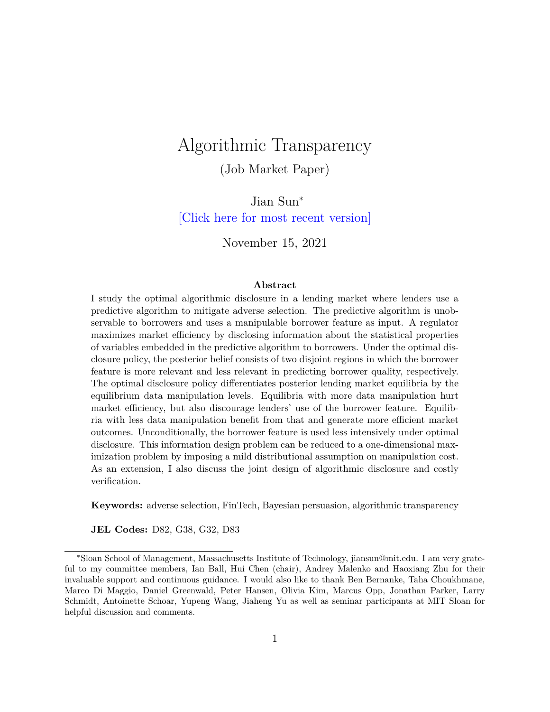# Algorithmic Transparency

(Job Market Paper)

Jian Sun<sup>∗</sup> [\[Click here for most recent version\]](https://www.dropbox.com/s/cq15rqxuvlp9vy0/JMP_Jian%20Sun.pdf?dl=0)

November 15, 2021

#### **Abstract**

I study the optimal algorithmic disclosure in a lending market where lenders use a predictive algorithm to mitigate adverse selection. The predictive algorithm is unobservable to borrowers and uses a manipulable borrower feature as input. A regulator maximizes market efficiency by disclosing information about the statistical properties of variables embedded in the predictive algorithm to borrowers. Under the optimal disclosure policy, the posterior belief consists of two disjoint regions in which the borrower feature is more relevant and less relevant in predicting borrower quality, respectively. The optimal disclosure policy differentiates posterior lending market equilibria by the equilibrium data manipulation levels. Equilibria with more data manipulation hurt market efficiency, but also discourage lenders' use of the borrower feature. Equilibria with less data manipulation benefit from that and generate more efficient market outcomes. Unconditionally, the borrower feature is used less intensively under optimal disclosure. This information design problem can be reduced to a one-dimensional maximization problem by imposing a mild distributional assumption on manipulation cost. As an extension, I also discuss the joint design of algorithmic disclosure and costly verification.

**Keywords:** adverse selection, FinTech, Bayesian persuasion, algorithmic transparency

**JEL Codes:** D82, G38, G32, D83

<sup>∗</sup>Sloan School of Management, Massachusetts Institute of Technology, jiansun@mit.edu. I am very grateful to my committee members, Ian Ball, Hui Chen (chair), Andrey Malenko and Haoxiang Zhu for their invaluable support and continuous guidance. I would also like to thank Ben Bernanke, Taha Choukhmane, Marco Di Maggio, Daniel Greenwald, Peter Hansen, Olivia Kim, Marcus Opp, Jonathan Parker, Larry Schmidt, Antoinette Schoar, Yupeng Wang, Jiaheng Yu as well as seminar participants at MIT Sloan for helpful discussion and comments.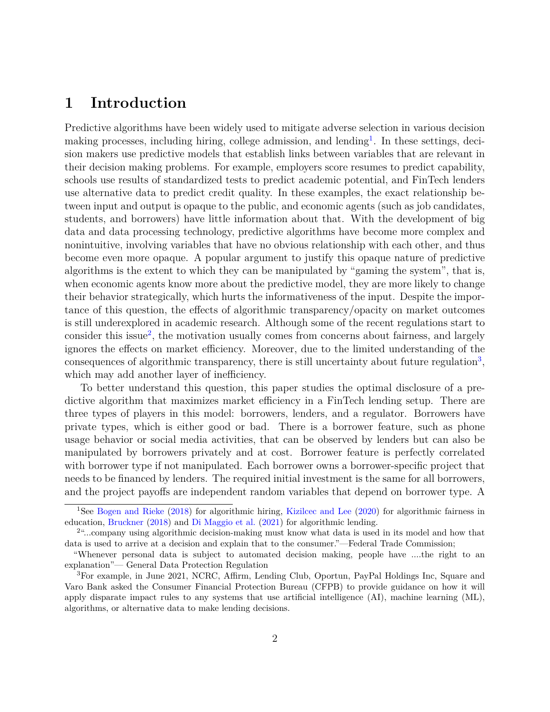# **1 Introduction**

Predictive algorithms have been widely used to mitigate adverse selection in various decision making processes, including hiring, college admission, and lending<sup>[1](#page-1-0)</sup>. In these settings, decision makers use predictive models that establish links between variables that are relevant in their decision making problems. For example, employers score resumes to predict capability, schools use results of standardized tests to predict academic potential, and FinTech lenders use alternative data to predict credit quality. In these examples, the exact relationship between input and output is opaque to the public, and economic agents (such as job candidates, students, and borrowers) have little information about that. With the development of big data and data processing technology, predictive algorithms have become more complex and nonintuitive, involving variables that have no obvious relationship with each other, and thus become even more opaque. A popular argument to justify this opaque nature of predictive algorithms is the extent to which they can be manipulated by "gaming the system", that is, when economic agents know more about the predictive model, they are more likely to change their behavior strategically, which hurts the informativeness of the input. Despite the importance of this question, the effects of algorithmic transparency/opacity on market outcomes is still underexplored in academic research. Although some of the recent regulations start to consider this issue<sup>[2](#page-1-1)</sup>, the motivation usually comes from concerns about fairness, and largely ignores the effects on market efficiency. Moreover, due to the limited understanding of the consequences of algorithmic transparency, there is still uncertainty about future regulation<sup>[3](#page-1-2)</sup>, which may add another layer of inefficiency.

To better understand this question, this paper studies the optimal disclosure of a predictive algorithm that maximizes market efficiency in a FinTech lending setup. There are three types of players in this model: borrowers, lenders, and a regulator. Borrowers have private types, which is either good or bad. There is a borrower feature, such as phone usage behavior or social media activities, that can be observed by lenders but can also be manipulated by borrowers privately and at cost. Borrower feature is perfectly correlated with borrower type if not manipulated. Each borrower owns a borrower-specific project that needs to be financed by lenders. The required initial investment is the same for all borrowers, and the project payoffs are independent random variables that depend on borrower type. A

<span id="page-1-0"></span><sup>1</sup>See [Bogen and Rieke](#page-38-0) [\(2018\)](#page-38-0) for algorithmic hiring, [Kizilcec and Lee](#page-40-0) [\(2020\)](#page-40-0) for algorithmic fairness in education, [Bruckner](#page-39-0) [\(2018\)](#page-39-0) and [Di Maggio et al.](#page-39-1) [\(2021\)](#page-39-1) for algorithmic lending.

<span id="page-1-1"></span><sup>&</sup>lt;sup>2</sup>"...company using algorithmic decision-making must know what data is used in its model and how that data is used to arrive at a decision and explain that to the consumer."—Federal Trade Commission;

<sup>&</sup>quot;Whenever personal data is subject to automated decision making, people have ....the right to an explanation"— General Data Protection Regulation

<span id="page-1-2"></span><sup>3</sup>For example, in June 2021, NCRC, Affirm, Lending Club, Oportun, PayPal Holdings Inc, Square and Varo Bank asked the Consumer Financial Protection Bureau (CFPB) to provide guidance on how it will apply disparate impact rules to any systems that use artificial intelligence (AI), machine learning (ML), algorithms, or alternative data to make lending decisions.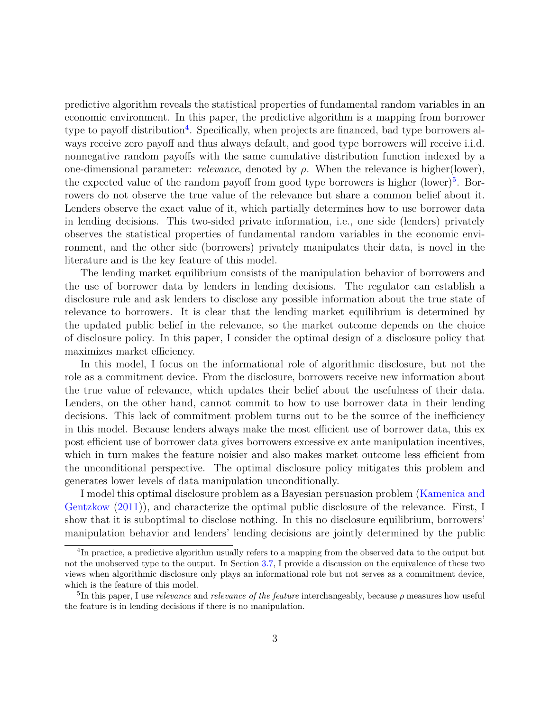predictive algorithm reveals the statistical properties of fundamental random variables in an economic environment. In this paper, the predictive algorithm is a mapping from borrower type to payoff distribution<sup>[4](#page-2-0)</sup>. Specifically, when projects are financed, bad type borrowers always receive zero payoff and thus always default, and good type borrowers will receive i.i.d. nonnegative random payoffs with the same cumulative distribution function indexed by a one-dimensional parameter: *relevance*, denoted by *ρ.* When the relevance is higher(lower), the expected value of the random payoff from good type borrowers is higher  $(lower)^5$  $(lower)^5$ . Borrowers do not observe the true value of the relevance but share a common belief about it. Lenders observe the exact value of it, which partially determines how to use borrower data in lending decisions. This two-sided private information, i.e., one side (lenders) privately observes the statistical properties of fundamental random variables in the economic environment, and the other side (borrowers) privately manipulates their data, is novel in the literature and is the key feature of this model.

The lending market equilibrium consists of the manipulation behavior of borrowers and the use of borrower data by lenders in lending decisions. The regulator can establish a disclosure rule and ask lenders to disclose any possible information about the true state of relevance to borrowers. It is clear that the lending market equilibrium is determined by the updated public belief in the relevance, so the market outcome depends on the choice of disclosure policy. In this paper, I consider the optimal design of a disclosure policy that maximizes market efficiency.

In this model, I focus on the informational role of algorithmic disclosure, but not the role as a commitment device. From the disclosure, borrowers receive new information about the true value of relevance, which updates their belief about the usefulness of their data. Lenders, on the other hand, cannot commit to how to use borrower data in their lending decisions. This lack of commitment problem turns out to be the source of the inefficiency in this model. Because lenders always make the most efficient use of borrower data, this ex post efficient use of borrower data gives borrowers excessive ex ante manipulation incentives, which in turn makes the feature noisier and also makes market outcome less efficient from the unconditional perspective. The optimal disclosure policy mitigates this problem and generates lower levels of data manipulation unconditionally.

I model this optimal disclosure problem as a Bayesian persuasion problem [\(Kamenica and](#page-40-1) [Gentzkow](#page-40-1) [\(2011\)](#page-40-1)), and characterize the optimal public disclosure of the relevance. First, I show that it is suboptimal to disclose nothing. In this no disclosure equilibrium, borrowers' manipulation behavior and lenders' lending decisions are jointly determined by the public

<span id="page-2-0"></span><sup>&</sup>lt;sup>4</sup>In practice, a predictive algorithm usually refers to a mapping from the observed data to the output but not the unobserved type to the output. In Section [3.7,](#page-21-0) I provide a discussion on the equivalence of these two views when algorithmic disclosure only plays an informational role but not serves as a commitment device, which is the feature of this model.

<span id="page-2-1"></span><sup>5</sup> In this paper, I use *relevance* and *relevance of the feature* interchangeably, because *ρ* measures how useful the feature is in lending decisions if there is no manipulation.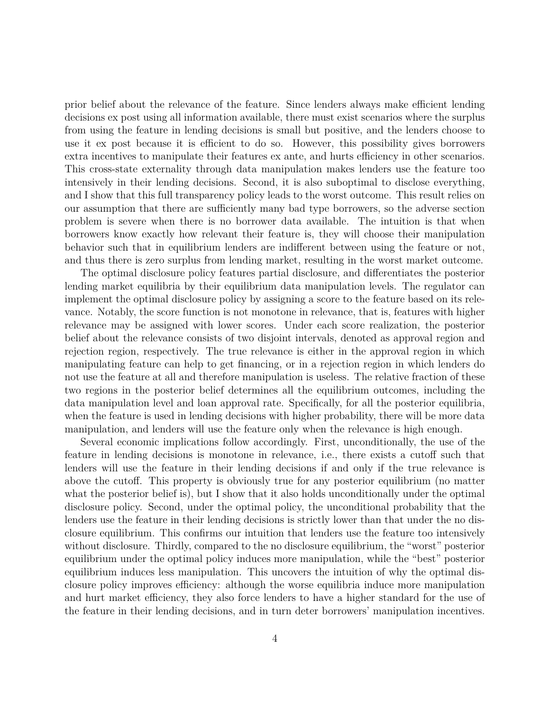prior belief about the relevance of the feature. Since lenders always make efficient lending decisions ex post using all information available, there must exist scenarios where the surplus from using the feature in lending decisions is small but positive, and the lenders choose to use it ex post because it is efficient to do so. However, this possibility gives borrowers extra incentives to manipulate their features ex ante, and hurts efficiency in other scenarios. This cross-state externality through data manipulation makes lenders use the feature too intensively in their lending decisions. Second, it is also suboptimal to disclose everything, and I show that this full transparency policy leads to the worst outcome. This result relies on our assumption that there are sufficiently many bad type borrowers, so the adverse section problem is severe when there is no borrower data available. The intuition is that when borrowers know exactly how relevant their feature is, they will choose their manipulation behavior such that in equilibrium lenders are indifferent between using the feature or not, and thus there is zero surplus from lending market, resulting in the worst market outcome.

The optimal disclosure policy features partial disclosure, and differentiates the posterior lending market equilibria by their equilibrium data manipulation levels. The regulator can implement the optimal disclosure policy by assigning a score to the feature based on its relevance. Notably, the score function is not monotone in relevance, that is, features with higher relevance may be assigned with lower scores. Under each score realization, the posterior belief about the relevance consists of two disjoint intervals, denoted as approval region and rejection region, respectively. The true relevance is either in the approval region in which manipulating feature can help to get financing, or in a rejection region in which lenders do not use the feature at all and therefore manipulation is useless. The relative fraction of these two regions in the posterior belief determines all the equilibrium outcomes, including the data manipulation level and loan approval rate. Specifically, for all the posterior equilibria, when the feature is used in lending decisions with higher probability, there will be more data manipulation, and lenders will use the feature only when the relevance is high enough.

Several economic implications follow accordingly. First, unconditionally, the use of the feature in lending decisions is monotone in relevance, i.e., there exists a cutoff such that lenders will use the feature in their lending decisions if and only if the true relevance is above the cutoff. This property is obviously true for any posterior equilibrium (no matter what the posterior belief is), but I show that it also holds unconditionally under the optimal disclosure policy. Second, under the optimal policy, the unconditional probability that the lenders use the feature in their lending decisions is strictly lower than that under the no disclosure equilibrium. This confirms our intuition that lenders use the feature too intensively without disclosure. Thirdly, compared to the no disclosure equilibrium, the "worst" posterior equilibrium under the optimal policy induces more manipulation, while the "best" posterior equilibrium induces less manipulation. This uncovers the intuition of why the optimal disclosure policy improves efficiency: although the worse equilibria induce more manipulation and hurt market efficiency, they also force lenders to have a higher standard for the use of the feature in their lending decisions, and in turn deter borrowers' manipulation incentives.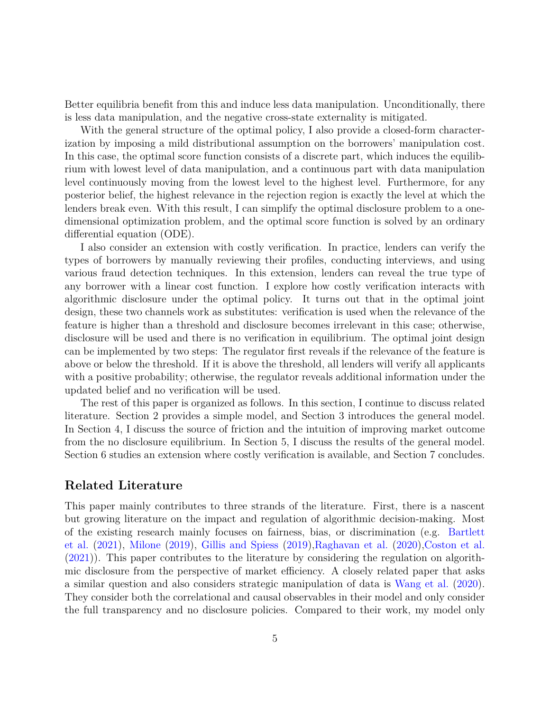Better equilibria benefit from this and induce less data manipulation. Unconditionally, there is less data manipulation, and the negative cross-state externality is mitigated.

With the general structure of the optimal policy, I also provide a closed-form characterization by imposing a mild distributional assumption on the borrowers' manipulation cost. In this case, the optimal score function consists of a discrete part, which induces the equilibrium with lowest level of data manipulation, and a continuous part with data manipulation level continuously moving from the lowest level to the highest level. Furthermore, for any posterior belief, the highest relevance in the rejection region is exactly the level at which the lenders break even. With this result, I can simplify the optimal disclosure problem to a onedimensional optimization problem, and the optimal score function is solved by an ordinary differential equation (ODE).

I also consider an extension with costly verification. In practice, lenders can verify the types of borrowers by manually reviewing their profiles, conducting interviews, and using various fraud detection techniques. In this extension, lenders can reveal the true type of any borrower with a linear cost function. I explore how costly verification interacts with algorithmic disclosure under the optimal policy. It turns out that in the optimal joint design, these two channels work as substitutes: verification is used when the relevance of the feature is higher than a threshold and disclosure becomes irrelevant in this case; otherwise, disclosure will be used and there is no verification in equilibrium. The optimal joint design can be implemented by two steps: The regulator first reveals if the relevance of the feature is above or below the threshold. If it is above the threshold, all lenders will verify all applicants with a positive probability; otherwise, the regulator reveals additional information under the updated belief and no verification will be used.

The rest of this paper is organized as follows. In this section, I continue to discuss related literature. Section 2 provides a simple model, and Section 3 introduces the general model. In Section 4, I discuss the source of friction and the intuition of improving market outcome from the no disclosure equilibrium. In Section 5, I discuss the results of the general model. Section 6 studies an extension where costly verification is available, and Section 7 concludes.

## **Related Literature**

This paper mainly contributes to three strands of the literature. First, there is a nascent but growing literature on the impact and regulation of algorithmic decision-making. Most of the existing research mainly focuses on fairness, bias, or discrimination (e.g. [Bartlett](#page-38-1) [et al.](#page-38-1) [\(2021\)](#page-38-1), [Milone](#page-40-2) [\(2019\)](#page-40-2), [Gillis and Spiess](#page-39-2) [\(2019\)](#page-39-2)[,Raghavan et al.](#page-40-3) [\(2020\)](#page-40-3)[,Coston et al.](#page-39-3) [\(2021\)](#page-39-3)). This paper contributes to the literature by considering the regulation on algorithmic disclosure from the perspective of market efficiency. A closely related paper that asks a similar question and also considers strategic manipulation of data is [Wang et al.](#page-40-4) [\(2020\)](#page-40-4). They consider both the correlational and causal observables in their model and only consider the full transparency and no disclosure policies. Compared to their work, my model only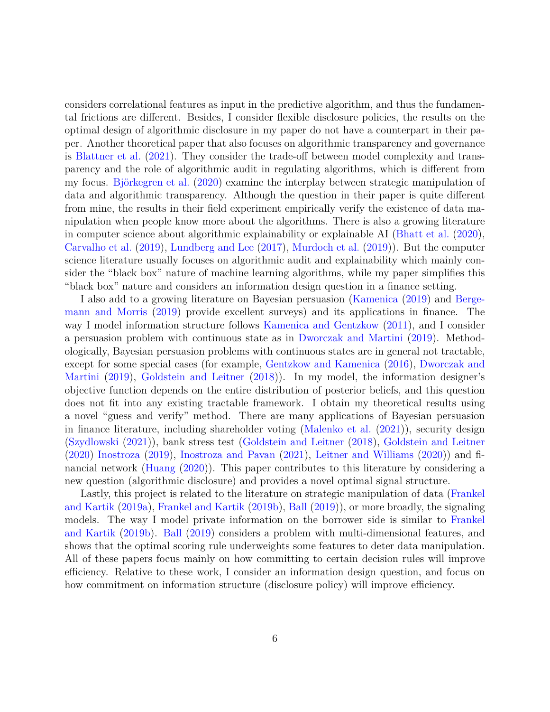considers correlational features as input in the predictive algorithm, and thus the fundamental frictions are different. Besides, I consider flexible disclosure policies, the results on the optimal design of algorithmic disclosure in my paper do not have a counterpart in their paper. Another theoretical paper that also focuses on algorithmic transparency and governance is [Blattner et al.](#page-38-2) [\(2021\)](#page-38-2). They consider the trade-off between model complexity and transparency and the role of algorithmic audit in regulating algorithms, which is different from my focus. [Björkegren et al.](#page-38-3) [\(2020\)](#page-38-3) examine the interplay between strategic manipulation of data and algorithmic transparency. Although the question in their paper is quite different from mine, the results in their field experiment empirically verify the existence of data manipulation when people know more about the algorithms. There is also a growing literature in computer science about algorithmic explainability or explainable AI [\(Bhatt et al.](#page-38-4) [\(2020\)](#page-38-4), [Carvalho et al.](#page-39-4) [\(2019\)](#page-39-4), [Lundberg and Lee](#page-40-5) [\(2017\)](#page-40-5), [Murdoch et al.](#page-40-6) [\(2019\)](#page-40-6)). But the computer science literature usually focuses on algorithmic audit and explainability which mainly consider the "black box" nature of machine learning algorithms, while my paper simplifies this "black box" nature and considers an information design question in a finance setting.

I also add to a growing literature on Bayesian persuasion [\(Kamenica](#page-39-5) [\(2019\)](#page-39-5) and [Berge](#page-38-5)[mann and Morris](#page-38-5) [\(2019\)](#page-38-5) provide excellent surveys) and its applications in finance. The way I model information structure follows [Kamenica and Gentzkow](#page-40-1) [\(2011\)](#page-40-1), and I consider a persuasion problem with continuous state as in [Dworczak and Martini](#page-39-6) [\(2019\)](#page-39-6). Methodologically, Bayesian persuasion problems with continuous states are in general not tractable, except for some special cases (for example, [Gentzkow and Kamenica](#page-39-7) [\(2016\)](#page-39-7), [Dworczak and](#page-39-6) [Martini](#page-39-6) [\(2019\)](#page-39-6), [Goldstein and Leitner](#page-39-8) [\(2018\)](#page-39-8)). In my model, the information designer's objective function depends on the entire distribution of posterior beliefs, and this question does not fit into any existing tractable framework. I obtain my theoretical results using a novel "guess and verify" method. There are many applications of Bayesian persuasion in finance literature, including shareholder voting [\(Malenko et al.](#page-40-7) [\(2021\)](#page-40-7)), security design [\(Szydlowski](#page-40-8) [\(2021\)](#page-40-8)), bank stress test [\(Goldstein and Leitner](#page-39-8) [\(2018\)](#page-39-8), [Goldstein and Leitner](#page-39-9) [\(2020\)](#page-39-9) [Inostroza](#page-39-10) [\(2019\)](#page-39-10), [Inostroza and Pavan](#page-39-11) [\(2021\)](#page-39-11), [Leitner and Williams](#page-40-9) [\(2020\)](#page-40-9)) and financial network [\(Huang](#page-39-12) [\(2020\)](#page-39-12)). This paper contributes to this literature by considering a new question (algorithmic disclosure) and provides a novel optimal signal structure.

Lastly, this project is related to the literature on strategic manipulation of data [\(Frankel](#page-39-13) [and Kartik](#page-39-13) [\(2019a\)](#page-39-13), [Frankel and Kartik](#page-39-14) [\(2019b\)](#page-39-14), [Ball](#page-38-6) [\(2019\)](#page-38-6)), or more broadly, the signaling models. The way I model private information on the borrower side is similar to [Frankel](#page-39-14) [and Kartik](#page-39-14) [\(2019b\)](#page-39-14). [Ball](#page-38-6) [\(2019\)](#page-38-6) considers a problem with multi-dimensional features, and shows that the optimal scoring rule underweights some features to deter data manipulation. All of these papers focus mainly on how committing to certain decision rules will improve efficiency. Relative to these work, I consider an information design question, and focus on how commitment on information structure (disclosure policy) will improve efficiency.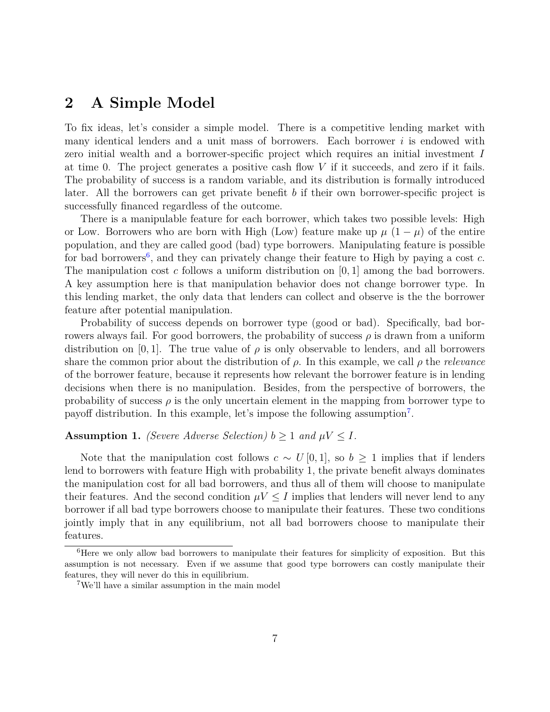# <span id="page-6-3"></span>**2 A Simple Model**

To fix ideas, let's consider a simple model. There is a competitive lending market with many identical lenders and a unit mass of borrowers. Each borrower *i* is endowed with zero initial wealth and a borrower-specific project which requires an initial investment *I* at time 0. The project generates a positive cash flow *V* if it succeeds, and zero if it fails. The probability of success is a random variable, and its distribution is formally introduced later. All the borrowers can get private benefit *b* if their own borrower-specific project is successfully financed regardless of the outcome.

There is a manipulable feature for each borrower, which takes two possible levels: High or Low. Borrowers who are born with High (Low) feature make up  $\mu$  (1 –  $\mu$ ) of the entire population, and they are called good (bad) type borrowers. Manipulating feature is possible for bad borrowers<sup>[6](#page-6-0)</sup>, and they can privately change their feature to High by paying a cost *c*. The manipulation cost *c* follows a uniform distribution on [0*,* 1] among the bad borrowers. A key assumption here is that manipulation behavior does not change borrower type. In this lending market, the only data that lenders can collect and observe is the the borrower feature after potential manipulation.

Probability of success depends on borrower type (good or bad). Specifically, bad borrowers always fail. For good borrowers, the probability of success *ρ* is drawn from a uniform distribution on [0, 1]. The true value of  $\rho$  is only observable to lenders, and all borrowers share the common prior about the distribution of *ρ*. In this example, we call *ρ* the *relevance* of the borrower feature, because it represents how relevant the borrower feature is in lending decisions when there is no manipulation. Besides, from the perspective of borrowers, the probability of success  $\rho$  is the only uncertain element in the mapping from borrower type to payoff distribution. In this example, let's impose the following assumption<sup>[7](#page-6-1)</sup>.

#### <span id="page-6-2"></span>**Assumption 1.** *(Severe Adverse Selection)*  $b \geq 1$  *and*  $\mu V \leq I$ *.*

Note that the manipulation cost follows  $c \sim U[0,1]$ , so  $b \geq 1$  implies that if lenders lend to borrowers with feature High with probability 1, the private benefit always dominates the manipulation cost for all bad borrowers, and thus all of them will choose to manipulate their features. And the second condition  $\mu V \leq I$  implies that lenders will never lend to any borrower if all bad type borrowers choose to manipulate their features. These two conditions jointly imply that in any equilibrium, not all bad borrowers choose to manipulate their features.

<span id="page-6-0"></span><sup>&</sup>lt;sup>6</sup>Here we only allow bad borrowers to manipulate their features for simplicity of exposition. But this assumption is not necessary. Even if we assume that good type borrowers can costly manipulate their features, they will never do this in equilibrium.

<span id="page-6-1"></span><sup>7</sup>We'll have a similar assumption in the main model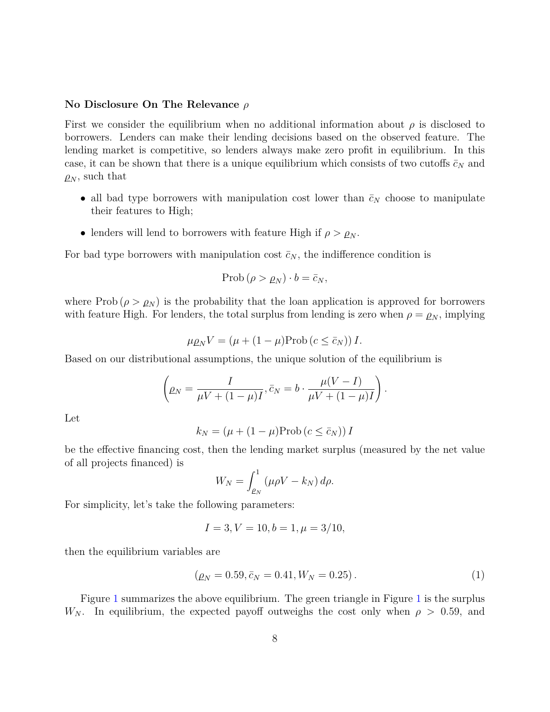#### **No Disclosure On The Relevance** *ρ*

First we consider the equilibrium when no additional information about  $\rho$  is disclosed to borrowers. Lenders can make their lending decisions based on the observed feature. The lending market is competitive, so lenders always make zero profit in equilibrium. In this case, it can be shown that there is a unique equilibrium which consists of two cutoffs  $\bar{c}_N$  and  $\rho_N$ , such that

- all bad type borrowers with manipulation cost lower than  $\bar{c}_N$  choose to manipulate their features to High;
- lenders will lend to borrowers with feature High if  $\rho > \rho_N$ .

For bad type borrowers with manipulation cost  $\bar{c}_N$ , the indifference condition is

$$
\mathrm{Prob}\left(\rho > \rho_N\right) \cdot b = \bar{c}_N,
$$

where Prob  $(\rho > \rho_N)$  is the probability that the loan application is approved for borrowers with feature High. For lenders, the total surplus from lending is zero when  $\rho = \rho_N$ , implying

$$
\mu \rho_N V = (\mu + (1 - \mu) \text{Prob} (c \le \bar{c}_N)) I.
$$

Based on our distributional assumptions, the unique solution of the equilibrium is

$$
\left(\rho_N = \frac{I}{\mu V + (1 - \mu)I}, \bar{c}_N = b \cdot \frac{\mu(V - I)}{\mu V + (1 - \mu)I}\right).
$$

Let

$$
k_N = (\mu + (1 - \mu) \text{Prob} (c \le \bar{c}_N)) I
$$

be the effective financing cost, then the lending market surplus (measured by the net value of all projects financed) is

$$
W_N = \int_{\rho_N}^1 (\mu \rho V - k_N) d\rho.
$$

For simplicity, let's take the following parameters:

$$
I = 3, V = 10, b = 1, \mu = 3/10,
$$

then the equilibrium variables are

$$
(\rho_N = 0.59, \bar{c}_N = 0.41, W_N = 0.25). \tag{1}
$$

Figure [1](#page-8-0) summarizes the above equilibrium. The green triangle in Figure [1](#page-8-0) is the surplus *W*<sub>N</sub>. In equilibrium, the expected payoff outweighs the cost only when  $\rho > 0.59$ , and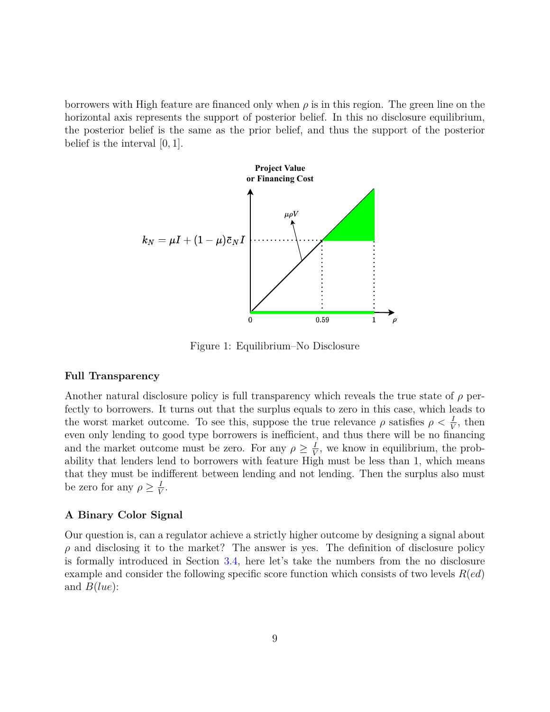borrowers with High feature are financed only when  $\rho$  is in this region. The green line on the horizontal axis represents the support of posterior belief. In this no disclosure equilibrium, the posterior belief is the same as the prior belief, and thus the support of the posterior belief is the interval [0*,* 1].



<span id="page-8-0"></span>Figure 1: Equilibrium–No Disclosure

#### **Full Transparency**

Another natural disclosure policy is full transparency which reveals the true state of *ρ* perfectly to borrowers. It turns out that the surplus equals to zero in this case, which leads to the worst market outcome. To see this, suppose the true relevance  $\rho$  satisfies  $\rho < \frac{I}{V}$ , then even only lending to good type borrowers is inefficient, and thus there will be no financing and the market outcome must be zero. For any  $\rho \geq \frac{I}{V}$  $\frac{I}{V}$ , we know in equilibrium, the probability that lenders lend to borrowers with feature High must be less than 1, which means that they must be indifferent between lending and not lending. Then the surplus also must be zero for any  $\rho \geq \frac{1}{V}$  $\frac{1}{V}$ .

#### **A Binary Color Signal**

Our question is, can a regulator achieve a strictly higher outcome by designing a signal about  $\rho$  and disclosing it to the market? The answer is yes. The definition of disclosure policy is formally introduced in Section [3.4,](#page-16-0) here let's take the numbers from the no disclosure example and consider the following specific score function which consists of two levels *R*(*ed*) and *B*(*lue*):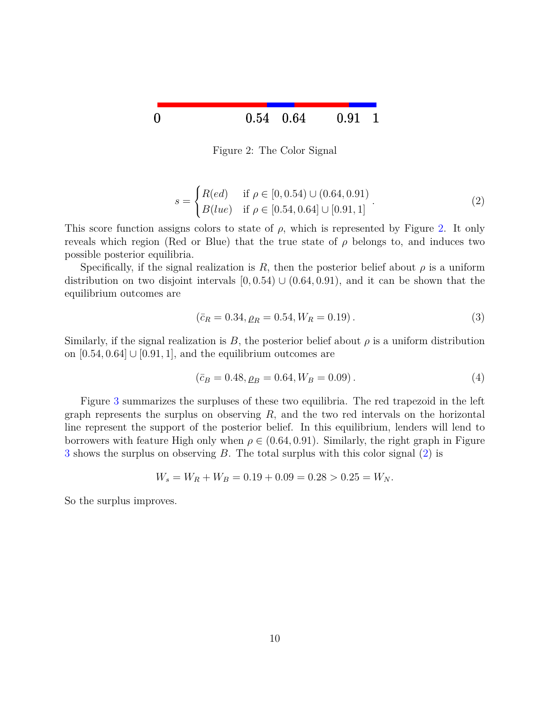

<span id="page-9-0"></span>Figure 2: The Color Signal

<span id="page-9-1"></span>
$$
s = \begin{cases} R(ed) & \text{if } \rho \in [0, 0.54) \cup (0.64, 0.91) \\ B(lue) & \text{if } \rho \in [0.54, 0.64] \cup [0.91, 1] \end{cases} .
$$
 (2)

This score function assigns colors to state of  $\rho$ , which is represented by Figure [2.](#page-9-0) It only reveals which region (Red or Blue) that the true state of  $\rho$  belongs to, and induces two possible posterior equilibria.

Specifically, if the signal realization is R, then the posterior belief about  $\rho$  is a uniform distribution on two disjoint intervals  $[0, 0.54) \cup (0.64, 0.91)$ , and it can be shown that the equilibrium outcomes are

$$
(\bar{c}_R = 0.34, \rho_R = 0.54, W_R = 0.19). \tag{3}
$$

Similarly, if the signal realization is  $B$ , the posterior belief about  $\rho$  is a uniform distribution on  $[0.54, 0.64] \cup [0.91, 1]$ , and the equilibrium outcomes are

$$
(\bar{c}_B = 0.48, \rho_B = 0.64, W_B = 0.09). \tag{4}
$$

Figure [3](#page-10-0) summarizes the surpluses of these two equilibria. The red trapezoid in the left graph represents the surplus on observing *R*, and the two red intervals on the horizontal line represent the support of the posterior belief. In this equilibrium, lenders will lend to borrowers with feature High only when  $\rho \in (0.64, 0.91)$ . Similarly, the right graph in Figure [3](#page-10-0) shows the surplus on observing *B*. The total surplus with this color signal [\(2\)](#page-9-1) is

$$
W_s = W_R + W_B = 0.19 + 0.09 = 0.28 > 0.25 = W_N.
$$

So the surplus improves.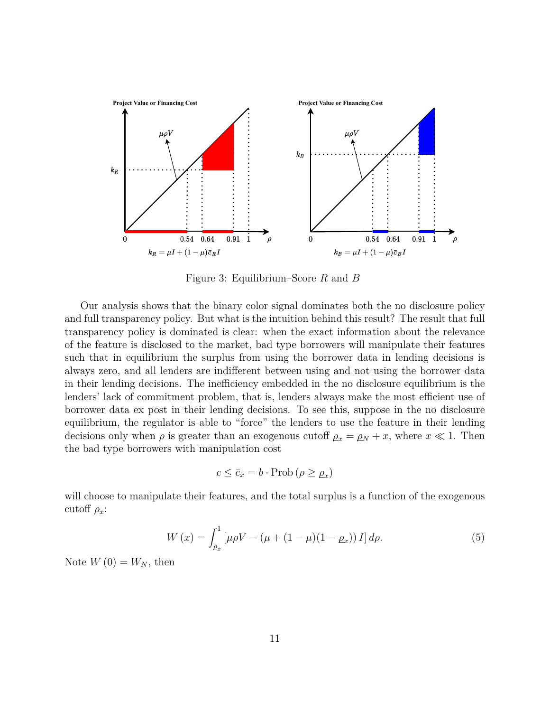

<span id="page-10-0"></span>Figure 3: Equilibrium–Score *R* and *B*

Our analysis shows that the binary color signal dominates both the no disclosure policy and full transparency policy. But what is the intuition behind this result? The result that full transparency policy is dominated is clear: when the exact information about the relevance of the feature is disclosed to the market, bad type borrowers will manipulate their features such that in equilibrium the surplus from using the borrower data in lending decisions is always zero, and all lenders are indifferent between using and not using the borrower data in their lending decisions. The inefficiency embedded in the no disclosure equilibrium is the lenders' lack of commitment problem, that is, lenders always make the most efficient use of borrower data ex post in their lending decisions. To see this, suppose in the no disclosure equilibrium, the regulator is able to "force" the lenders to use the feature in their lending decisions only when  $\rho$  is greater than an exogenous cutoff  $\rho_x = \rho_y + x$ , where  $x \ll 1$ . Then the bad type borrowers with manipulation cost

$$
c \le \bar{c}_x = b \cdot \text{Prob} \left( \rho \ge \rho_x \right)
$$

will choose to manipulate their features, and the total surplus is a function of the exogenous cutoff  $\rho_x$ :

$$
W(x) = \int_{\rho_x}^1 \left[ \mu \rho V - (\mu + (1 - \mu)(1 - \rho_x)) I \right] d\rho.
$$
 (5)

Note  $W(0) = W_N$ , then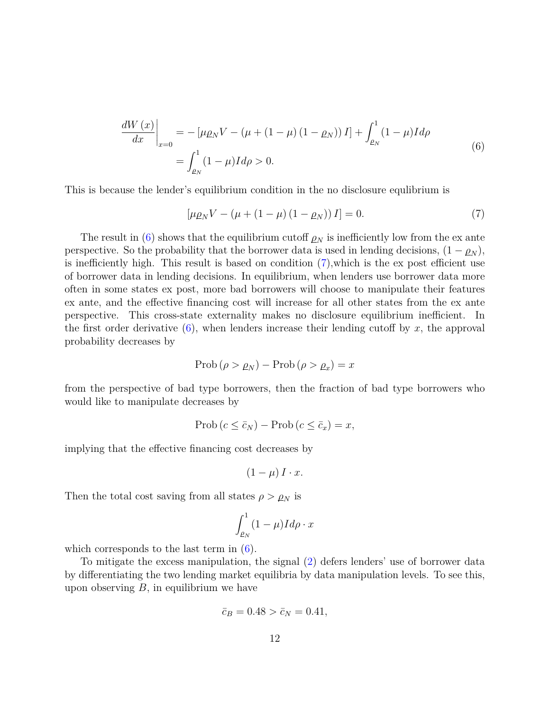$$
\frac{dW(x)}{dx}\Big|_{x=0} = -\left[\mu \rho_N V - \left(\mu + (1 - \mu)(1 - \rho_N)\right)I\right] + \int_{\rho_N}^1 (1 - \mu)Id\rho
$$
\n
$$
= \int_{\rho_N}^1 (1 - \mu)Id\rho > 0.
$$
\n(6)

<span id="page-11-0"></span>This is because the lender's equilibrium condition in the no disclosure equlibrium is

<span id="page-11-1"></span>
$$
[\mu \rho_N V - (\mu + (1 - \mu) (1 - \rho_N)) I] = 0.
$$
\n(7)

The result in [\(6\)](#page-11-0) shows that the equilibrium cutoff  $\rho_N$  is inefficiently low from the ex ante perspective. So the probability that the borrower data is used in lending decisions,  $(1 - \rho_N)$ , is inefficiently high. This result is based on condition [\(7\)](#page-11-1)*,*which is the ex post efficient use of borrower data in lending decisions. In equilibrium, when lenders use borrower data more often in some states ex post, more bad borrowers will choose to manipulate their features ex ante, and the effective financing cost will increase for all other states from the ex ante perspective. This cross-state externality makes no disclosure equilibrium inefficient. In the first order derivative  $(6)$ , when lenders increase their lending cutoff by x, the approval probability decreases by

$$
\text{Prob}\left(\rho > \rho_N\right) - \text{Prob}\left(\rho > \rho_x\right) = x
$$

from the perspective of bad type borrowers, then the fraction of bad type borrowers who would like to manipulate decreases by

$$
\text{Prob}\left(c \leq \bar{c}_N\right) - \text{Prob}\left(c \leq \bar{c}_x\right) = x,
$$

implying that the effective financing cost decreases by

$$
(1 - \mu) I \cdot x.
$$

Then the total cost saving from all states  $\rho > \rho_N$  is

$$
\int_{\rho_N}^1 (1 - \mu) I d\rho \cdot x
$$

which corresponds to the last term in  $(6)$ .

To mitigate the excess manipulation, the signal [\(2\)](#page-9-1) defers lenders' use of borrower data by differentiating the two lending market equilibria by data manipulation levels. To see this, upon observing *B*, in equilibrium we have

$$
\bar{c}_B = 0.48 > \bar{c}_N = 0.41,
$$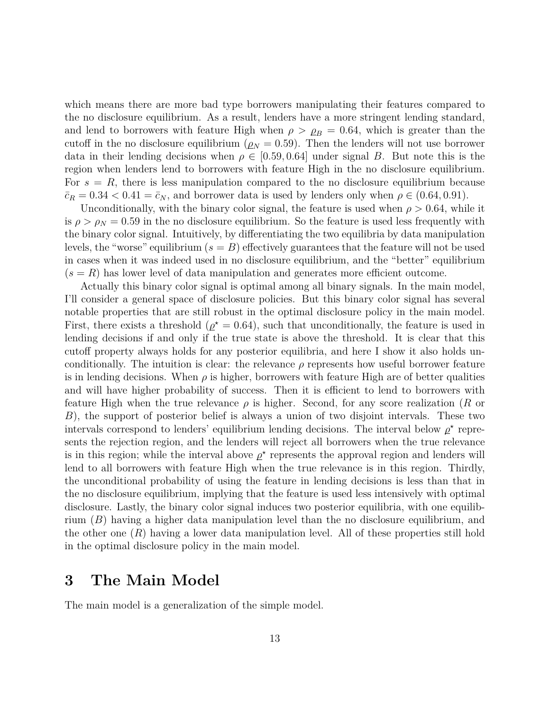which means there are more bad type borrowers manipulating their features compared to the no disclosure equilibrium. As a result, lenders have a more stringent lending standard, and lend to borrowers with feature High when  $\rho > \rho_B = 0.64$ , which is greater than the cutoff in the no disclosure equilibrium ( $\rho_N = 0.59$ ). Then the lenders will not use borrower data in their lending decisions when  $\rho \in [0.59, 0.64]$  under signal *B*. But note this is the region when lenders lend to borrowers with feature High in the no disclosure equilibrium. For  $s = R$ , there is less manipulation compared to the no disclosure equilibrium because  $\bar{c}_R = 0.34 < 0.41 = \bar{c}_N$ , and borrower data is used by lenders only when  $\rho \in (0.64, 0.91)$ .

Unconditionally, with the binary color signal, the feature is used when  $\rho > 0.64$ , while it is  $\rho > \rho_N = 0.59$  in the no disclosure equilibrium. So the feature is used less frequently with the binary color signal. Intuitively, by differentiating the two equilibria by data manipulation levels, the "worse" equilibrium  $(s = B)$  effectively guarantees that the feature will not be used in cases when it was indeed used in no disclosure equilibrium, and the "better" equilibrium  $(s = R)$  has lower level of data manipulation and generates more efficient outcome.

Actually this binary color signal is optimal among all binary signals. In the main model, I'll consider a general space of disclosure policies. But this binary color signal has several notable properties that are still robust in the optimal disclosure policy in the main model. First, there exists a threshold ( $\rho^* = 0.64$ ), such that unconditionally, the feature is used in lending decisions if and only if the true state is above the threshold. It is clear that this cutoff property always holds for any posterior equilibria, and here I show it also holds unconditionally. The intuition is clear: the relevance  $\rho$  represents how useful borrower feature is in lending decisions. When  $\rho$  is higher, borrowers with feature High are of better qualities and will have higher probability of success. Then it is efficient to lend to borrowers with feature High when the true relevance *ρ* is higher. Second, for any score realization (*R* or *B*), the support of posterior belief is always a union of two disjoint intervals. These two intervals correspond to lenders' equilibrium lending decisions. The interval below  $\rho^*$  represents the rejection region, and the lenders will reject all borrowers when the true relevance is in this region; while the interval above  $\rho^*$  represents the approval region and lenders will lend to all borrowers with feature High when the true relevance is in this region. Thirdly, the unconditional probability of using the feature in lending decisions is less than that in the no disclosure equilibrium, implying that the feature is used less intensively with optimal disclosure. Lastly, the binary color signal induces two posterior equilibria, with one equilibrium (*B*) having a higher data manipulation level than the no disclosure equilibrium, and the other one (*R*) having a lower data manipulation level. All of these properties still hold in the optimal disclosure policy in the main model.

# **3 The Main Model**

The main model is a generalization of the simple model.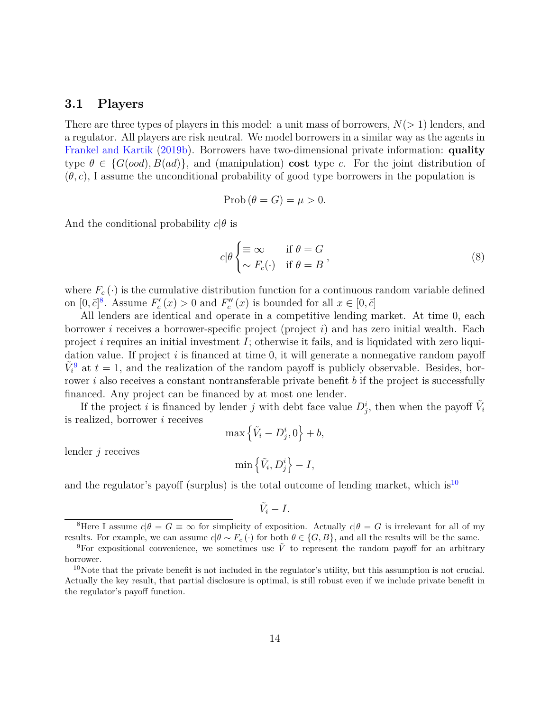### **3.1 Players**

There are three types of players in this model: a unit mass of borrowers, *N*(*>* 1) lenders, and a regulator. All players are risk neutral. We model borrowers in a similar way as the agents in [Frankel and Kartik](#page-39-14) [\(2019b\)](#page-39-14). Borrowers have two-dimensional private information: **quality** type  $\theta \in \{G(ood), B(ad)\}\$ , and (manipulation) **cost** type *c*. For the joint distribution of  $(\theta, c)$ , I assume the unconditional probability of good type borrowers in the population is

$$
\text{Prob}\left(\theta = G\right) = \mu > 0.
$$

And the conditional probability  $c|\theta$  is

<span id="page-13-3"></span>
$$
c|\theta \begin{cases} \equiv \infty & \text{if } \theta = G \\ \sim F_c(\cdot) & \text{if } \theta = B \end{cases}
$$
 (8)

where  $F_c(\cdot)$  is the cumulative distribution function for a continuous random variable defined on  $[0, \bar{c}]^8$  $[0, \bar{c}]^8$ . Assume  $F'_c(x) > 0$  and  $F''_c(x)$  is bounded for all  $x \in [0, \bar{c}]$ 

All lenders are identical and operate in a competitive lending market. At time 0, each borrower *i* receives a borrower-specific project (project *i*) and has zero initial wealth. Each project *i* requires an initial investment *I*; otherwise it fails, and is liquidated with zero liquidation value. If project *i* is financed at time 0, it will generate a nonnegative random payoff  $\tilde{V}_i^9$  $\tilde{V}_i^9$  at  $t=1$ , and the realization of the random payoff is publicly observable. Besides, borrower *i* also receives a constant nontransferable private benefit *b* if the project is successfully financed. Any project can be financed by at most one lender.

If the project *i* is financed by lender *j* with debt face value  $D_j^i$ , then when the payoff  $\tilde{V}_i$ is realized, borrower *i* receives

$$
\max\left\{\tilde{V}_i-D_j^i,0\right\}+b,
$$

lender *j* receives

$$
\min\left\{\tilde{V}_i, D^i_j\right\} - I,
$$

and the regulator's payoff (surplus) is the total outcome of lending market, which is<sup>[10](#page-13-2)</sup>

$$
\tilde{V}_i-I.
$$

<span id="page-13-0"></span><sup>&</sup>lt;sup>8</sup>Here I assume  $c|\theta = G \equiv \infty$  for simplicity of exposition. Actually  $c|\theta = G$  is irrelevant for all of my results. For example, we can assume  $c|\theta \sim F_c(\cdot)$  for both  $\theta \in \{G, B\}$ , and all the results will be the same.

<span id="page-13-1"></span><sup>&</sup>lt;sup>9</sup>For expositional convenience, we sometimes use  $\tilde{V}$  to represent the random payoff for an arbitrary borrower.

<span id="page-13-2"></span> $10$ Note that the private benefit is not included in the regulator's utility, but this assumption is not crucial. Actually the key result, that partial disclosure is optimal, is still robust even if we include private benefit in the regulator's payoff function.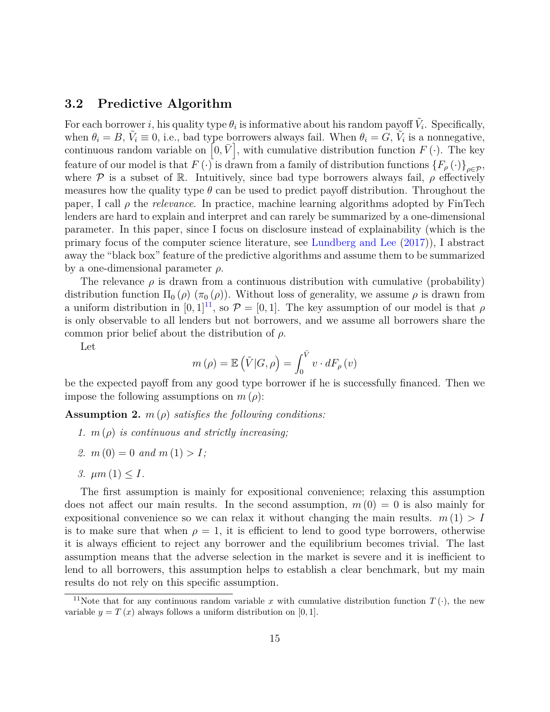## **3.2 Predictive Algorithm**

For each borrower *i*, his quality type  $\theta_i$  is informative about his random payoff  $\tilde{V}_i$ . Specifically, when  $\theta_i = B$ ,  $\tilde{V}_i \equiv 0$ , i.e., bad type borrowers always fail. When  $\theta_i = G$ ,  $\tilde{V}_i$  is a nonnegative, continuous random variable on  $[0, \bar{V}]$ , with cumulative distribution function  $F(\cdot)$ . The key feature of our model is that  $F(\cdot)$  is drawn from a family of distribution functions  $\{F_\rho(\cdot)\}_{{\rho\in\mathcal{P}}}$ , where  $\mathcal P$  is a subset of R. Intuitively, since bad type borrowers always fail,  $\rho$  effectively measures how the quality type  $\theta$  can be used to predict payoff distribution. Throughout the paper, I call *ρ* the *relevance*. In practice, machine learning algorithms adopted by FinTech lenders are hard to explain and interpret and can rarely be summarized by a one-dimensional parameter. In this paper, since I focus on disclosure instead of explainability (which is the primary focus of the computer science literature, see [Lundberg and Lee](#page-40-5) [\(2017\)](#page-40-5)), I abstract away the "black box" feature of the predictive algorithms and assume them to be summarized by a one-dimensional parameter *ρ*.

The relevance  $\rho$  is drawn from a continuous distribution with cumulative (probability) distribution function  $\Pi_0(\rho)$  ( $\pi_0(\rho)$ ). Without loss of generality, we assume  $\rho$  is drawn from a uniform distribution in  $[0, 1]^{11}$  $[0, 1]^{11}$  $[0, 1]^{11}$ , so  $\mathcal{P} = [0, 1]$ . The key assumption of our model is that  $\rho$ is only observable to all lenders but not borrowers, and we assume all borrowers share the common prior belief about the distribution of *ρ*.

Let

$$
m(\rho) = \mathbb{E}(\tilde{V}|G,\rho) = \int_0^{\bar{V}} v \cdot dF_{\rho}(v)
$$

be the expected payoff from any good type borrower if he is successfully financed. Then we impose the following assumptions on  $m(\rho)$ :

<span id="page-14-1"></span>**Assumption 2.** *m* (*ρ*) *satisfies the following conditions:*

- *1. m* (*ρ*) *is continuous and strictly increasing;*
- 2.  $m(0) = 0$  and  $m(1) > I$ ;
- *3.*  $\mu m(1) \leq I$ .

The first assumption is mainly for expositional convenience; relaxing this assumption does not affect our main results. In the second assumption,  $m(0) = 0$  is also mainly for expositional convenience so we can relax it without changing the main results.  $m(1) > I$ is to make sure that when  $\rho = 1$ , it is efficient to lend to good type borrowers, otherwise it is always efficient to reject any borrower and the equilibrium becomes trivial. The last assumption means that the adverse selection in the market is severe and it is inefficient to lend to all borrowers, this assumption helps to establish a clear benchmark, but my main results do not rely on this specific assumption.

<span id="page-14-0"></span><sup>&</sup>lt;sup>11</sup>Note that for any continuous random variable x with cumulative distribution function  $T(\cdot)$ , the new variable  $y = T(x)$  always follows a uniform distribution on [0, 1].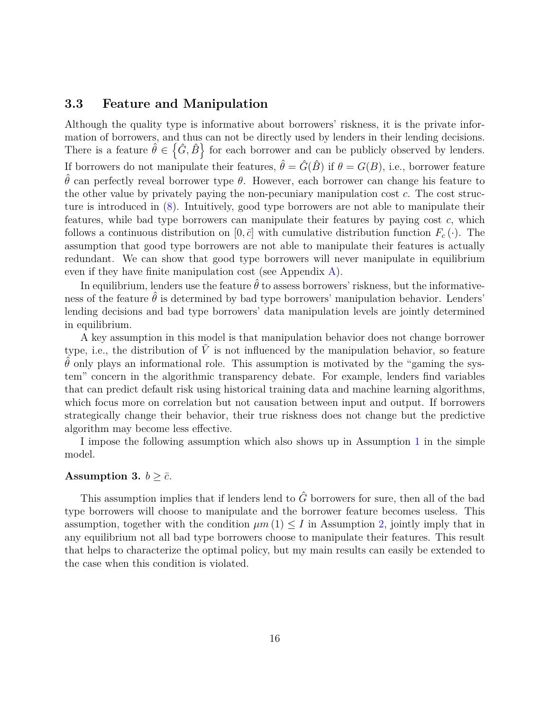# **3.3 Feature and Manipulation**

Although the quality type is informative about borrowers' riskness, it is the private information of borrowers, and thus can not be directly used by lenders in their lending decisions. There is a feature  $\hat{\theta} \in {\{\hat{G}, \hat{B}\}}$  for each borrower and can be publicly observed by lenders. If borrowers do not manipulate their features,  $\hat{\theta} = \hat{G}(\hat{B})$  if  $\theta = G(B)$ , i.e., borrower feature  $\hat{\theta}$  can perfectly reveal borrower type  $\theta$ . However, each borrower can change his feature to the other value by privately paying the non-pecuniary manipulation cost *c*. The cost structure is introduced in [\(8\)](#page-13-3). Intuitively, good type borrowers are not able to manipulate their features, while bad type borrowers can manipulate their features by paying cost *c*, which follows a continuous distribution on  $[0, \bar{c}]$  with cumulative distribution function  $F_c(\cdot)$ . The assumption that good type borrowers are not able to manipulate their features is actually redundant. We can show that good type borrowers will never manipulate in equilibrium even if they have finite manipulation cost (see Appendix [A\)](#page-41-0).

In equilibrium, lenders use the feature  $\theta$  to assess borrowers' riskness, but the informativeness of the feature  $\hat{\theta}$  is determined by bad type borrowers' manipulation behavior. Lenders' lending decisions and bad type borrowers' data manipulation levels are jointly determined in equilibrium.

A key assumption in this model is that manipulation behavior does not change borrower type, i.e., the distribution of  $V$  is not influenced by the manipulation behavior, so feature  $\hat{\theta}$  only plays an informational role. This assumption is motivated by the "gaming the system" concern in the algorithmic transparency debate. For example, lenders find variables that can predict default risk using historical training data and machine learning algorithms, which focus more on correlation but not causation between input and output. If borrowers strategically change their behavior, their true riskness does not change but the predictive algorithm may become less effective.

I impose the following assumption which also shows up in Assumption [1](#page-6-2) in the simple model.

#### <span id="page-15-0"></span>**Assumption 3.**  $b \geq \overline{c}$ .

This assumption implies that if lenders lend to  $\hat{G}$  borrowers for sure, then all of the bad type borrowers will choose to manipulate and the borrower feature becomes useless. This assumption, together with the condition  $\mu m(1) \leq I$  in Assumption [2,](#page-14-1) jointly imply that in any equilibrium not all bad type borrowers choose to manipulate their features. This result that helps to characterize the optimal policy, but my main results can easily be extended to the case when this condition is violated.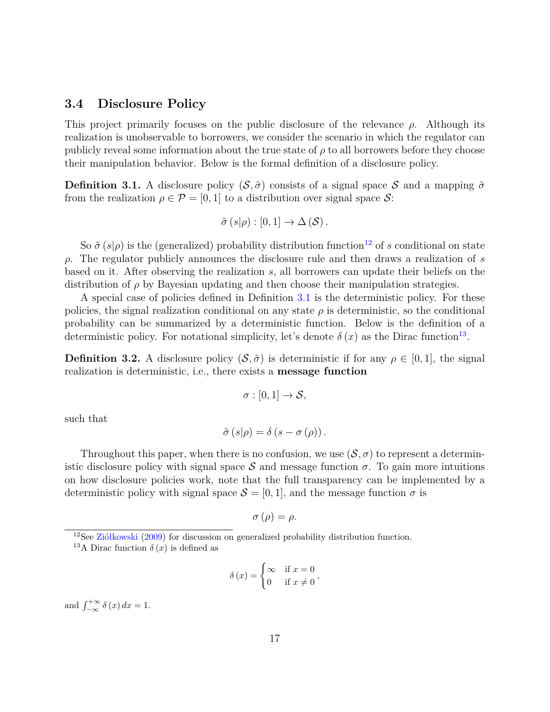### <span id="page-16-0"></span>**3.4 Disclosure Policy**

This project primarily focuses on the public disclosure of the relevance *ρ*. Although its realization is unobservable to borrowers, we consider the scenario in which the regulator can publicly reveal some information about the true state of  $\rho$  to all borrowers before they choose their manipulation behavior. Below is the formal definition of a disclosure policy.

<span id="page-16-2"></span>**Definition 3.1.** A disclosure policy  $(S, \tilde{\sigma})$  consists of a signal space S and a mapping  $\tilde{\sigma}$ from the realization  $\rho \in \mathcal{P} = [0, 1]$  to a distribution over signal space  $\mathcal{S}$ :

$$
\tilde{\sigma}\left(s|\rho\right):[0,1]\to\Delta\left(\mathcal{S}\right).
$$

So  $\tilde{\sigma}(s|\rho)$  is the (generalized) probability distribution function<sup>[12](#page-16-1)</sup> of *s* conditional on state *ρ*. The regulator publicly announces the disclosure rule and then draws a realization of *s* based on it. After observing the realization *s*, all borrowers can update their beliefs on the distribution of *ρ* by Bayesian updating and then choose their manipulation strategies.

A special case of policies defined in Definition [3.1](#page-16-2) is the deterministic policy. For these policies, the signal realization conditional on any state  $\rho$  is deterministic, so the conditional probability can be summarized by a deterministic function. Below is the definition of a deterministic policy. For notational simplicity, let's denote  $\delta(x)$  as the Dirac function<sup>[13](#page-16-3)</sup>.

**Definition 3.2.** A disclosure policy  $(\mathcal{S}, \tilde{\sigma})$  is deterministic if for any  $\rho \in [0, 1]$ , the signal realization is deterministic, i.e., there exists a **message function**

$$
\sigma:[0,1]\to S,
$$

such that

$$
\tilde{\sigma}\left(s|\rho\right) = \delta\left(s - \sigma\left(\rho\right)\right).
$$

Throughout this paper, when there is no confusion, we use  $(S, \sigma)$  to represent a deterministic disclosure policy with signal space  $S$  and message function  $\sigma$ . To gain more intuitions on how disclosure policies work, note that the full transparency can be implemented by a deterministic policy with signal space  $S = [0, 1]$ , and the message function  $\sigma$  is

$$
\sigma\left(\rho\right)=\rho.
$$

$$
\delta(x) = \begin{cases} \infty & \text{if } x = 0 \\ 0 & \text{if } x \neq 0 \end{cases},
$$

and  $\int_{-\infty}^{+\infty} \delta(x) dx = 1$ .

<span id="page-16-1"></span><sup>&</sup>lt;sup>12</sup>See [Ziółkowski](#page-40-10) [\(2009\)](#page-40-10) for discussion on generalized probability distribution function.

<span id="page-16-3"></span><sup>&</sup>lt;sup>13</sup>A Dirac function  $\delta(x)$  is defined as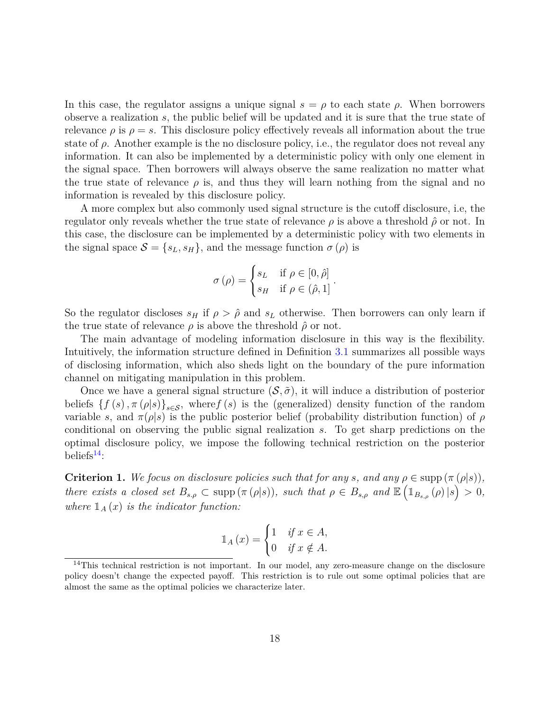In this case, the regulator assigns a unique signal  $s = \rho$  to each state  $\rho$ . When borrowers observe a realization *s*, the public belief will be updated and it is sure that the true state of relevance  $\rho$  is  $\rho = s$ . This disclosure policy effectively reveals all information about the true state of  $\rho$ . Another example is the no disclosure policy, i.e., the regulator does not reveal any information. It can also be implemented by a deterministic policy with only one element in the signal space. Then borrowers will always observe the same realization no matter what the true state of relevance  $\rho$  is, and thus they will learn nothing from the signal and no information is revealed by this disclosure policy.

A more complex but also commonly used signal structure is the cutoff disclosure, i.e, the regulator only reveals whether the true state of relevance  $\rho$  is above a threshold  $\hat{\rho}$  or not. In this case, the disclosure can be implemented by a deterministic policy with two elements in the signal space  $S = \{s_L, s_H\}$ , and the message function  $\sigma(\rho)$  is

$$
\sigma(\rho) = \begin{cases} s_L & \text{if } \rho \in [0, \hat{\rho}] \\ s_H & \text{if } \rho \in (\hat{\rho}, 1] \end{cases}.
$$

So the regulator discloses  $s_H$  if  $\rho > \hat{\rho}$  and  $s_L$  otherwise. Then borrowers can only learn if the true state of relevance  $\rho$  is above the threshold  $\hat{\rho}$  or not.

The main advantage of modeling information disclosure in this way is the flexibility. Intuitively, the information structure defined in Definition [3.1](#page-16-2) summarizes all possible ways of disclosing information, which also sheds light on the boundary of the pure information channel on mitigating manipulation in this problem.

Once we have a general signal structure  $(S, \tilde{\sigma})$ , it will induce a distribution of posterior beliefs  $\{f(s), \pi(\rho|s)\}_{s\in\mathcal{S}}$ , where *f* (*s*) is the (generalized) density function of the random variable *s*, and  $\pi(\rho|s)$  is the public posterior belief (probability distribution function) of  $\rho$ conditional on observing the public signal realization *s*. To get sharp predictions on the optimal disclosure policy, we impose the following technical restriction on the posterior beliefs $14$ :

**Criterion 1.** We focus on disclosure policies such that for any *s*, and any  $\rho \in \text{supp } (\pi (\rho | s))$ , *there exists a closed set*  $B_{s,\rho} \subset \text{supp} (\pi (\rho | s))$ *, such that*  $\rho \in B_{s,\rho}$  *and*  $\mathbb{E} (\mathbb{1}_{B_{s,\rho}} (\rho) | s) > 0$ *, where*  $\mathbb{1}_A(x)$  *is the indicator function:* 

$$
\mathbb{1}_A(x) = \begin{cases} 1 & \text{if } x \in A, \\ 0 & \text{if } x \notin A. \end{cases}
$$

<span id="page-17-0"></span> $14$ This technical restriction is not important. In our model, any zero-measure change on the disclosure policy doesn't change the expected payoff. This restriction is to rule out some optimal policies that are almost the same as the optimal policies we characterize later.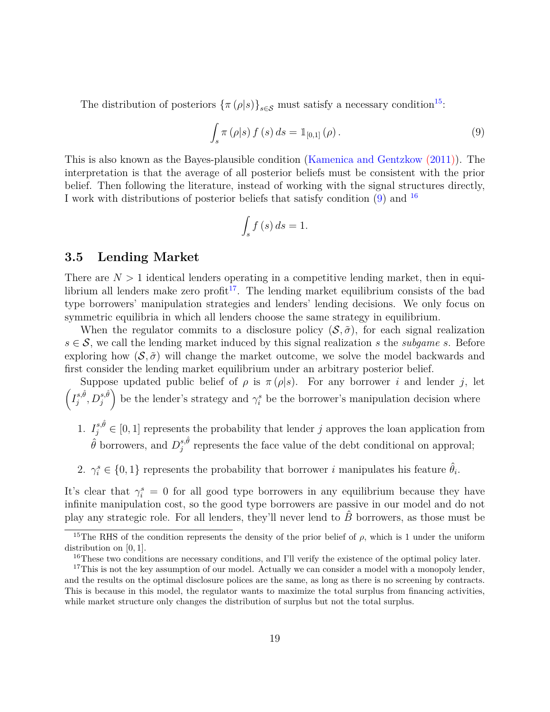The distribution of posteriors  $\{\pi(\rho|s)\}_{s\in\mathcal{S}}$  must satisfy a necessary condition<sup>[15](#page-18-0)</sup>:

<span id="page-18-1"></span>
$$
\int_{s} \pi (\rho | s) f (s) ds = \mathbb{1}_{[0,1]} (\rho).
$$
 (9)

This is also known as the Bayes-plausible condition [\(Kamenica and Gentzkow](#page-40-1) [\(2011\)](#page-40-1)). The interpretation is that the average of all posterior beliefs must be consistent with the prior belief. Then following the literature, instead of working with the signal structures directly, I work with distributions of posterior beliefs that satisfy condition [\(9\)](#page-18-1) and [16](#page-18-2)

$$
\int_{s} f\left(s\right) ds = 1.
$$

## **3.5 Lending Market**

There are  $N > 1$  identical lenders operating in a competitive lending market, then in equi-librium all lenders make zero profit<sup>[17](#page-18-3)</sup>. The lending market equilibrium consists of the bad type borrowers' manipulation strategies and lenders' lending decisions. We only focus on symmetric equilibria in which all lenders choose the same strategy in equilibrium.

When the regulator commits to a disclosure policy  $(S, \tilde{\sigma})$ , for each signal realization  $s \in S$ , we call the lending market induced by this signal realization *s* the *subgame s*. Before exploring how  $(\mathcal{S}, \tilde{\sigma})$  will change the market outcome, we solve the model backwards and first consider the lending market equilibrium under an arbitrary posterior belief.

Suppose updated public belief of  $\rho$  is  $\pi(\rho|s)$ . For any borrower *i* and lender *j*, let  $\left(I_i^{s,\hat{\theta}}\right)$  $\hat{B}_{j}^{s,\hat{\theta}},D_{j}^{s,\hat{\theta}}$ be the lender's strategy and  $\gamma_i^s$  be the borrower's manipulation decision where

- 1.  $I_j^{s,\hat{\theta}} \in [0,1]$  represents the probability that lender *j* approves the loan application from  $\hat{\theta}$  borrowers, and  $D_i^{s,\hat{\theta}}$  $j_j^{s,t}$  represents the face value of the debt conditional on approval;
- 2.  $\gamma_i^s \in \{0, 1\}$  represents the probability that borrower *i* manipulates his feature  $\hat{\theta}_i$ .

It's clear that  $\gamma_i^s = 0$  for all good type borrowers in any equilibrium because they have infinite manipulation cost, so the good type borrowers are passive in our model and do not play any strategic role. For all lenders, they'll never lend to  $\hat{B}$  borrowers, as those must be

<span id="page-18-0"></span><sup>&</sup>lt;sup>15</sup>The RHS of the condition represents the density of the prior belief of  $\rho$ , which is 1 under the uniform distribution on [0*,* 1].

<span id="page-18-3"></span><span id="page-18-2"></span><sup>&</sup>lt;sup>16</sup>These two conditions are necessary conditions, and I'll verify the existence of the optimal policy later.

<sup>&</sup>lt;sup>17</sup>This is not the key assumption of our model. Actually we can consider a model with a monopoly lender, and the results on the optimal disclosure polices are the same, as long as there is no screening by contracts. This is because in this model, the regulator wants to maximize the total surplus from financing activities, while market structure only changes the distribution of surplus but not the total surplus.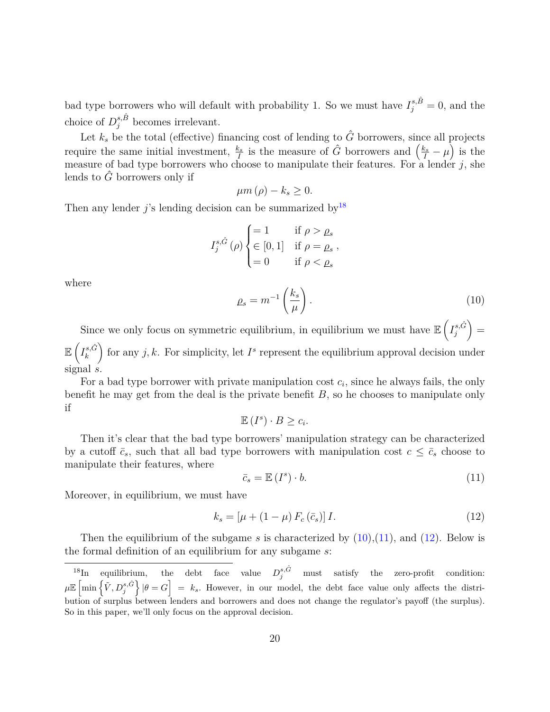bad type borrowers who will default with probability 1. So we must have  $I_j^{s,\hat{B}} = 0$ , and the choice of  $D_j^{s,\hat{B}}$  becomes irrelevant.

Let  $k_s$  be the total (effective) financing cost of lending to  $\hat{G}$  borrowers, since all projects require the same initial investment,  $\frac{k_s}{I}$  is the measure of  $\hat{G}$  borrowers and  $\left(\frac{k_s}{I} - \mu\right)$  is the measure of bad type borrowers who choose to manipulate their features. For a lender *j*, she lends to  $\tilde{G}$  borrowers only if

$$
\mu m\left(\rho\right) - k_s \geq 0.
$$

Then any lender  $j$ 's lending decision can be summarized by<sup>[18](#page-19-0)</sup>

$$
I_j^{s,\hat{G}}(\rho) \begin{cases} = 1 & \text{if } \rho > \rho_s \\ \in [0,1] & \text{if } \rho = \rho_s \\ = 0 & \text{if } \rho < \rho_s \end{cases}
$$

where

<span id="page-19-1"></span>
$$
\rho_s = m^{-1} \left( \frac{k_s}{\mu} \right). \tag{10}
$$

Since we only focus on symmetric equilibrium, in equilibrium we must have  $\mathbb{E}\left(I_i^{s,\hat{G}}\right)$ *j*  $=$  $\mathbb{E}\left(I_{k}^{s,\hat{G}}\right)$ *k* for any  $j, k$ . For simplicity, let  $I^s$  represent the equilibrium approval decision under signal *s*.

For a bad type borrower with private manipulation cost  $c_i$ , since he always fails, the only benefit he may get from the deal is the private benefit *B*, so he chooses to manipulate only if

$$
\mathbb{E}(I^s) \cdot B \geq c_i.
$$

Then it's clear that the bad type borrowers' manipulation strategy can be characterized by a cutoff  $\bar{c}_s$ , such that all bad type borrowers with manipulation cost  $c \leq \bar{c}_s$  choose to manipulate their features, where

<span id="page-19-2"></span>
$$
\bar{c}_s = \mathbb{E}\left(I^s\right) \cdot b. \tag{11}
$$

Moreover, in equilibrium, we must have

<span id="page-19-3"></span>
$$
k_s = [\mu + (1 - \mu) F_c (\bar{c}_s)] I.
$$
 (12)

Then the equilibrium of the subgame *s* is characterized by [\(10\)](#page-19-1),[\(11\)](#page-19-2), and [\(12\)](#page-19-3). Below is the formal definition of an equilibrium for any subgame *s*:

<span id="page-19-4"></span><span id="page-19-0"></span><sup>&</sup>lt;sup>18</sup>In equilibrium, the debt face value  $D_j^{s,\hat{G}}$  must satisfy the zero-profit condition:  $\mu \mathbb{E} \left[ \min \left\{ \tilde{V}, D_j^{s, \hat{G}} \right\} | \theta = G \right] = k_s$ . However, in our model, the debt face value only affects the distribution of surplus between lenders and borrowers and does not change the regulator's payoff (the surplus). So in this paper, we'll only focus on the approval decision.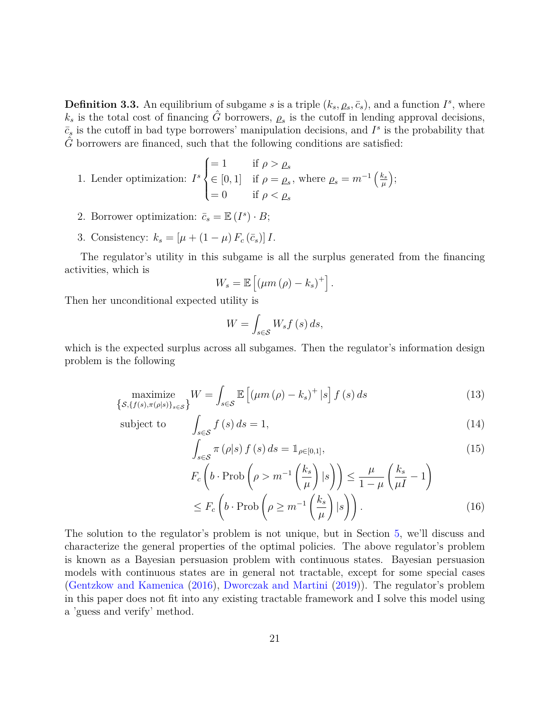**Definition 3.3.** An equilibrium of subgame *s* is a triple  $(k_s, \rho_s, \bar{c}_s)$ , and a function  $I^s$ , where  $k_s$  is the total cost of financing  $\hat{G}$  borrowers,  $\rho_s$  is the cutoff in lending approval decisions,  $\bar{c}_s$  is the cutoff in bad type borrowers' manipulation decisions, and  $I^s$  is the probability that  $\hat{G}$  borrowers are financed, such that the following conditions are satisfied:

1. Lender optimization: 
$$
I^s \begin{cases} = 1 & \text{if } \rho > \rho_s \\ \in [0, 1] & \text{if } \rho = \rho_s, \text{ where } \rho_s = m^{-1} \left( \frac{k_s}{\mu} \right); \\ = 0 & \text{if } \rho < \rho_s \end{cases}
$$

- 2. Borrower optimization:  $\bar{c}_s = \mathbb{E}(I^s) \cdot B;$
- 3. Consistency:  $k_s = [\mu + (1 \mu) F_c(\bar{c}_s)] I$ .

The regulator's utility in this subgame is all the surplus generated from the financing activities, which is

$$
W_s = \mathbb{E}\left[\left(\mu m\left(\rho\right) - k_s\right)^+\right].
$$

Then her unconditional expected utility is

$$
W = \int_{s \in \mathcal{S}} W_s f(s) \, ds,
$$

which is the expected surplus across all subgames. Then the regulator's information design problem is the following

$$
\underset{\{S,\{f(s),\pi(\rho|s)\}_{s\in\mathcal{S}}\}}{\text{maximize}} W = \int_{s\in\mathcal{S}} \mathbb{E}\left[ (\mu m\,(\rho) - k_s)^+ \,|s\right] f\,(s) \,ds\tag{13}
$$

subject to

$$
\int_{s \in S} f(s) ds = 1,
$$
\n(14)\n
$$
\int_{s \in S} \pi(\rho|s) f(s) ds = \mathbb{1}_{\rho \in [0,1]},
$$

$$
J_{s \in S}
$$
  
\n
$$
F_c \left( b \cdot \text{Prob} \left( \rho > m^{-1} \left( \frac{k_s}{\mu} \right) | s \right) \right) \le \frac{\mu}{1 - \mu} \left( \frac{k_s}{\mu} - 1 \right)
$$
  
\n
$$
\le F_c \left( b \cdot \text{Prob} \left( \rho \ge m^{-1} \left( \frac{k_s}{\mu} \right) | s \right) \right).
$$
\n(16)

The solution to the regulator's problem is not unique, but in Section [5,](#page-25-0) we'll discuss and characterize the general properties of the optimal policies. The above regulator's problem is known as a Bayesian persuasion problem with continuous states. Bayesian persuasion models with continuous states are in general not tractable, except for some special cases [\(Gentzkow and Kamenica](#page-39-7) [\(2016\)](#page-39-7), [Dworczak and Martini](#page-39-6) [\(2019\)](#page-39-6)). The regulator's problem in this paper does not fit into any existing tractable framework and I solve this model using a 'guess and verify' method.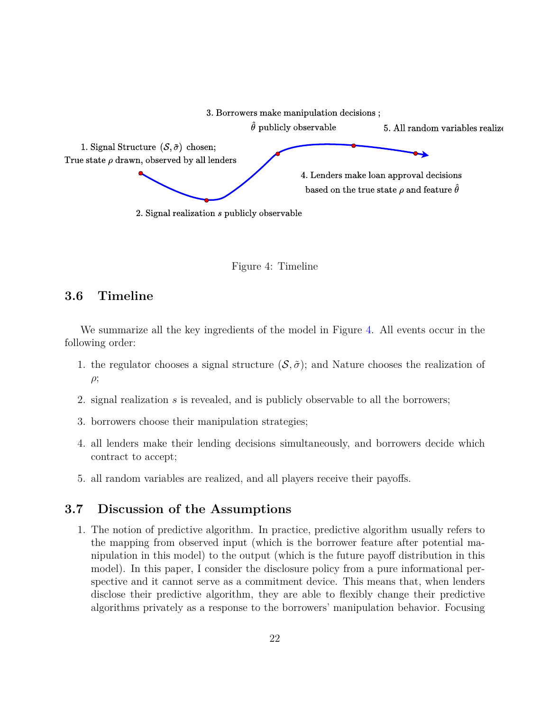

<span id="page-21-1"></span>Figure 4: Timeline

# **3.6 Timeline**

We summarize all the key ingredients of the model in Figure [4.](#page-21-1) All events occur in the following order:

- 1. the regulator chooses a signal structure  $(S, \tilde{\sigma})$ ; and Nature chooses the realization of *ρ*;
- 2. signal realization *s* is revealed, and is publicly observable to all the borrowers;
- 3. borrowers choose their manipulation strategies;
- 4. all lenders make their lending decisions simultaneously, and borrowers decide which contract to accept;
- 5. all random variables are realized, and all players receive their payoffs.

# <span id="page-21-0"></span>**3.7 Discussion of the Assumptions**

1. The notion of predictive algorithm. In practice, predictive algorithm usually refers to the mapping from observed input (which is the borrower feature after potential manipulation in this model) to the output (which is the future payoff distribution in this model). In this paper, I consider the disclosure policy from a pure informational perspective and it cannot serve as a commitment device. This means that, when lenders disclose their predictive algorithm, they are able to flexibly change their predictive algorithms privately as a response to the borrowers' manipulation behavior. Focusing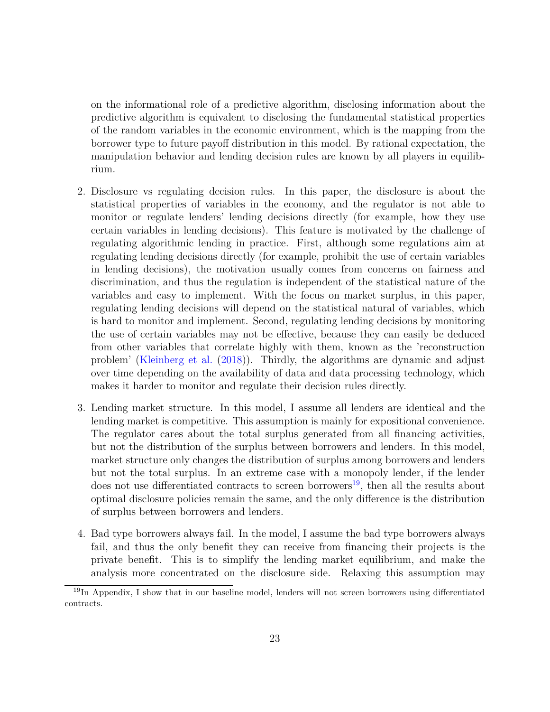on the informational role of a predictive algorithm, disclosing information about the predictive algorithm is equivalent to disclosing the fundamental statistical properties of the random variables in the economic environment, which is the mapping from the borrower type to future payoff distribution in this model. By rational expectation, the manipulation behavior and lending decision rules are known by all players in equilibrium.

- 2. Disclosure vs regulating decision rules. In this paper, the disclosure is about the statistical properties of variables in the economy, and the regulator is not able to monitor or regulate lenders' lending decisions directly (for example, how they use certain variables in lending decisions). This feature is motivated by the challenge of regulating algorithmic lending in practice. First, although some regulations aim at regulating lending decisions directly (for example, prohibit the use of certain variables in lending decisions), the motivation usually comes from concerns on fairness and discrimination, and thus the regulation is independent of the statistical nature of the variables and easy to implement. With the focus on market surplus, in this paper, regulating lending decisions will depend on the statistical natural of variables, which is hard to monitor and implement. Second, regulating lending decisions by monitoring the use of certain variables may not be effective, because they can easily be deduced from other variables that correlate highly with them, known as the 'reconstruction problem' [\(Kleinberg et al.](#page-40-11) [\(2018\)](#page-40-11)). Thirdly, the algorithms are dynamic and adjust over time depending on the availability of data and data processing technology, which makes it harder to monitor and regulate their decision rules directly.
- 3. Lending market structure. In this model, I assume all lenders are identical and the lending market is competitive. This assumption is mainly for expositional convenience. The regulator cares about the total surplus generated from all financing activities, but not the distribution of the surplus between borrowers and lenders. In this model, market structure only changes the distribution of surplus among borrowers and lenders but not the total surplus. In an extreme case with a monopoly lender, if the lender does not use differentiated contracts to screen borrowers<sup>[19](#page-22-0)</sup>, then all the results about optimal disclosure policies remain the same, and the only difference is the distribution of surplus between borrowers and lenders.
- 4. Bad type borrowers always fail. In the model, I assume the bad type borrowers always fail, and thus the only benefit they can receive from financing their projects is the private benefit. This is to simplify the lending market equilibrium, and make the analysis more concentrated on the disclosure side. Relaxing this assumption may

<span id="page-22-0"></span> $19$ In Appendix, I show that in our baseline model, lenders will not screen borrowers using differentiated contracts.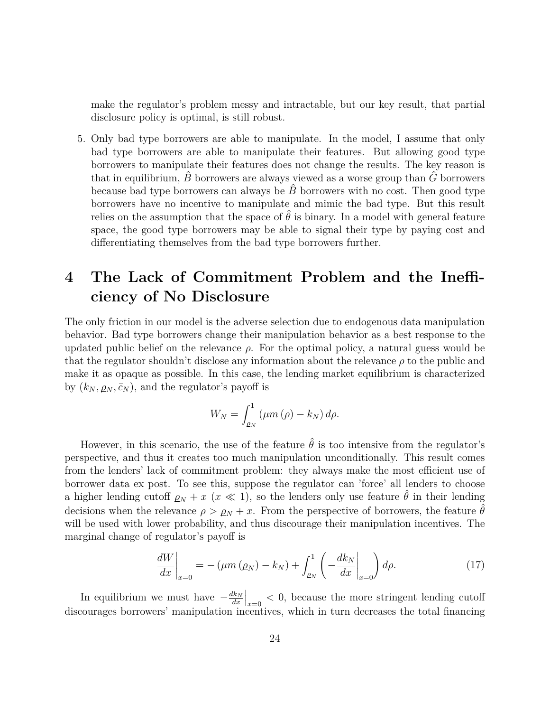make the regulator's problem messy and intractable, but our key result, that partial disclosure policy is optimal, is still robust.

5. Only bad type borrowers are able to manipulate. In the model, I assume that only bad type borrowers are able to manipulate their features. But allowing good type borrowers to manipulate their features does not change the results. The key reason is that in equilibrium,  $\hat{B}$  borrowers are always viewed as a worse group than  $\hat{G}$  borrowers because bad type borrowers can always be  $\hat{B}$  borrowers with no cost. Then good type borrowers have no incentive to manipulate and mimic the bad type. But this result relies on the assumption that the space of  $\hat{\theta}$  is binary. In a model with general feature space, the good type borrowers may be able to signal their type by paying cost and differentiating themselves from the bad type borrowers further.

# <span id="page-23-0"></span>**4 The Lack of Commitment Problem and the Inefficiency of No Disclosure**

The only friction in our model is the adverse selection due to endogenous data manipulation behavior. Bad type borrowers change their manipulation behavior as a best response to the updated public belief on the relevance  $\rho$ . For the optimal policy, a natural guess would be that the regulator shouldn't disclose any information about the relevance *ρ* to the public and make it as opaque as possible. In this case, the lending market equilibrium is characterized by  $(k_N, \rho_N, \bar{c}_N)$ , and the regulator's payoff is

$$
W_N = \int_{\rho_N}^1 (\mu m \, (\rho) - k_N) \, d\rho.
$$

However, in this scenario, the use of the feature  $\hat{\theta}$  is too intensive from the regulator's perspective, and thus it creates too much manipulation unconditionally. This result comes from the lenders' lack of commitment problem: they always make the most efficient use of borrower data ex post. To see this, suppose the regulator can 'force' all lenders to choose a higher lending cutoff  $\rho_N + x$  ( $x \ll 1$ ), so the lenders only use feature  $\hat{\theta}$  in their lending decisions when the relevance  $\rho > \rho_N + x$ . From the perspective of borrowers, the feature  $\hat{\theta}$ will be used with lower probability, and thus discourage their manipulation incentives. The marginal change of regulator's payoff is

<span id="page-23-1"></span>
$$
\left. \frac{dW}{dx} \right|_{x=0} = -\left(\mu m\left(\rho_N\right) - k_N\right) + \int_{\rho_N}^1 \left(-\frac{dk_N}{dx} \bigg|_{x=0}\right) d\rho. \tag{17}
$$

In equilibrium we must have  $-\frac{dk_N}{dr}$ *dx*  $\left| \right|_{x=0}$  < 0, because the more stringent lending cutoff discourages borrowers' manipulation incentives, which in turn decreases the total financing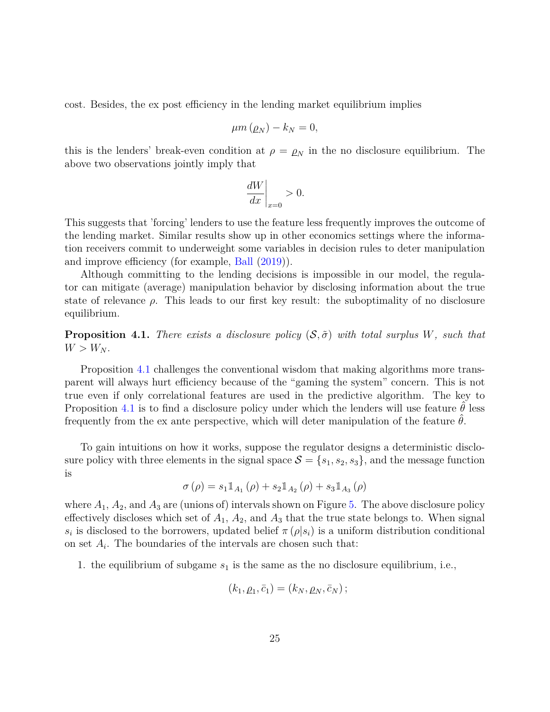cost. Besides, the ex post efficiency in the lending market equilibrium implies

$$
\mu m\left(\rho_N\right)-k_N=0,
$$

this is the lenders' break-even condition at  $\rho = \rho_N$  in the no disclosure equilibrium. The above two observations jointly imply that

$$
\left. \frac{dW}{dx} \right|_{x=0} > 0.
$$

This suggests that 'forcing' lenders to use the feature less frequently improves the outcome of the lending market. Similar results show up in other economics settings where the information receivers commit to underweight some variables in decision rules to deter manipulation and improve efficiency (for example, [Ball](#page-38-6) [\(2019\)](#page-38-6)).

Although committing to the lending decisions is impossible in our model, the regulator can mitigate (average) manipulation behavior by disclosing information about the true state of relevance  $\rho$ . This leads to our first key result: the suboptimality of no disclosure equilibrium.

<span id="page-24-0"></span>**Proposition 4.1.** *There exists a disclosure policy*  $(S, \tilde{\sigma})$  *with total surplus W, such that*  $W > W_N$ .

Proposition [4.1](#page-24-0) challenges the conventional wisdom that making algorithms more transparent will always hurt efficiency because of the "gaming the system" concern. This is not true even if only correlational features are used in the predictive algorithm. The key to Proposition [4.1](#page-24-0) is to find a disclosure policy under which the lenders will use feature  $\theta$  less frequently from the ex ante perspective, which will deter manipulation of the feature  $\theta$ .

To gain intuitions on how it works, suppose the regulator designs a deterministic disclosure policy with three elements in the signal space  $S = \{s_1, s_2, s_3\}$ , and the message function is

$$
\sigma\left(\rho\right)=s_{1}\mathbb{1}_{A_{1}}\left(\rho\right)+s_{2}\mathbb{1}_{A_{2}}\left(\rho\right)+s_{3}\mathbb{1}_{A_{3}}\left(\rho\right)
$$

where  $A_1$ ,  $A_2$ , and  $A_3$  are (unions of) intervals shown on Figure [5.](#page-25-1) The above disclosure policy effectively discloses which set of  $A_1$ ,  $A_2$ , and  $A_3$  that the true state belongs to. When signal *s*<sup>*i*</sup> is disclosed to the borrowers, updated belief  $\pi(\rho|s_i)$  is a uniform distribution conditional on set  $A_i$ . The boundaries of the intervals are chosen such that:

1. the equilibrium of subgame *s*<sup>1</sup> is the same as the no disclosure equilibrium, i.e.,

$$
(k_1, \rho_1, \bar{c}_1) = (k_N, \rho_N, \bar{c}_N);
$$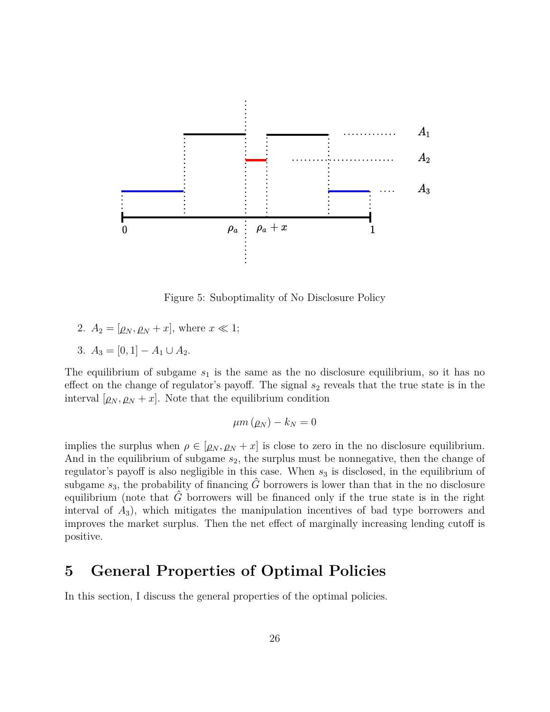

<span id="page-25-1"></span>Figure 5: Suboptimality of No Disclosure Policy

- 2.  $A_2 = [\rho_N, \rho_N + x]$ , where  $x \ll 1$ ;
- 3.  $A_3 = [0, 1] A_1 \cup A_2$ .

The equilibrium of subgame  $s_1$  is the same as the no disclosure equilibrium, so it has no effect on the change of regulator's payoff. The signal  $s_2$  reveals that the true state is in the interval  $[\rho_N, \rho_N + x]$ . Note that the equilibrium condition

$$
\mu m\left(\rho_N\right) - k_N = 0
$$

implies the surplus when  $\rho \in [\rho_N, \rho_N + x]$  is close to zero in the no disclosure equilibrium. And in the equilibrium of subgame *s*2, the surplus must be nonnegative, then the change of regulator's payoff is also negligible in this case. When  $s_3$  is disclosed, in the equilibrium of subgame  $s_3$ , the probability of financing  $\hat{G}$  borrowers is lower than that in the no disclosure equilibrium (note that  $\tilde{G}$  borrowers will be financed only if the true state is in the right interval of *A*3), which mitigates the manipulation incentives of bad type borrowers and improves the market surplus. Then the net effect of marginally increasing lending cutoff is positive.

# <span id="page-25-0"></span>**5 General Properties of Optimal Policies**

In this section, I discuss the general properties of the optimal policies.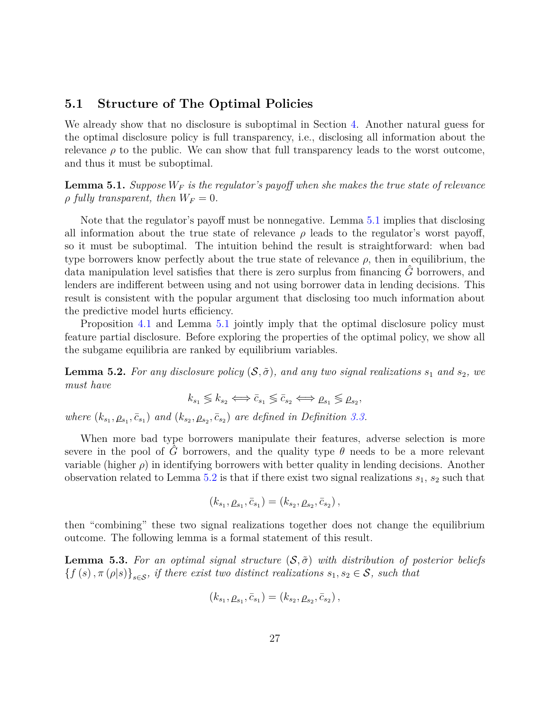## **5.1 Structure of The Optimal Policies**

We already show that no disclosure is suboptimal in Section [4.](#page-23-0) Another natural guess for the optimal disclosure policy is full transparency, i.e., disclosing all information about the relevance  $\rho$  to the public. We can show that full transparency leads to the worst outcome, and thus it must be suboptimal.

<span id="page-26-0"></span>**Lemma 5.1.** *Suppose W<sup>F</sup> is the regulator's payoff when she makes the true state of relevance*  $\rho$  *fully transparent, then*  $W_F = 0$ .

Note that the regulator's payoff must be nonnegative. Lemma [5.1](#page-26-0) implies that disclosing all information about the true state of relevance  $\rho$  leads to the regulator's worst payoff, so it must be suboptimal. The intuition behind the result is straightforward: when bad type borrowers know perfectly about the true state of relevance  $\rho$ , then in equilibrium, the data manipulation level satisfies that there is zero surplus from financing  $\hat{G}$  borrowers, and lenders are indifferent between using and not using borrower data in lending decisions. This result is consistent with the popular argument that disclosing too much information about the predictive model hurts efficiency.

Proposition [4.1](#page-24-0) and Lemma [5.1](#page-26-0) jointly imply that the optimal disclosure policy must feature partial disclosure. Before exploring the properties of the optimal policy, we show all the subgame equilibria are ranked by equilibrium variables.

<span id="page-26-1"></span>**Lemma 5.2.** For any disclosure policy  $(S, \tilde{\sigma})$ , and any two signal realizations  $s_1$  and  $s_2$ , we *must have*

$$
k_{s_1} \lessgtr k_{s_2} \Longleftrightarrow \bar{c}_{s_1} \lessgtr \bar{c}_{s_2} \Longleftrightarrow \rho_{s_1} \lessgtr \rho_{s_2},
$$

*where*  $(k_{s_1}, \rho_{s_1}, \bar{c}_{s_1})$  *and*  $(k_{s_2}, \rho_{s_2}, \bar{c}_{s_2})$  *are defined in Definition [3.3.](#page-19-4)* 

When more bad type borrowers manipulate their features, adverse selection is more severe in the pool of *G* borrowers, and the quality type  $\theta$  needs to be a more relevant variable (higher  $\rho$ ) in identifying borrowers with better quality in lending decisions. Another observation related to Lemma  $5.2$  is that if there exist two signal realizations  $s_1$ ,  $s_2$  such that

$$
(k_{s_1}, \rho_{s_1}, \bar{c}_{s_1}) = (k_{s_2}, \rho_{s_2}, \bar{c}_{s_2}),
$$

then "combining" these two signal realizations together does not change the equilibrium outcome. The following lemma is a formal statement of this result.

<span id="page-26-2"></span>**Lemma 5.3.** For an optimal signal structure  $(S, \tilde{\sigma})$  with distribution of posterior beliefs  ${f (s), \pi (\rho | s)}_{s \in S}$ *, if there exist two distinct realizations*  $s_1, s_2 \in S$ *, such that* 

$$
(k_{s_1}, \rho_{s_1}, \bar{c}_{s_1}) = (k_{s_2}, \rho_{s_2}, \bar{c}_{s_2}),
$$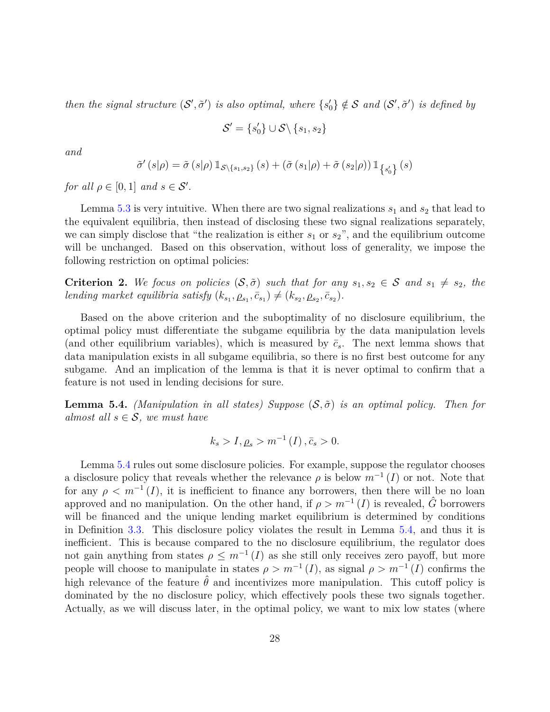*then the signal structure*  $(S', \tilde{\sigma}')$  *is also optimal, where*  $\{s'_0\} \notin S$  *and*  $(S', \tilde{\sigma}')$  *is defined by* 

$$
\mathcal{S}' = \{s_0'\} \cup \mathcal{S} \setminus \{s_1, s_2\}
$$

*and*

$$
\tilde{\sigma}'\left(s|\rho\right) = \tilde{\sigma}\left(s|\rho\right) \mathbbm{1}_{\mathcal{S}\backslash\{s_1,s_2\}}\left(s\right) + \left(\tilde{\sigma}\left(s_1|\rho\right) + \tilde{\sigma}\left(s_2|\rho\right)\right) \mathbbm{1}_{\left\{s_0'\right\}}\left(s\right)
$$

*for all*  $\rho \in [0,1]$  *and*  $s \in S'$ .

Lemma [5.3](#page-26-2) is very intuitive. When there are two signal realizations  $s_1$  and  $s_2$  that lead to the equivalent equilibria, then instead of disclosing these two signal realizations separately, we can simply disclose that "the realization is either  $s_1$  or  $s_2$ ", and the equilibrium outcome will be unchanged. Based on this observation, without loss of generality, we impose the following restriction on optimal policies:

<span id="page-27-1"></span>**Criterion 2.** We focus on policies  $(S, \tilde{\sigma})$  such that for any  $s_1, s_2 \in S$  and  $s_1 \neq s_2$ , the *lending market equilibria satisfy*  $(k_{s_1}, \rho_{s_1}, \bar{c}_{s_1}) \neq (k_{s_2}, \rho_{s_2}, \bar{c}_{s_2})$ .

Based on the above criterion and the suboptimality of no disclosure equilibrium, the optimal policy must differentiate the subgame equilibria by the data manipulation levels (and other equilibrium variables), which is measured by  $\bar{c}_s$ . The next lemma shows that data manipulation exists in all subgame equilibria, so there is no first best outcome for any subgame. And an implication of the lemma is that it is never optimal to confirm that a feature is not used in lending decisions for sure.

<span id="page-27-0"></span>**Lemma 5.4.** *(Manipulation in all states) Suppose*  $(S, \tilde{\sigma})$  *is an optimal policy. Then for almost all*  $s \in S$ *, we must have* 

$$
k_s > I, \rho_s > m^{-1}(I), \bar{c}_s > 0.
$$

Lemma [5.4](#page-27-0) rules out some disclosure policies. For example, suppose the regulator chooses a disclosure policy that reveals whether the relevance  $\rho$  is below  $m^{-1}(I)$  or not. Note that for any  $\rho < m^{-1}(I)$ , it is inefficient to finance any borrowers, then there will be no loan approved and no manipulation. On the other hand, if  $\rho > m^{-1}(I)$  is revealed,  $\hat{G}$  borrowers will be financed and the unique lending market equilibrium is determined by conditions in Definition [3.3.](#page-19-4) This disclosure policy violates the result in Lemma [5.4,](#page-27-0) and thus it is inefficient. This is because compared to the no disclosure equilibrium, the regulator does not gain anything from states  $\rho \leq m^{-1}(I)$  as she still only receives zero payoff, but more people will choose to manipulate in states  $\rho > m^{-1}(I)$ , as signal  $\rho > m^{-1}(I)$  confirms the high relevance of the feature  $\hat{\theta}$  and incentivizes more manipulation. This cutoff policy is dominated by the no disclosure policy, which effectively pools these two signals together. Actually, as we will discuss later, in the optimal policy, we want to mix low states (where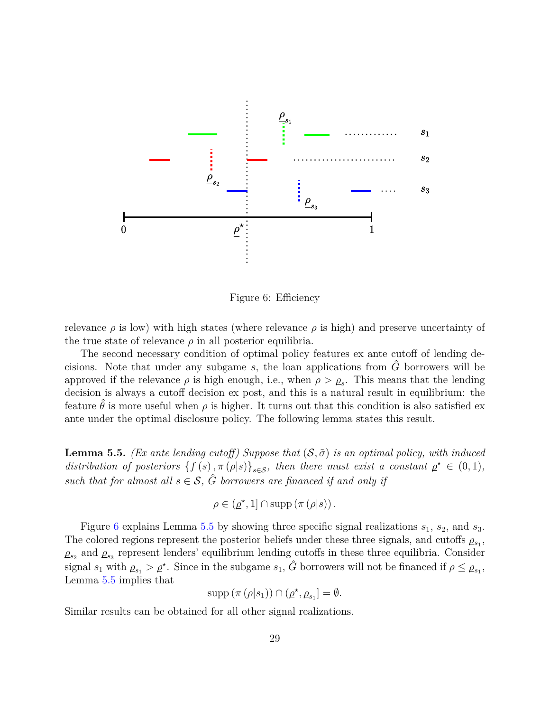

<span id="page-28-0"></span>Figure 6: Efficiency

relevance  $\rho$  is low) with high states (where relevance  $\rho$  is high) and preserve uncertainty of the true state of relevance  $\rho$  in all posterior equilibria.

The second necessary condition of optimal policy features ex ante cutoff of lending decisions. Note that under any subgame  $s$ , the loan applications from  $\hat{G}$  borrowers will be approved if the relevance  $\rho$  is high enough, i.e., when  $\rho > \rho_s$ . This means that the lending decision is always a cutoff decision ex post, and this is a natural result in equilibrium: the feature  $\hat{\theta}$  is more useful when  $\rho$  is higher. It turns out that this condition is also satisfied ex ante under the optimal disclosure policy. The following lemma states this result.

<span id="page-28-1"></span>**Lemma 5.5.** *(Ex ante lending cutoff)* Suppose that  $(S, \tilde{\sigma})$  *is an optimal policy, with induced distribution of posteriors*  $\{f(s), \pi(\rho|s)\}_{s \in \mathcal{S}}$ *, then there must exist a constant*  $\rho^* \in (0,1)$ *, such that for almost all*  $s \in S$ ,  $\hat{G}$  *borrowers are financed if and only if* 

$$
\rho \in (\underline{\rho}^\star, 1] \cap \operatorname{supp} (\pi (\rho | s)).
$$

Figure [6](#page-28-0) explains Lemma [5.5](#page-28-1) by showing three specific signal realizations *s*1, *s*2, and *s*3. The colored regions represent the posterior beliefs under these three signals, and cutoffs  $\rho_{s_1}$ ,  $\rho_{s_2}$  and  $\rho_{s_3}$  represent lenders' equilibrium lending cutoffs in these three equilibria. Consider signal  $s_1$  with  $\rho_{s_1} > \rho^*$ . Since in the subgame  $s_1$ ,  $\hat{G}$  borrowers will not be financed if  $\rho \leq \rho_{s_1}$ , Lemma [5.5](#page-28-1) implies that

$$
supp (\pi (\rho |s_1)) \cap (\rho^*, \rho_{s_1}] = \emptyset.
$$

Similar results can be obtained for all other signal realizations.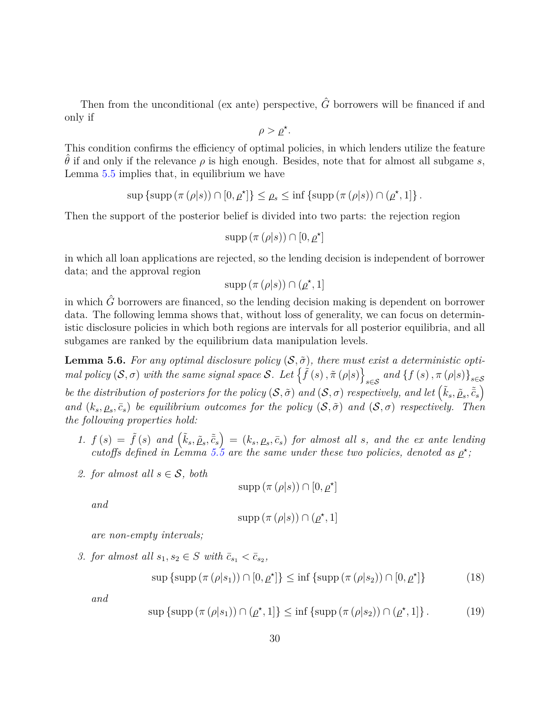Then from the unconditional (ex ante) perspective,  $\hat{G}$  borrowers will be financed if and only if

$$
\rho > \underline{\rho}^*.
$$

This condition confirms the efficiency of optimal policies, in which lenders utilize the feature  $\hat{\theta}$  if and only if the relevance  $\rho$  is high enough. Besides, note that for almost all subgame *s*, Lemma [5.5](#page-28-1) implies that, in equilibrium we have

$$
\sup \left\{ \sup \left( \pi \left( \rho | s \right) \right) \cap [0, \rho^{\star}] \right\} \leq \rho_s \leq \inf \left\{ \sup \left( \pi \left( \rho | s \right) \right) \cap (\rho^{\star}, 1] \right\}.
$$

Then the support of the posterior belief is divided into two parts: the rejection region

$$
\operatorname{supp} (\pi (\rho | s)) \cap [0, \underline{\rho}^{\star}]
$$

in which all loan applications are rejected, so the lending decision is independent of borrower data; and the approval region

$$
supp (\pi (\rho |s)) \cap (\underline{\rho}^*, 1]
$$

in which  $\hat{G}$  borrowers are financed, so the lending decision making is dependent on borrower data. The following lemma shows that, without loss of generality, we can focus on deterministic disclosure policies in which both regions are intervals for all posterior equilibria, and all subgames are ranked by the equilibrium data manipulation levels.

<span id="page-29-0"></span>**Lemma 5.6.** For any optimal disclosure policy  $(S, \tilde{\sigma})$ , there must exist a deterministic opti*mal policy*  $(S, \sigma)$  *with the same signal space* S. Let  $\{ \tilde{f}(s), \tilde{\pi}(\rho|s) \}$  $\int_{s \in \mathcal{S}}$  and  $\{f(s), \pi(\rho|s)\}_{s \in \mathcal{S}}$ *be the distribution of posteriors for the policy*  $(S, \tilde{\sigma})$  *and*  $(S, \sigma)$  *respectively, and let*  $(\tilde{k}_s, \tilde{\rho}_s, \tilde{\bar{c}}_s)$ 

*and*  $(k_s, \rho_s, \bar{c}_s)$  *be equilibrium outcomes for the policy*  $(S, \tilde{\sigma})$  *and*  $(S, \sigma)$  *respectively. Then the following properties hold:*

- 1.  $f(s) = \tilde{f}(s)$  and  $(\tilde{k}_s, \tilde{\rho}_s, \tilde{\bar{c}}_s) = (k_s, \rho_s, \bar{c}_s)$  for almost all s, and the ex ante lending *cutoffs defined in Lemma [5.5](#page-28-1) are the same under these two policies, denoted as*  $\rho^*$ ;
- *2. for almost all*  $s \in S$ *, both*

$$
supp (\pi (\rho | s)) \cap [0, \underline{\rho}^{\star}]
$$

*and*

$$
supp (\pi (\rho |s)) \cap (\rho ^\star, 1]
$$

*are non-empty intervals;*

*3. for almost all*  $s_1, s_2 \in S$  *with*  $\bar{c}_{s_1} < \bar{c}_{s_2}$ ,

<span id="page-29-1"></span>
$$
\sup\left\{\sup\left(\pi\left(\rho|s_1\right)\right)\cap\left[0,\underline{\rho}^\star\right]\right\}\leq\inf\left\{\sup\left(\pi\left(\rho|s_2\right)\right)\cap\left[0,\underline{\rho}^\star\right]\right\}\tag{18}
$$

*and*

<span id="page-29-2"></span>
$$
\sup \left\{ \sup \left( \pi \left( \rho | s_1 \right) \right) \cap \left( \underline{\rho}^\star, 1 \right] \right\} \le \inf \left\{ \sup \left( \pi \left( \rho | s_2 \right) \right) \cap \left( \underline{\rho}^\star, 1 \right] \right\}. \tag{19}
$$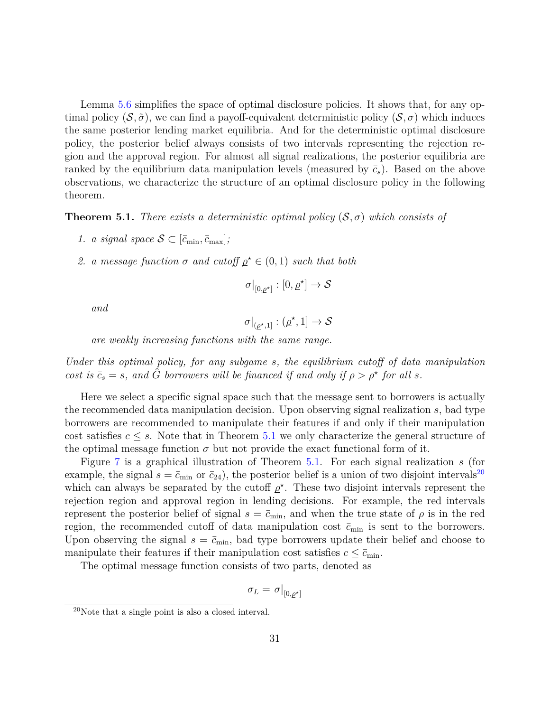Lemma [5.6](#page-29-0) simplifies the space of optimal disclosure policies. It shows that, for any optimal policy  $(\mathcal{S}, \tilde{\sigma})$ , we can find a payoff-equivalent deterministic policy  $(\mathcal{S}, \sigma)$  which induces the same posterior lending market equilibria. And for the deterministic optimal disclosure policy, the posterior belief always consists of two intervals representing the rejection region and the approval region. For almost all signal realizations, the posterior equilibria are ranked by the equilibrium data manipulation levels (measured by  $\bar{c}_s$ ). Based on the above observations, we characterize the structure of an optimal disclosure policy in the following theorem.

<span id="page-30-0"></span>**Theorem 5.1.** *There exists a deterministic optimal policy*  $(S, \sigma)$  *which consists of* 

- *1. a signal space*  $S \subset [\bar{c}_{\min}, \bar{c}_{\max}]$ ;
- *2. a* message function  $\sigma$  *and cutoff*  $\rho^* \in (0,1)$  *such that both*

$$
\sigma|_{[0,\underline{\rho}^\star]}:[0,\underline{\rho}^\star]\to\mathcal{S}
$$

*and*

$$
\sigma|_{(\underline{\rho}^\star,1]}:(\underline{\rho}^\star,1]\to\mathcal{S}
$$

*are weakly increasing functions with the same range.*

*Under this optimal policy, for any subgame s, the equilibrium cutoff of data manipulation cost is*  $\bar{c}_s = s$ *, and*  $\hat{G}$  *borrowers will be financed if and only if*  $\rho > \rho^*$  *for all s.* 

Here we select a specific signal space such that the message sent to borrowers is actually the recommended data manipulation decision. Upon observing signal realization *s*, bad type borrowers are recommended to manipulate their features if and only if their manipulation cost satisfies  $c \leq s$ . Note that in Theorem [5.1](#page-30-0) we only characterize the general structure of the optimal message function  $\sigma$  but not provide the exact functional form of it.

Figure [7](#page-31-0) is a graphical illustration of Theorem [5.1.](#page-30-0) For each signal realization *s* (for example, the signal  $s = \bar{c}_{min}$  or  $\bar{c}_{24}$ , the posterior belief is a union of two disjoint intervals<sup>[20](#page-30-1)</sup> which can always be separated by the cutoff  $\rho^*$ . These two disjoint intervals represent the rejection region and approval region in lending decisions. For example, the red intervals represent the posterior belief of signal  $s = \bar{c}_{\min}$ , and when the true state of  $\rho$  is in the red region, the recommended cutoff of data manipulation cost  $\bar{c}_{\text{min}}$  is sent to the borrowers. Upon observing the signal  $s = \bar{c}_{\min}$ , bad type borrowers update their belief and choose to manipulate their features if their manipulation cost satisfies  $c \leq \bar{c}_{\min}$ .

The optimal message function consists of two parts, denoted as

$$
\sigma_L = \left. \sigma \right|_{[0,\underline{\rho}^\star]}
$$

<span id="page-30-1"></span><sup>20</sup>Note that a single point is also a closed interval.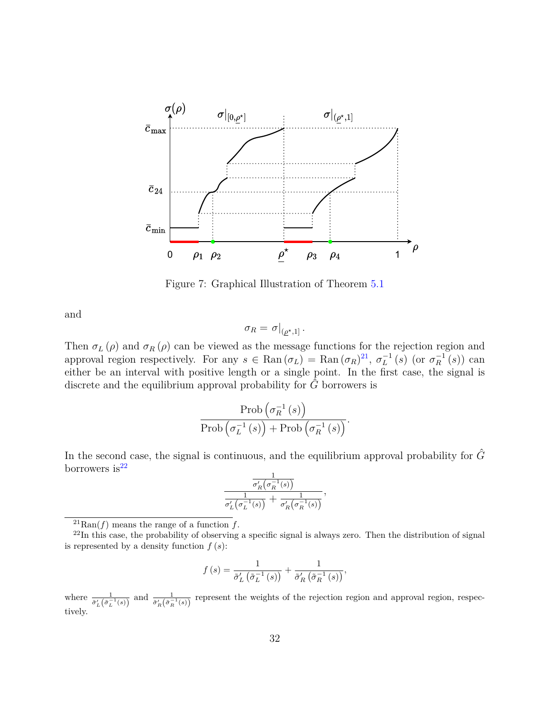

<span id="page-31-0"></span>Figure 7: Graphical Illustration of Theorem [5.1](#page-30-0)

and

$$
\sigma_R = \left. \sigma \right|_{(\underline{\rho}^\star,1]}.
$$

Then  $\sigma$ <sup>*L*</sup> ( $\rho$ ) and  $\sigma$ <sup>*R*</sup> ( $\rho$ ) can be viewed as the message functions for the rejection region and approval region respectively. For any  $s \in \text{Ran}(\sigma_L) = \text{Ran}(\sigma_R)^{21}$  $s \in \text{Ran}(\sigma_L) = \text{Ran}(\sigma_R)^{21}$  $s \in \text{Ran}(\sigma_L) = \text{Ran}(\sigma_R)^{21}$ ,  $\sigma_L^{-1}(s)$  (or  $\sigma_R^{-1}(s)$ ) can either be an interval with positive length or a single point. In the first case, the signal is discrete and the equilibrium approval probability for  $\hat{G}$  borrowers is

$$
\frac{\operatorname{Prob}\left(\sigma_R^{-1}\left(s\right)\right)}{\operatorname{Prob}\left(\sigma_L^{-1}\left(s\right)\right) + \operatorname{Prob}\left(\sigma_R^{-1}\left(s\right)\right)}.
$$

In the second case, the signal is continuous, and the equilibrium approval probability for  $\hat{G}$ borrowers is $^{22}$  $^{22}$  $^{22}$ 

$$
\frac{\frac{1}{\sigma_R'\!\left(\sigma_R^{-1}(s)\right)}}{\frac{1}{\sigma_L'\!\left(\sigma_L^{-1}(s)\right)}+\frac{1}{\sigma_R'\!\left(\sigma_R^{-1}(s)\right)}},
$$

<span id="page-31-2"></span><span id="page-31-1"></span> $^{21}$ Ran(*f*) means the range of a function *f*.

$$
f(s) = \frac{1}{\tilde{\sigma}'_L(\tilde{\sigma}_L^{-1}(s))} + \frac{1}{\tilde{\sigma}'_R(\tilde{\sigma}_R^{-1}(s))},
$$

where  $\frac{1}{\tilde{\sigma}'_L(\tilde{\sigma}_L^{-1}(s))}$  and  $\frac{1}{\tilde{\sigma}'_R(\tilde{\sigma}_R^{-1}(s))}$  represent the weights of the rejection region and approval region, respectively.

 $^{22}$ In this case, the probability of observing a specific signal is always zero. Then the distribution of signal is represented by a density function *f* (*s*):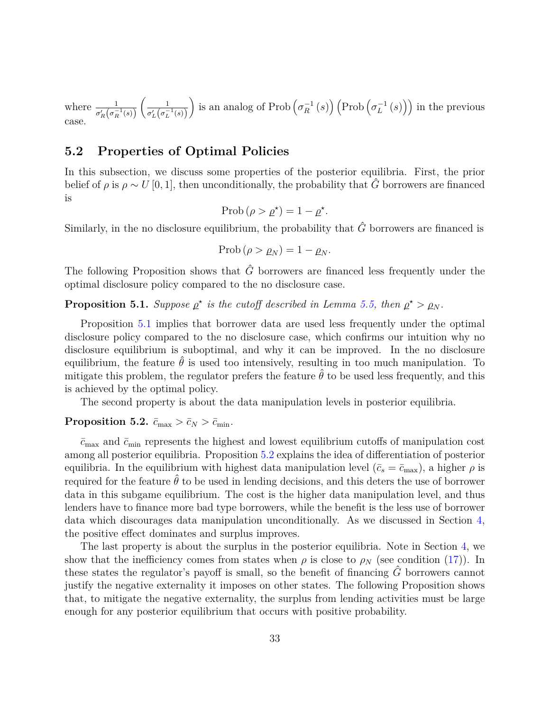where  $\frac{1}{\sigma'_R(\sigma_R^{-1}(s))}$  $\begin{pmatrix} 1 \end{pmatrix}$  $\sigma_L' \big( \sigma_L^{-1} (s) \big)$ is an analog of Prob  $(\sigma_R^{-1}(s))$   $(Prob(\sigma_L^{-1}(s)))$  in the previous case.

# **5.2 Properties of Optimal Policies**

In this subsection, we discuss some properties of the posterior equilibria. First, the prior belief of  $\rho$  is  $\rho \sim U[0, 1]$ , then unconditionally, the probability that  $\hat{G}$  borrowers are financed is

$$
\text{Prob}\left(\rho > \underline{\rho}^{\star}\right) = 1 - \underline{\rho}^{\star}.
$$

Similarly, in the no disclosure equilibrium, the probability that  $\hat{G}$  borrowers are financed is

$$
\mathrm{Prob}\left(\rho > \rho_N\right) = 1 - \rho_N.
$$

The following Proposition shows that  $\hat{G}$  borrowers are financed less frequently under the optimal disclosure policy compared to the no disclosure case.

<span id="page-32-0"></span>**Proposition 5.1.** *Suppose*  $\rho^*$  *is the cutoff described in Lemma [5.5,](#page-28-1) then*  $\rho^* > \rho_N$ *.* 

Proposition [5.1](#page-32-0) implies that borrower data are used less frequently under the optimal disclosure policy compared to the no disclosure case, which confirms our intuition why no disclosure equilibrium is suboptimal, and why it can be improved. In the no disclosure equilibrium, the feature  $\hat{\theta}$  is used too intensively, resulting in too much manipulation. To mitigate this problem, the regulator prefers the feature  $\hat{\theta}$  to be used less frequently, and this is achieved by the optimal policy.

The second property is about the data manipulation levels in posterior equilibria.

#### <span id="page-32-1"></span>**Proposition 5.2.**  $\bar{c}_{\text{max}} > \bar{c}_N > \bar{c}_{\text{min}}$ .

 $\bar{c}_{\text{max}}$  and  $\bar{c}_{\text{min}}$  represents the highest and lowest equilibrium cutoffs of manipulation cost among all posterior equilibria. Proposition [5.2](#page-32-1) explains the idea of differentiation of posterior equilibria. In the equilibrium with highest data manipulation level  $(\bar{c}_s = \bar{c}_{\text{max}})$ , a higher  $\rho$  is required for the feature  $\hat{\theta}$  to be used in lending decisions, and this deters the use of borrower data in this subgame equilibrium. The cost is the higher data manipulation level, and thus lenders have to finance more bad type borrowers, while the benefit is the less use of borrower data which discourages data manipulation unconditionally. As we discussed in Section [4,](#page-23-0) the positive effect dominates and surplus improves.

<span id="page-32-2"></span>The last property is about the surplus in the posterior equilibria. Note in Section [4,](#page-23-0) we show that the inefficiency comes from states when  $\rho$  is close to  $\rho_N$  (see condition [\(17\)](#page-23-1)). In these states the regulator's payoff is small, so the benefit of financing *G*ˆ borrowers cannot justify the negative externality it imposes on other states. The following Proposition shows that, to mitigate the negative externality, the surplus from lending activities must be large enough for any posterior equilibrium that occurs with positive probability.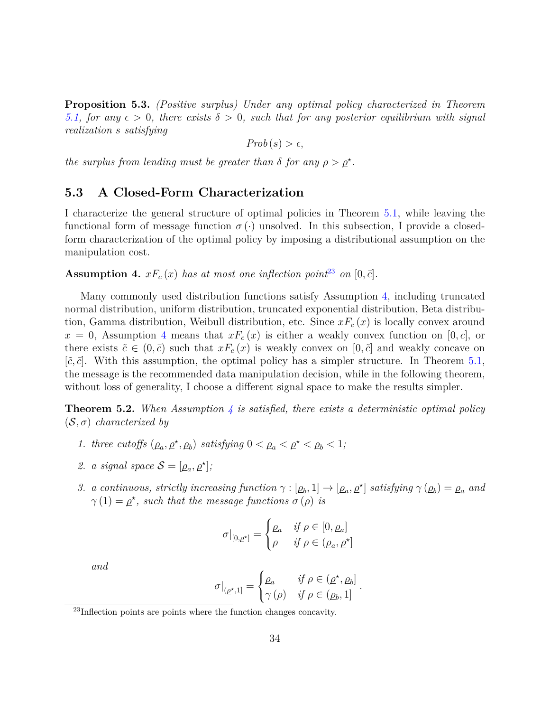**Proposition 5.3.** *(Positive surplus) Under any optimal policy characterized in Theorem [5.1,](#page-30-0)* for any  $\epsilon > 0$ , there exists  $\delta > 0$ , such that for any posterior equilibrium with signal *realization s satisfying*

$$
Prob(s) > \epsilon,
$$

*the surplus from lending must be greater than*  $\delta$  *for any*  $\rho > \rho^*$ *.* 

### **5.3 A Closed-Form Characterization**

I characterize the general structure of optimal policies in Theorem [5.1,](#page-30-0) while leaving the functional form of message function  $\sigma(\cdot)$  unsolved. In this subsection, I provide a closedform characterization of the optimal policy by imposing a distributional assumption on the manipulation cost.

<span id="page-33-1"></span>**Assumption 4.**  $xF_c(x)$  has at most one inflection point<sup>[23](#page-33-0)</sup> on [0,  $\bar{c}$ ].

Many commonly used distribution functions satisfy Assumption [4,](#page-33-1) including truncated normal distribution, uniform distribution, truncated exponential distribution, Beta distribution, Gamma distribution, Weibull distribution, etc. Since *xF<sup>c</sup>* (*x*) is locally convex around  $x = 0$ , Assumption [4](#page-33-1) means that  $xF_c(x)$  is either a weakly convex function on [0,  $\bar{c}$ ], or there exists  $\tilde{c} \in (0,\bar{c})$  such that  $xF_c(x)$  is weakly convex on  $[0,\tilde{c}]$  and weakly concave on  $[\tilde{c}, \bar{c}]$ . With this assumption, the optimal policy has a simpler structure. In Theorem [5.1,](#page-30-0) the message is the recommended data manipulation decision, while in the following theorem, without loss of generality, I choose a different signal space to make the results simpler.

<span id="page-33-2"></span>**Theorem 5.2.** *When Assumption [4](#page-33-1) is satisfied, there exists a deterministic optimal policy* (S*, σ*) *characterized by*

- *1. three cutoffs*  $(\rho_a, \rho^*, \rho_b)$  *satisfying*  $0 < \rho_a < \rho^* < \rho_b < 1$ ;
- 2. *a signal space*  $S = [\rho_a, \rho^{\star}].$
- 3. a continuous, strictly increasing function  $\gamma : [\rho_b, 1] \to [\rho_a, \rho^{\star}]$  satisfying  $\gamma (\rho_b) = \rho_a$  and  $\gamma(1) = \rho^*$ , such that the message functions  $\sigma(\rho)$  is

$$
\sigma|_{[0,\rho^*]} = \begin{cases} \rho_a & \text{if } \rho \in [0,\rho_a] \\ \rho & \text{if } \rho \in (\rho_a, \rho^*] \end{cases}
$$

*and*

$$
\sigma|_{(\rho^*,1]} = \begin{cases} \rho_a & \text{if } \rho \in (\rho^*, \rho_b] \\ \gamma(\rho) & \text{if } \rho \in (\rho_b, 1] \end{cases}.
$$

<span id="page-33-0"></span> $23$ Inflection points are points where the function changes concavity.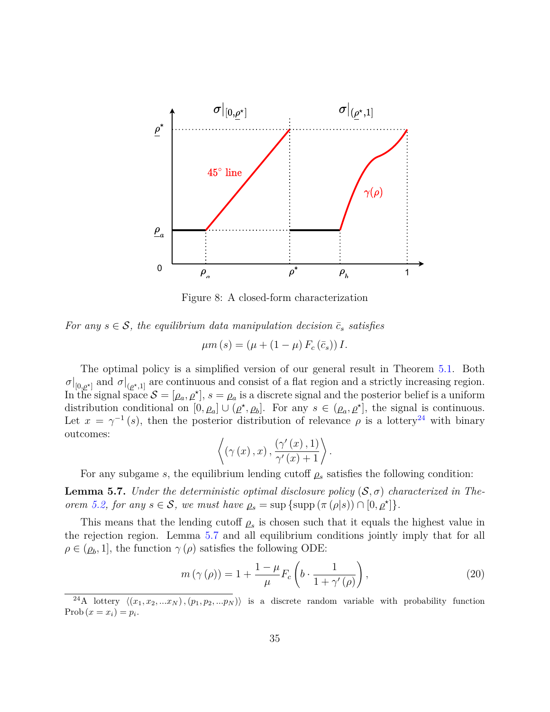

Figure 8: A closed-form characterization

*For any*  $s \in S$ , the equilibrium data manipulation decision  $\bar{c}_s$  *satisfies* 

$$
\mu m\left(s\right) = \left(\mu + \left(1 - \mu\right) F_c\left(\bar{c}_s\right)\right) I.
$$

The optimal policy is a simplified version of our general result in Theorem [5.1.](#page-30-0) Both  $\sigma|_{[0,\rho^*]}$  and  $\sigma|_{(\rho^*,1]}$  are continuous and consist of a flat region and a strictly increasing region. In the signal space  $S = [\rho_a, \rho^{\star}], s = \rho_a$  is a discrete signal and the posterior belief is a uniform distribution conditional on  $[0, \rho_a] \cup (\rho^*, \rho_b]$ . For any  $s \in (\rho_a, \rho^*]$ , the signal is continuous. Let  $x = \gamma^{-1}(s)$ , then the posterior distribution of relevance  $\rho$  is a lottery<sup>[24](#page-34-0)</sup> with binary outcomes:

$$
\left\langle \left(\gamma(x),x\right),\frac{\left(\gamma'(x),1\right)}{\gamma'(x)+1}\right\rangle.
$$

For any subgame *s*, the equilibrium lending cutoff  $\rho$ <sup>*s*</sup> satisfies the following condition:

<span id="page-34-1"></span>**Lemma 5.7.** *Under the deterministic optimal disclosure policy*  $(S, \sigma)$  *characterized in Theorem* [5.2,](#page-33-2) *for any*  $s \in S$ , *we must have*  $\rho_s = \sup \{ \sup(\pi(\rho|s)) \cap [0, \rho^*] \}.$ 

This means that the lending cutoff  $\rho_s$  is chosen such that it equals the highest value in the rejection region. Lemma [5.7](#page-34-1) and all equilibrium conditions jointly imply that for all  $\rho \in (\rho_b, 1]$ , the function  $\gamma(\rho)$  satisfies the following ODE:

$$
m(\gamma(\rho)) = 1 + \frac{1 - \mu}{\mu} F_c \left( b \cdot \frac{1}{1 + \gamma'(\rho)} \right), \tag{20}
$$

<span id="page-34-0"></span><sup>&</sup>lt;sup>24</sup>A lottery  $\langle (x_1, x_2, ... x_N), (p_1, p_2, ... p_N) \rangle$  is a discrete random variable with probability function Prob  $(x = x_i) = p_i$ .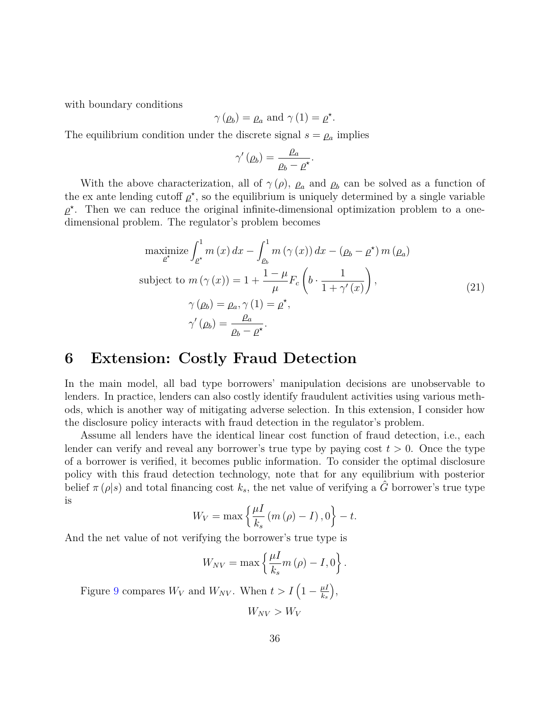with boundary conditions

$$
\gamma(\rho_b) = \rho_a
$$
 and  $\gamma(1) = \rho^*$ .

The equilibrium condition under the discrete signal  $s = \rho_a$  implies

$$
\gamma'(\rho_b) = \frac{\rho_a}{\rho_b - \rho^*}.
$$

With the above characterization, all of  $\gamma(\rho)$ ,  $\rho_a$  and  $\rho_b$  can be solved as a function of the ex ante lending cutoff  $\rho^*$ , so the equilibrium is uniquely determined by a single variable  $\rho^*$ . Then we can reduce the original infinite-dimensional optimization problem to a onedimensional problem. The regulator's problem becomes

maximize 
$$
\int_{\rho^*}^1 m(x) dx - \int_{\rho_b}^1 m(\gamma(x)) dx - (\rho_b - \rho^*) m(\rho_a)
$$
  
\nsubject to  $m(\gamma(x)) = 1 + \frac{1 - \mu}{\mu} F_c \left( b \cdot \frac{1}{1 + \gamma'(x)} \right),$   
\n $\gamma(\rho_b) = \rho_a, \gamma(1) = \rho^*,$   
\n $\gamma'(\rho_b) = \frac{\rho_a}{\rho_b - \rho^*}.$  (21)

# **6 Extension: Costly Fraud Detection**

In the main model, all bad type borrowers' manipulation decisions are unobservable to lenders. In practice, lenders can also costly identify fraudulent activities using various methods, which is another way of mitigating adverse selection. In this extension, I consider how the disclosure policy interacts with fraud detection in the regulator's problem.

Assume all lenders have the identical linear cost function of fraud detection, i.e., each lender can verify and reveal any borrower's true type by paying cost  $t > 0$ . Once the type of a borrower is verified, it becomes public information. To consider the optimal disclosure policy with this fraud detection technology, note that for any equilibrium with posterior belief  $\pi(\rho|s)$  and total financing cost  $k_s$ , the net value of verifying a *G* borrower's true type is

$$
W_V = \max\left\{\frac{\mu I}{k_s} \left(m\left(\rho\right) - I\right), 0\right\} - t.
$$

And the net value of not verifying the borrower's true type is

$$
W_{NV} = \max \left\{ \frac{\mu I}{k_s} m\left(\rho\right) - I, 0 \right\}.
$$

Figure [9](#page-36-0) compares  $W_V$  and  $W_{NV}$ . When  $t > I\left(1 - \frac{\mu I}{k_0}\right)$ *ks*  $),$ 

 $W_{NV} > W_{V}$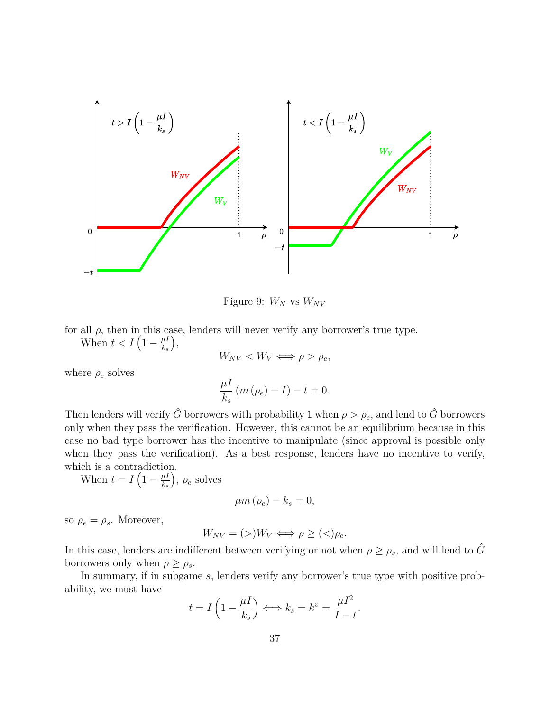

<span id="page-36-0"></span>Figure 9:  $W_N$  vs  $W_{NV}$ 

for all  $\rho$ , then in this case, lenders will never verify any borrower's true type.

When  $t < I\left(1-\frac{\mu I}{k}\right)$ *ks* ,

$$
W_{NV} < W_V \Longleftrightarrow \rho > \rho_e,
$$

where  $\rho_e$  solves

$$
\frac{\mu I}{k_s} \left( m \left( \rho_e \right) - I \right) - t = 0.
$$

Then lenders will verify  $\hat{G}$  borrowers with probability 1 when  $\rho > \rho_e$ , and lend to  $\hat{G}$  borrowers only when they pass the verification. However, this cannot be an equilibrium because in this case no bad type borrower has the incentive to manipulate (since approval is possible only when they pass the verification). As a best response, lenders have no incentive to verify, which is a contradiction.

When  $t = I\left(1 - \frac{\mu I}{k}\right)$ *ks*  $\big)$ ,  $\rho_e$  solves

$$
\mu m\left(\rho_e\right) - k_s = 0,
$$

so  $\rho_e = \rho_s$ . Moreover,

$$
W_{NV} = (>)W_V \Longleftrightarrow \rho \ge (>)\rho_e.
$$

In this case, lenders are indifferent between verifying or not when  $\rho \ge \rho_s$ , and will lend to  $\hat{G}$ borrowers only when  $\rho \geq \rho_s$ .

In summary, if in subgame *s*, lenders verify any borrower's true type with positive probability, we must have

$$
t = I\left(1 - \frac{\mu I}{k_s}\right) \Longleftrightarrow k_s = k^v = \frac{\mu I^2}{I - t}.
$$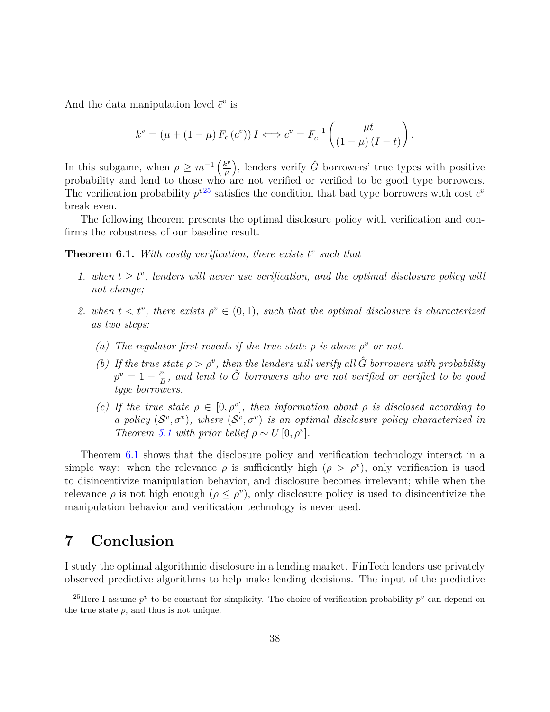And the data manipulation level  $\vec{c}^v$  is

$$
k^{v} = (\mu + (1 - \mu) F_c(\bar{c}^{v})) I \Longleftrightarrow \bar{c}^{v} = F_c^{-1} \left( \frac{\mu t}{(1 - \mu) (I - t)} \right).
$$

In this subgame, when  $\rho \geq m^{-1} \left(\frac{k^v}{\mu}\right)$ *µ* ), lenders verify  $\hat{G}$  borrowers' true types with positive probability and lend to those who are not verified or verified to be good type borrowers. The verification probability  $p^{v25}$  $p^{v25}$  $p^{v25}$  satisfies the condition that bad type borrowers with cost  $\bar{c}^v$ break even.

The following theorem presents the optimal disclosure policy with verification and confirms the robustness of our baseline result.

<span id="page-37-1"></span>**Theorem 6.1.** With costly verification, there exists  $t^v$  such that

- *1.* when  $t \geq t^v$ , lenders will never use verification, and the optimal disclosure policy will *not change;*
- 2. when  $t < t^v$ , there exists  $\rho^v \in (0,1)$ , such that the optimal disclosure is characterized *as two steps:*
	- *(a) The regulator first reveals if the true state*  $\rho$  *is above*  $\rho^v$  *or not.*
	- *(b)* If the true state  $\rho > \rho^v$ , then the lenders will verify all  $\hat{G}$  borrowers with probability  $p^v = 1 - \frac{\bar{c}^v}{B}$  $\frac{\bar{c}^v}{B}$ , and lend to  $\hat{G}$  borrowers who are not verified or verified to be good *type borrowers.*
	- *(c)* If the true state  $\rho \in [0, \rho^v]$ , then information about  $\rho$  is disclosed according to *a policy*  $(S^v, \sigma^v)$ , where  $(S^v, \sigma^v)$  *is an optimal disclosure policy characterized in Theorem* [5.1](#page-30-0) *with prior belief*  $\rho \sim U[0, \rho^v]$ *.*

Theorem [6.1](#page-37-1) shows that the disclosure policy and verification technology interact in a simple way: when the relevance  $\rho$  is sufficiently high  $(\rho > \rho^v)$ , only verification is used to disincentivize manipulation behavior, and disclosure becomes irrelevant; while when the relevance  $\rho$  is not high enough  $(\rho \leq \rho^v)$ , only disclosure policy is used to disincentivize the manipulation behavior and verification technology is never used.

# **7 Conclusion**

I study the optimal algorithmic disclosure in a lending market. FinTech lenders use privately observed predictive algorithms to help make lending decisions. The input of the predictive

<span id="page-37-0"></span><sup>&</sup>lt;sup>25</sup>Here I assume  $p^v$  to be constant for simplicity. The choice of verification probability  $p^v$  can depend on the true state  $\rho$ , and thus is not unique.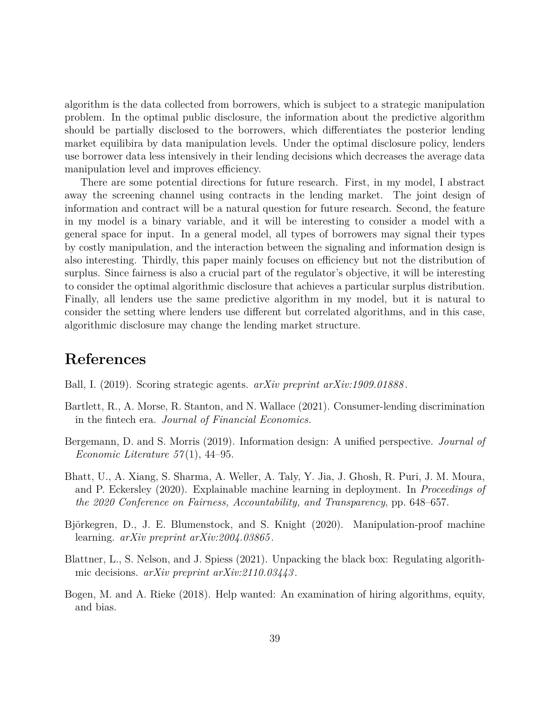algorithm is the data collected from borrowers, which is subject to a strategic manipulation problem. In the optimal public disclosure, the information about the predictive algorithm should be partially disclosed to the borrowers, which differentiates the posterior lending market equilibira by data manipulation levels. Under the optimal disclosure policy, lenders use borrower data less intensively in their lending decisions which decreases the average data manipulation level and improves efficiency.

There are some potential directions for future research. First, in my model, I abstract away the screening channel using contracts in the lending market. The joint design of information and contract will be a natural question for future research. Second, the feature in my model is a binary variable, and it will be interesting to consider a model with a general space for input. In a general model, all types of borrowers may signal their types by costly manipulation, and the interaction between the signaling and information design is also interesting. Thirdly, this paper mainly focuses on efficiency but not the distribution of surplus. Since fairness is also a crucial part of the regulator's objective, it will be interesting to consider the optimal algorithmic disclosure that achieves a particular surplus distribution. Finally, all lenders use the same predictive algorithm in my model, but it is natural to consider the setting where lenders use different but correlated algorithms, and in this case, algorithmic disclosure may change the lending market structure.

# **References**

<span id="page-38-6"></span>Ball, I. (2019). Scoring strategic agents. *arXiv preprint arXiv:1909.01888* .

- <span id="page-38-1"></span>Bartlett, R., A. Morse, R. Stanton, and N. Wallace (2021). Consumer-lending discrimination in the fintech era. *Journal of Financial Economics*.
- <span id="page-38-5"></span>Bergemann, D. and S. Morris (2019). Information design: A unified perspective. *Journal of Economic Literature 57* (1), 44–95.
- <span id="page-38-4"></span>Bhatt, U., A. Xiang, S. Sharma, A. Weller, A. Taly, Y. Jia, J. Ghosh, R. Puri, J. M. Moura, and P. Eckersley (2020). Explainable machine learning in deployment. In *Proceedings of the 2020 Conference on Fairness, Accountability, and Transparency*, pp. 648–657.
- <span id="page-38-3"></span>Björkegren, D., J. E. Blumenstock, and S. Knight (2020). Manipulation-proof machine learning. *arXiv preprint arXiv:2004.03865* .
- <span id="page-38-2"></span>Blattner, L., S. Nelson, and J. Spiess (2021). Unpacking the black box: Regulating algorithmic decisions. *arXiv preprint arXiv:2110.03443* .
- <span id="page-38-0"></span>Bogen, M. and A. Rieke (2018). Help wanted: An examination of hiring algorithms, equity, and bias.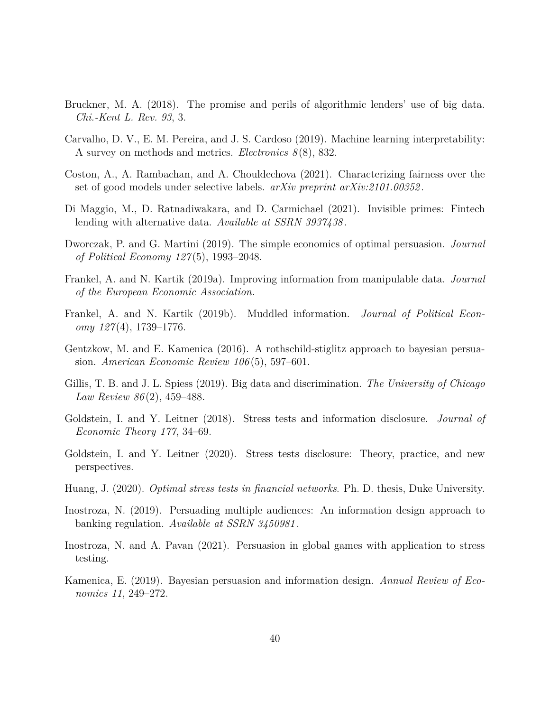- <span id="page-39-0"></span>Bruckner, M. A. (2018). The promise and perils of algorithmic lenders' use of big data. *Chi.-Kent L. Rev. 93*, 3.
- <span id="page-39-4"></span>Carvalho, D. V., E. M. Pereira, and J. S. Cardoso (2019). Machine learning interpretability: A survey on methods and metrics. *Electronics 8* (8), 832.
- <span id="page-39-3"></span>Coston, A., A. Rambachan, and A. Chouldechova (2021). Characterizing fairness over the set of good models under selective labels. *arXiv preprint arXiv:2101.00352* .
- <span id="page-39-1"></span>Di Maggio, M., D. Ratnadiwakara, and D. Carmichael (2021). Invisible primes: Fintech lending with alternative data. *Available at SSRN 3937438* .
- <span id="page-39-6"></span>Dworczak, P. and G. Martini (2019). The simple economics of optimal persuasion. *Journal of Political Economy 127* (5), 1993–2048.
- <span id="page-39-13"></span>Frankel, A. and N. Kartik (2019a). Improving information from manipulable data. *Journal of the European Economic Association*.
- <span id="page-39-14"></span>Frankel, A. and N. Kartik (2019b). Muddled information. *Journal of Political Economy 127* (4), 1739–1776.
- <span id="page-39-7"></span>Gentzkow, M. and E. Kamenica (2016). A rothschild-stiglitz approach to bayesian persuasion. *American Economic Review 106* (5), 597–601.
- <span id="page-39-2"></span>Gillis, T. B. and J. L. Spiess (2019). Big data and discrimination. *The University of Chicago Law Review 86* (2), 459–488.
- <span id="page-39-8"></span>Goldstein, I. and Y. Leitner (2018). Stress tests and information disclosure. *Journal of Economic Theory 177*, 34–69.
- <span id="page-39-9"></span>Goldstein, I. and Y. Leitner (2020). Stress tests disclosure: Theory, practice, and new perspectives.
- <span id="page-39-12"></span>Huang, J. (2020). *Optimal stress tests in financial networks*. Ph. D. thesis, Duke University.
- <span id="page-39-10"></span>Inostroza, N. (2019). Persuading multiple audiences: An information design approach to banking regulation. *Available at SSRN 3450981* .
- <span id="page-39-11"></span>Inostroza, N. and A. Pavan (2021). Persuasion in global games with application to stress testing.
- <span id="page-39-5"></span>Kamenica, E. (2019). Bayesian persuasion and information design. *Annual Review of Economics 11*, 249–272.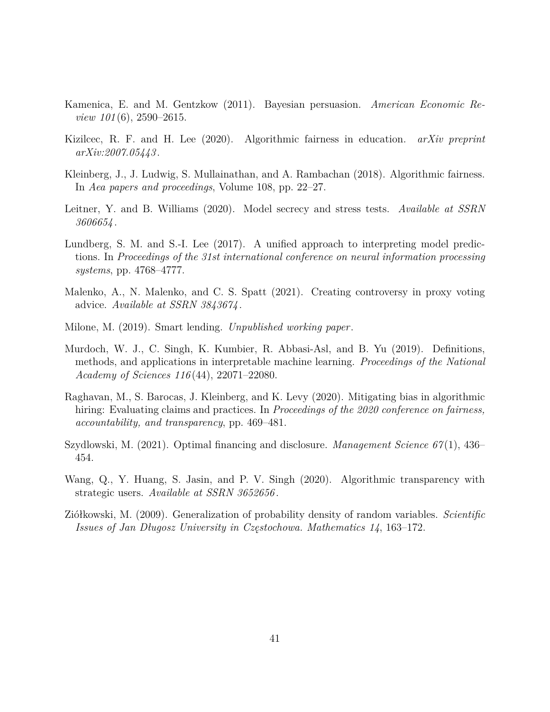- <span id="page-40-1"></span>Kamenica, E. and M. Gentzkow (2011). Bayesian persuasion. *American Economic Review 101* (6), 2590–2615.
- <span id="page-40-0"></span>Kizilcec, R. F. and H. Lee (2020). Algorithmic fairness in education. *arXiv preprint arXiv:2007.05443* .
- <span id="page-40-11"></span>Kleinberg, J., J. Ludwig, S. Mullainathan, and A. Rambachan (2018). Algorithmic fairness. In *Aea papers and proceedings*, Volume 108, pp. 22–27.
- <span id="page-40-9"></span>Leitner, Y. and B. Williams (2020). Model secrecy and stress tests. *Available at SSRN 3606654* .
- <span id="page-40-5"></span>Lundberg, S. M. and S.-I. Lee (2017). A unified approach to interpreting model predictions. In *Proceedings of the 31st international conference on neural information processing systems*, pp. 4768–4777.
- <span id="page-40-7"></span>Malenko, A., N. Malenko, and C. S. Spatt (2021). Creating controversy in proxy voting advice. *Available at SSRN 3843674* .
- <span id="page-40-2"></span>Milone, M. (2019). Smart lending. *Unpublished working paper*.
- <span id="page-40-6"></span>Murdoch, W. J., C. Singh, K. Kumbier, R. Abbasi-Asl, and B. Yu (2019). Definitions, methods, and applications in interpretable machine learning. *Proceedings of the National Academy of Sciences 116* (44), 22071–22080.
- <span id="page-40-3"></span>Raghavan, M., S. Barocas, J. Kleinberg, and K. Levy (2020). Mitigating bias in algorithmic hiring: Evaluating claims and practices. In *Proceedings of the 2020 conference on fairness, accountability, and transparency*, pp. 469–481.
- <span id="page-40-8"></span>Szydlowski, M. (2021). Optimal financing and disclosure. *Management Science 67* (1), 436– 454.
- <span id="page-40-4"></span>Wang, Q., Y. Huang, S. Jasin, and P. V. Singh (2020). Algorithmic transparency with strategic users. *Available at SSRN 3652656* .
- <span id="page-40-10"></span>Ziółkowski, M. (2009). Generalization of probability density of random variables. *Scientific Issues of Jan Długosz University in Częstochowa. Mathematics 14*, 163–172.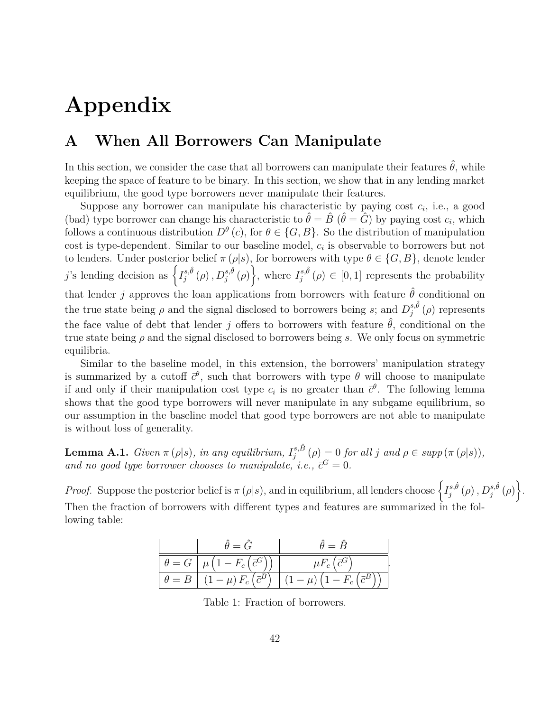# **Appendix**

# <span id="page-41-0"></span>**A When All Borrowers Can Manipulate**

In this section, we consider the case that all borrowers can manipulate their features  $\hat{\theta}$ , while keeping the space of feature to be binary. In this section, we show that in any lending market equilibrium, the good type borrowers never manipulate their features.

Suppose any borrower can manipulate his characteristic by paying cost  $c_i$ , i.e., a good (bad) type borrower can change his characteristic to  $\hat{\theta} = \hat{B}$  ( $\hat{\theta} = \hat{G}$ ) by paying cost  $c_i$ , which follows a continuous distribution  $D^{\theta}(c)$ , for  $\theta \in \{G, B\}$ . So the distribution of manipulation cost is type-dependent. Similar to our baseline model, *c<sup>i</sup>* is observable to borrowers but not to lenders. Under posterior belief  $\pi(\rho|s)$ , for borrowers with type  $\theta \in \{G, B\}$ , denote lender *j*'s lending decision as  $\left\{I_i^{s,\hat{\theta}}\right\}$  $\left\{\begin{matrix} s,\hat{\theta} \\ \rho \end{matrix}\right\}$ ,  $D_j^{s,\hat{\theta}}(\rho)$ , where  $I_j^{s,\hat{\theta}}$  $j_j^{s,\theta}(\rho) \in [0,1]$  represents the probability that lender *j* approves the loan applications from borrowers with feature  $\hat{\theta}$  conditional on the true state being  $\rho$  and the signal disclosed to borrowers being *s*; and  $D_i^{s,\hat{\theta}}$  $j^{s,\theta}(\rho)$  represents the face value of debt that lender *j* offers to borrowers with feature  $\hat{\theta}$ , conditional on the true state being *ρ* and the signal disclosed to borrowers being *s*. We only focus on symmetric equilibria.

Similar to the baseline model, in this extension, the borrowers' manipulation strategy is summarized by a cutoff  $\bar{c}^{\theta}$ , such that borrowers with type  $\theta$  will choose to manipulate if and only if their manipulation cost type  $c_i$  is no greater than  $\bar{c}^{\theta}$ . The following lemma shows that the good type borrowers will never manipulate in any subgame equilibrium, so our assumption in the baseline model that good type borrowers are not able to manipulate is without loss of generality.

**Lemma A.1.** *Given*  $\pi(\rho|s)$ *, in any equilibrium,*  $I_i^{s,\hat{B}}$  $j_j^{s,B}(\rho) = 0$  *for all j and*  $\rho \in supp(\pi(\rho|s)),$ and no good type borrower chooses to manipulate, i.e.,  $\bar{c}^G = 0$ .

*Proof.* Suppose the posterior belief is  $\pi(\rho|s)$ , and in equilibrium, all lenders choose  $\left\{I_i^{s,\hat{\theta}}\right\}$  $\left\{ \begin{matrix} s,\hat{\theta}\ (\rho)\ ,D_{j}^{s,\hat{\theta}}\ (\rho)\ \end{matrix} \right\} .$ Then the fraction of borrowers with different types and features are summarized in the following table:

|              | $\theta = 0$                         | $=$ $\beta$                          |
|--------------|--------------------------------------|--------------------------------------|
| $\theta = G$ | $I-F_c\left({\bar c}^G\right)$       | $\mu F_c$ ( $\bar{c}^G$              |
| $\theta = B$ | $(1-\mu) F_c \left(\bar{c}^B\right)$ | $'$ $\bar{z}B$<br>$-\mu$ ,<br>$-r_c$ |

Table 1: Fraction of borrowers.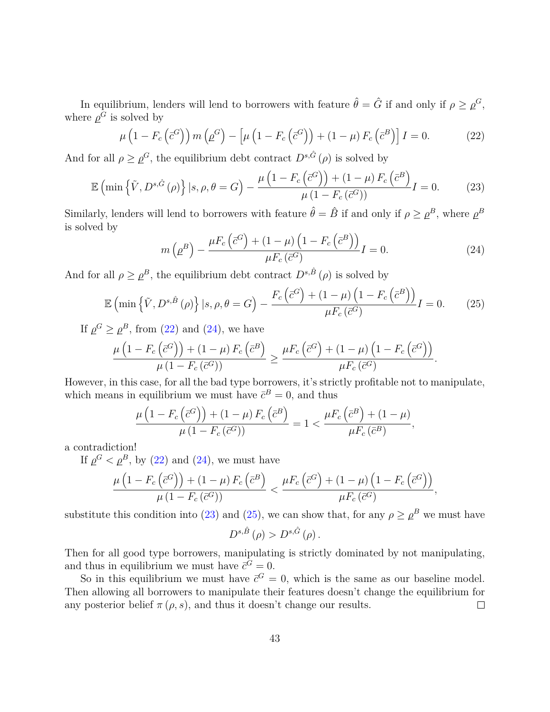In equilibrium, lenders will lend to borrowers with feature  $\hat{\theta} = \hat{G}$  if and only if  $\rho \geq \rho^G$ , where  $\rho^G$  is solved by

<span id="page-42-0"></span>
$$
\mu\left(1 - F_c\left(\bar{c}^G\right)\right) m\left(\rho^G\right) - \left[\mu\left(1 - F_c\left(\bar{c}^G\right)\right) + (1 - \mu) F_c\left(\bar{c}^B\right)\right] I = 0. \tag{22}
$$

And for all  $\rho \geq \rho^G$ , the equilibrium debt contract  $D^{s,\hat{G}}(\rho)$  is solved by

<span id="page-42-2"></span>
$$
\mathbb{E}\left(\min\left\{\tilde{V}, D^{s,\tilde{G}}\left(\rho\right)\right\} \big| s, \rho, \theta = G\right) - \frac{\mu\left(1 - F_c\left(\bar{c}^G\right)\right) + (1 - \mu) F_c\left(\bar{c}^B\right)}{\mu\left(1 - F_c\left(\bar{c}^G\right)\right)} I = 0. \tag{23}
$$

Similarly, lenders will lend to borrowers with feature  $\hat{\theta} = \hat{B}$  if and only if  $\rho \geq \rho^B$ , where  $\rho^B$ is solved by

<span id="page-42-1"></span>
$$
m\left(\underline{\rho}^B\right) - \frac{\mu F_c\left(\overline{c}^G\right) + (1-\mu)\left(1 - F_c\left(\overline{c}^B\right)\right)}{\mu F_c\left(\overline{c}^G\right)}I = 0.
$$
\n(24)

And for all  $\rho \geq \rho^B$ , the equilibrium debt contract  $D^{s,\hat{B}}(\rho)$  is solved by

<span id="page-42-3"></span>
$$
\mathbb{E}\left(\min\left\{\tilde{V}, D^{s,\hat{B}}\left(\rho\right)\right\} \big|s,\rho,\theta=G\right) - \frac{F_c\left(\bar{c}^G\right) + (1-\mu)\left(1 - F_c\left(\bar{c}^B\right)\right)}{\mu F_c\left(\bar{c}^G\right)}I = 0. \tag{25}
$$

If  $\rho^G \ge \rho^B$ , from [\(22\)](#page-42-0) and [\(24\)](#page-42-1), we have

$$
\frac{\mu\left(1-F_c\left(\bar{c}^G\right)\right)+(1-\mu) F_c\left(\bar{c}^B\right)}{\mu\left(1-F_c\left(\bar{c}^G\right)\right)} \geq \frac{\mu F_c\left(\bar{c}^G\right)+(1-\mu)\left(1-F_c\left(\bar{c}^G\right)\right)}{\mu F_c\left(\bar{c}^G\right)}.
$$

However, in this case, for all the bad type borrowers, it's strictly profitable not to manipulate, which means in equilibrium we must have  $\bar{c}^B = 0$ , and thus

$$
\frac{\mu\left(1 - F_c\left(\bar{c}^G\right)\right) + (1 - \mu) F_c\left(\bar{c}^B\right)}{\mu\left(1 - F_c\left(\bar{c}^G\right)\right)} = 1 < \frac{\mu F_c\left(\bar{c}^B\right) + (1 - \mu)}{\mu F_c\left(\bar{c}^B\right)},
$$

a contradiction!

If  $\rho^G < \rho^B$ , by [\(22\)](#page-42-0) and [\(24\)](#page-42-1), we must have

$$
\frac{\mu\left(1-F_c\left(\bar{c}^G\right)\right)+(1-\mu) F_c\left(\bar{c}^B\right)}{\mu\left(1-F_c\left(\bar{c}^G\right)\right)} < \frac{\mu F_c\left(\bar{c}^G\right)+(1-\mu)\left(1-F_c\left(\bar{c}^G\right)\right)}{\mu F_c\left(\bar{c}^G\right)},
$$

substitute this condition into [\(23\)](#page-42-2) and [\(25\)](#page-42-3), we can show that, for any  $\rho \geq \rho^B$  we must have  $D^{s,\hat{B}}(\rho) > D^{s,\hat{G}}(\rho)$ .

Then for all good type borrowers, manipulating is strictly dominated by not manipulating, and thus in equilibrium we must have  $\bar{c}^G = 0$ .

So in this equilibrium we must have  $\bar{c}^G = 0$ , which is the same as our baseline model. Then allowing all borrowers to manipulate their features doesn't change the equilibrium for any posterior belief  $\pi(\rho, s)$ , and thus it doesn't change our results.  $\Box$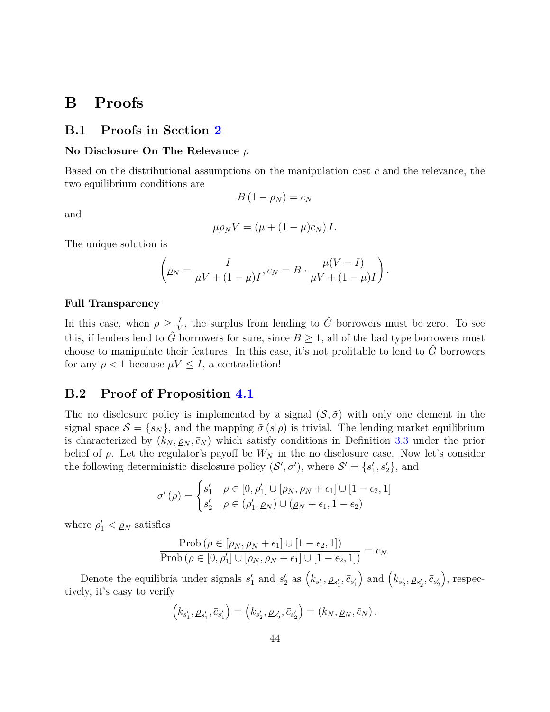# **B Proofs**

# **B.1 Proofs in Section [2](#page-6-3)**

#### **No Disclosure On The Relevance** *ρ*

Based on the distributional assumptions on the manipulation cost *c* and the relevance, the two equilibrium conditions are

$$
\quad\text{and}\quad
$$

$$
B\left(1-\rho_N\right)=\bar{c}_N
$$

$$
\mu \rho_N V = (\mu + (1 - \mu)\bar{c}_N) I.
$$

The unique solution is

$$
\left(\rho_N=\frac{I}{\mu V+(1-\mu)I},\bar{c}_N=B\cdot\frac{\mu(V-I)}{\mu V+(1-\mu)I}\right).
$$

#### **Full Transparency**

In this case, when  $\rho \geq \frac{I}{V}$  $\frac{I}{V}$ , the surplus from lending to  $\hat{G}$  borrowers must be zero. To see this, if lenders lend to  $\hat{G}$  borrowers for sure, since  $B \geq 1$ , all of the bad type borrowers must choose to manipulate their features. In this case, it's not profitable to lend to  $\hat{G}$  borrowers for any  $\rho < 1$  because  $\mu V \leq I$ , a contradiction!

## **B.2 Proof of Proposition [4.1](#page-24-0)**

The no disclosure policy is implemented by a signal  $(S, \tilde{\sigma})$  with only one element in the signal space  $S = \{s_N\}$ , and the mapping  $\tilde{\sigma}(s|\rho)$  is trivial. The lending market equilibrium is characterized by  $(k_N, \rho_N, \bar{c}_N)$  which satisfy conditions in Definition [3.3](#page-19-4) under the prior belief of  $\rho$ . Let the regulator's payoff be  $W_N$  in the no disclosure case. Now let's consider the following deterministic disclosure policy  $(S', \sigma')$ , where  $S' = \{s'_1, s'_2\}$ , and

$$
\sigma'(\rho) = \begin{cases} s'_1 & \rho \in [0, \rho'_1] \cup [\rho_N, \rho_N + \epsilon_1] \cup [1 - \epsilon_2, 1] \\ s'_2 & \rho \in (\rho'_1, \rho_N) \cup (\rho_N + \epsilon_1, 1 - \epsilon_2) \end{cases}
$$

where  $\rho'_1 < \rho_N$  satisfies

$$
\frac{\text{Prob}\left(\rho \in [\rho_N, \rho_N + \epsilon_1] \cup [1 - \epsilon_2, 1]\right)}{\text{Prob}\left(\rho \in [0, \rho'_1] \cup [\rho_N, \rho_N + \epsilon_1] \cup [1 - \epsilon_2, 1]\right)} = \bar{c}_N.
$$

Denote the equilibria under signals  $s'_1$  and  $s'_2$  as  $(k_{s'_1}, \rho_{s'_1}, \bar{c}_{s'_1})$  $\int$  and  $\left(k_{s'_{2}}, \rho_{s'_{2}}, \bar{c}_{s'_{2}}\right)$  , respectively, it's easy to verify

$$
(k_{s'_1}, \rho_{s'_1}, \bar{c}_{s'_1}) = (k_{s'_2}, \rho_{s'_2}, \bar{c}_{s'_2}) = (k_N, \rho_N, \bar{c}_N).
$$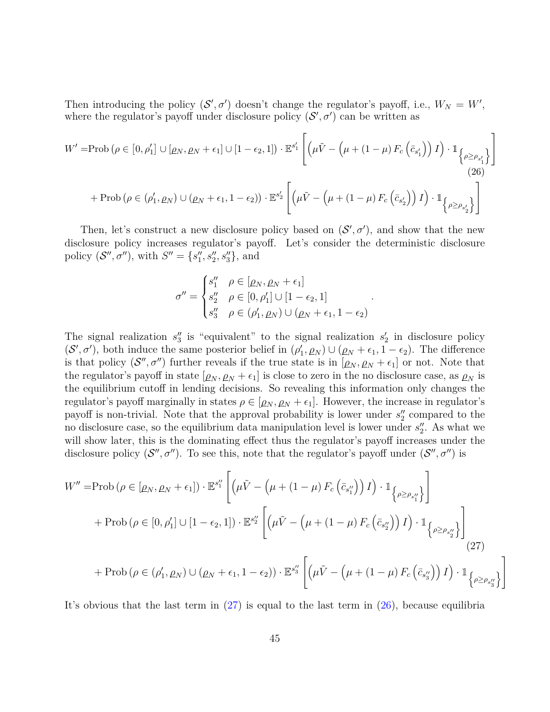Then introducing the policy  $(S', \sigma')$  doesn't change the regulator's payoff, i.e.,  $W_N = W'$ , where the regulator's payoff under disclosure policy  $(S', \sigma')$  can be written as

$$
W' = \text{Prob}\left(\rho \in [0, \rho'_1] \cup [\rho_N, \rho_N + \epsilon_1] \cup [1 - \epsilon_2, 1]\right) \cdot \mathbb{E}^{s'_1} \left[ \left(\mu \tilde{V} - \left(\mu + (1 - \mu) F_c \left(\bar{c}_{s'_1}\right)\right) I\right) \cdot \mathbb{1}_{\left\{\rho \ge \rho_{s'_1}\right\}} \right]
$$
\n
$$
+ \text{Prob}\left(\rho \in (\rho'_1, \rho_N) \cup (\rho_N + \epsilon_1, 1 - \epsilon_2)\right) \cdot \mathbb{E}^{s'_2} \left[ \left(\mu \tilde{V} - \left(\mu + (1 - \mu) F_c \left(\bar{c}_{s'_2}\right)\right) I\right) \cdot \mathbb{1}_{\left\{\rho \ge \rho_{s'_2}\right\}} \right]
$$
\n
$$
(26)
$$

Then, let's construct a new disclosure policy based on  $(S', \sigma')$ , and show that the new disclosure policy increases regulator's payoff. Let's consider the deterministic disclosure policy  $(S'', \sigma'')$ , with  $S'' = \{s''_1, s''_2, s''_3\}$ , and

$$
\sigma'' = \begin{cases} s_1'' & \rho \in [\rho_N, \rho_N + \epsilon_1] \\ s_2'' & \rho \in [0, \rho_1'] \cup [1 - \epsilon_2, 1] \\ s_3'' & \rho \in (\rho_1', \rho_N) \cup (\rho_N + \epsilon_1, 1 - \epsilon_2) \end{cases}
$$

<span id="page-44-1"></span><span id="page-44-0"></span>*.*

The signal realization  $s_3''$  is "equivalent" to the signal realization  $s_2'$  in disclosure policy  $(S', \sigma')$ , both induce the same posterior belief in  $(\rho'_1, \rho_N) \cup (\rho_N + \epsilon_1, 1 - \epsilon_2)$ . The difference is that policy  $(S'', \sigma'')$  further reveals if the true state is in  $[\rho_N, \rho_N + \epsilon_1]$  or not. Note that the regulator's payoff in state  $[\rho_N, \rho_N + \epsilon_1]$  is close to zero in the no disclosure case, as  $\rho_N$  is the equilibrium cutoff in lending decisions. So revealing this information only changes the regulator's payoff marginally in states  $\rho \in [\rho_N, \rho_N + \epsilon_1]$ . However, the increase in regulator's payoff is non-trivial. Note that the approval probability is lower under  $s_2''$  compared to the no disclosure case, so the equilibrium data manipulation level is lower under  $s_2''$ . As what we will show later, this is the dominating effect thus the regulator's payoff increases under the disclosure policy  $(S'', \sigma'')$ . To see this, note that the regulator's payoff under  $(S'', \sigma'')$  is

$$
W'' = \text{Prob}\left(\rho \in [\rho_N, \rho_N + \epsilon_1]\right) \cdot \mathbb{E}^{s''_1} \left[ \left(\mu \tilde{V} - \left(\mu + (1 - \mu) F_c \left(\bar{c}_{s''_1}\right)\right) I\right) \cdot \mathbb{1}_{\left\{\rho \ge \rho_{s''_1}\right\}} \right]
$$
  
+ 
$$
\text{Prob}\left(\rho \in [0, \rho'_1] \cup [1 - \epsilon_2, 1]\right) \cdot \mathbb{E}^{s''_2} \left[ \left(\mu \tilde{V} - \left(\mu + (1 - \mu) F_c \left(\bar{c}_{s''_2}\right)\right) I\right) \cdot \mathbb{1}_{\left\{\rho \ge \rho_{s''_2}\right\}} \right]
$$
  
+ 
$$
\text{Prob}\left(\rho \in (\rho'_1, \rho_N) \cup (\rho_N + \epsilon_1, 1 - \epsilon_2)\right) \cdot \mathbb{E}^{s''_3} \left[ \left(\mu \tilde{V} - \left(\mu + (1 - \mu) F_c \left(\bar{c}_{s''_3}\right)\right) I\right) \cdot \mathbb{1}_{\left\{\rho \ge \rho_{s''_3}\right\}} \right]
$$
  
(27)

It's obvious that the last term in  $(27)$  is equal to the last term in  $(26)$ , because equilibria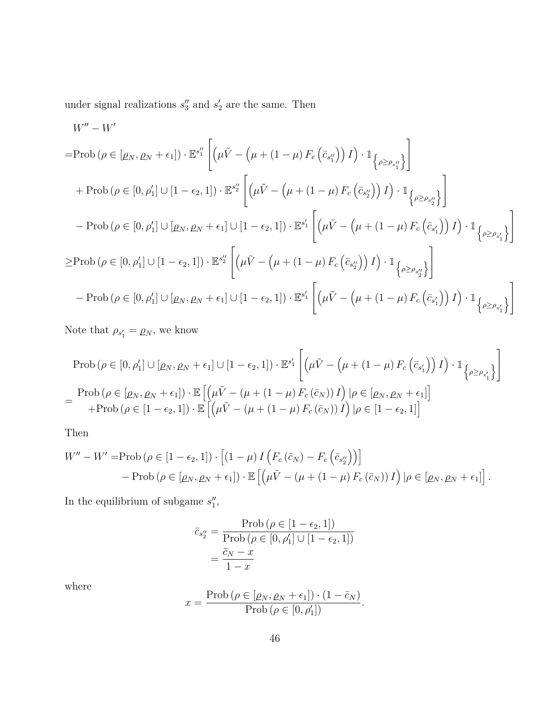under signal realizations  $s_3''$  and  $s_2'$  are the same. Then

$$
W'' - W'
$$
\n
$$
= \text{Prob}\left(\rho \in [\rho_N, \rho_N + \epsilon_1]\right) \cdot \mathbb{E}^{s_1''} \left[ \left(\mu \tilde{V} - \left(\mu + (1 - \mu) F_c \left(\bar{c}_{s_1''}\right)\right) I\right) \cdot \mathbb{1}_{\left\{\rho \ge \rho_{s_1''}\right\}} \right]
$$
\n
$$
+ \text{Prob}\left(\rho \in [0, \rho'_1] \cup [1 - \epsilon_2, 1]\right) \cdot \mathbb{E}^{s_2''} \left[ \left(\mu \tilde{V} - \left(\mu + (1 - \mu) F_c \left(\bar{c}_{s_2''}\right)\right) I\right) \cdot \mathbb{1}_{\left\{\rho \ge \rho_{s_2''}\right\}} \right]
$$
\n
$$
- \text{Prob}\left(\rho \in [0, \rho'_1] \cup [\rho_N, \rho_N + \epsilon_1] \cup [1 - \epsilon_2, 1]\right) \cdot \mathbb{E}^{s_1'} \left[ \left(\mu \tilde{V} - \left(\mu + (1 - \mu) F_c \left(\bar{c}_{s_1'}\right)\right) I\right) \cdot \mathbb{1}_{\left\{\rho \ge \rho_{s_1'}\right\}} \right]
$$
\n
$$
\ge \text{Prob}\left(\rho \in [0, \rho'_1] \cup [1 - \epsilon_2, 1]\right) \cdot \mathbb{E}^{s_2''} \left[ \left(\mu \tilde{V} - \left(\mu + (1 - \mu) F_c \left(\bar{c}_{s_2''}\right)\right) I\right) \cdot \mathbb{1}_{\left\{\rho \ge \rho_{s_2''}\right\}} \right]
$$
\n
$$
- \text{Prob}\left(\rho \in [0, \rho'_1] \cup [\rho_N, \rho_N + \epsilon_1] \cup [1 - \epsilon_2, 1]\right) \cdot \mathbb{E}^{s_1'} \left[ \left(\mu \tilde{V} - \left(\mu + (1 - \mu) F_c \left(\bar{c}_{s_1'}\right)\right) I\right) \cdot \mathbb{1}_{\left\{\rho \ge \rho_{s_1'}\right\}} \right]
$$

Note that  $\rho_{s_1'} = \rho_N$ , we know

$$
\text{Prob}\left(\rho \in [0,\rho_1'] \cup [\rho_N, \rho_N + \epsilon_1] \cup [1 - \epsilon_2, 1]\right) \cdot \mathbb{E}^{s_1'} \left[ \left(\mu \tilde{V} - \left(\mu + (1 - \mu) F_c \left(\bar{c}_{s_1'}\right)\right) I\right) \cdot \mathbb{1}_{\left\{\rho \ge \rho_{s_1'}\right\}} \right]
$$
\n
$$
= \frac{\text{Prob}\left(\rho \in [\rho_N, \rho_N + \epsilon_1]\right) \cdot \mathbb{E}\left[\left(\mu \tilde{V} - \left(\mu + (1 - \mu) F_c \left(\bar{c}_N\right)\right) I\right) | \rho \in [\rho_N, \rho_N + \epsilon_1]\right]}{\text{+Prob}\left(\rho \in [1 - \epsilon_2, 1]\right) \cdot \mathbb{E}\left[\left(\mu \tilde{V} - \left(\mu + (1 - \mu) F_c \left(\bar{c}_N\right)\right) I\right) | \rho \in [1 - \epsilon_2, 1]\right]}
$$

Then

$$
W'' - W' = \text{Prob}\left(\rho \in [1 - \epsilon_2, 1]\right) \cdot \left[ (1 - \mu) I \left( F_c \left( \bar{c}_N \right) - F_c \left( \bar{c}_{s_2''} \right) \right) \right]
$$
  
- 
$$
\text{Prob}\left(\rho \in [\rho_N, \rho_N + \epsilon_1]\right) \cdot \mathbb{E}\left[ \left( \mu \tilde{V} - (\mu + (1 - \mu) F_c \left( \bar{c}_N \right)) I \right) \mid \rho \in [\rho_N, \rho_N + \epsilon_1] \right].
$$

In the equilibrium of subgame  $s_1''$ ,

$$
\bar{c}_{s_2''} = \frac{\text{Prob}\left(\rho \in [1 - \epsilon_2, 1]\right)}{\text{Prob}\left(\rho \in [0, \rho_1'] \cup [1 - \epsilon_2, 1]\right)}
$$

$$
= \frac{\bar{c}_N - x}{1 - x}
$$

where

$$
x = \frac{\text{Prob}(\rho \in [\rho_N, \rho_N + \epsilon_1]) \cdot (1 - \bar{c}_N)}{\text{Prob}(\rho \in [0, \rho'_1])}.
$$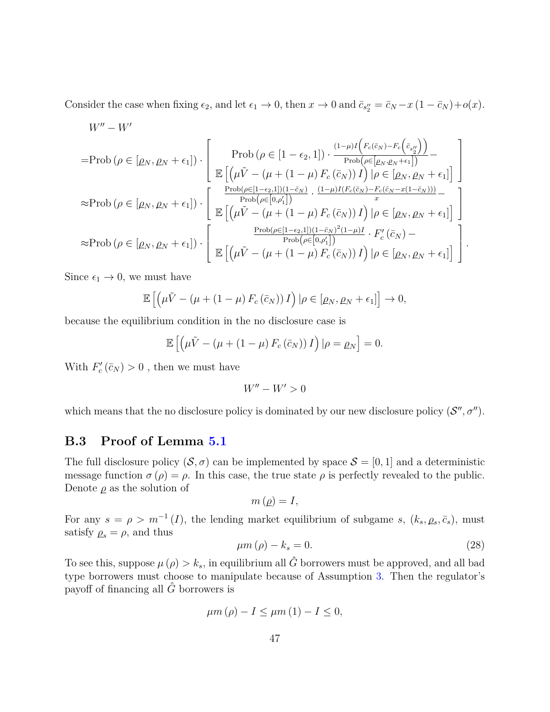Consider the case when fixing  $\epsilon_2$ , and let  $\epsilon_1 \to 0$ , then  $x \to 0$  and  $\bar{c}_{s''_2} = \bar{c}_N - x(1 - \bar{c}_N) + o(x)$ .

$$
W'' - W'
$$
\n
$$
= \text{Prob}\left(\rho \in [\rho_N, \rho_N + \epsilon_1]\right) \cdot \left[\begin{array}{c} \text{Prob}\left(\rho \in [1 - \epsilon_2, 1]\right) \cdot \frac{(1 - \mu)I\left(F_c(\bar{c}_N) - F_c\left(\bar{c}_{s_2''}\right)\right)}{\text{Prob}\left(\rho \in [\rho_N, \rho_N + \epsilon_1]\right)} - \\\\ \mathbb{E}\left[\left(\mu\tilde{V} - (\mu + (1 - \mu) F_c(\bar{c}_N)) I\right) | \rho \in [\rho_N, \rho_N + \epsilon_1]\right] \\\\ \approx \text{Prob}\left(\rho \in [\rho_N, \rho_N + \epsilon_1]\right) \cdot \left[\begin{array}{c} \frac{\text{Prob}\left(\rho \in [1 - \epsilon_2, 1]\right)(1 - \bar{c}_N)}{\text{Prob}\left(\rho \in [0, \rho'_1]\right)} \cdot \frac{(1 - \mu)I(F_c(\bar{c}_N) - F_c(\bar{c}_N - x(1 - \bar{c}_N)))}{x} - \\\\ \mathbb{E}\left[\left(\mu\tilde{V} - (\mu + (1 - \mu) F_c(\bar{c}_N)) I\right) | \rho \in [\rho_N, \rho_N + \epsilon_1]\right] \\\\ \approx \text{Prob}\left(\rho \in [\rho_N, \rho_N + \epsilon_1]\right) \cdot \left[\begin{array}{c} \frac{\text{Prob}\left(\rho \in [1 - \epsilon_2, 1]\right)(1 - \bar{c}_N)^2(1 - \mu)I}{\text{Prob}\left(\rho \in [0, \rho'_1]\right)} \cdot F_c'(\bar{c}_N) - \\\\ \mathbb{E}\left[\left(\mu\tilde{V} - (\mu + (1 - \mu) F_c(\bar{c}_N)) I\right) | \rho \in [\rho_N, \rho_N + \epsilon_1]\right] \end{array}\right].
$$

Since  $\epsilon_1 \rightarrow 0$ , we must have

$$
\mathbb{E}\left[\left(\mu\tilde{V}-(\mu+(1-\mu)F_c(\bar{c}_N))I\right)|\rho\in[\rho_N,\rho_N+\epsilon_1]\right]\to 0,
$$

because the equilibrium condition in the no disclosure case is

$$
\mathbb{E}\left[\left(\mu\tilde{V}-(\mu+(1-\mu)F_c(\bar{c}_N))I\right)|\rho=\rho_N\right]=0.
$$

With  $F'_c(\bar{c}_N) > 0$ , then we must have

$$
W''-W'>0
$$

which means that the no disclosure policy is dominated by our new disclosure policy  $(S'', \sigma'')$ .

# **B.3 Proof of Lemma [5.1](#page-26-0)**

The full disclosure policy  $(S, \sigma)$  can be implemented by space  $S = [0, 1]$  and a deterministic message function  $\sigma(\rho) = \rho$ . In this case, the true state  $\rho$  is perfectly revealed to the public. Denote  $\rho$  as the solution of

$$
m\left( \rho \right) =I,
$$

For any  $s = \rho > m^{-1}(I)$ , the lending market equilibrium of subgame *s*,  $(k_s, \rho_s, \bar{c}_s)$ , must satisfy  $\rho_s = \rho$ , and thus

<span id="page-46-0"></span>
$$
\mu m\left(\rho\right) - k_s = 0.\tag{28}
$$

To see this, suppose  $\mu(\rho) > k_s$ , in equilibrium all  $\hat{G}$  borrowers must be approved, and all bad type borrowers must choose to manipulate because of Assumption [3.](#page-15-0) Then the regulator's payoff of financing all  $\hat{G}$  borrowers is

$$
\mu m\left(\rho\right) - I \leq \mu m\left(1\right) - I \leq 0,
$$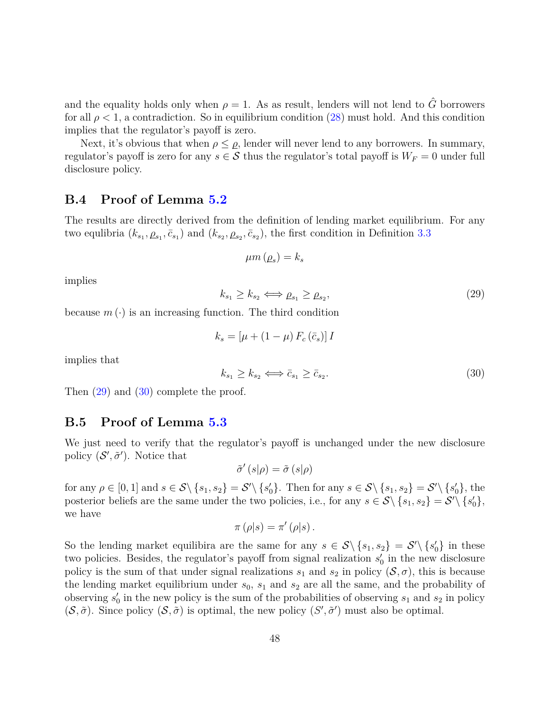and the equality holds only when  $\rho = 1$ . As as result, lenders will not lend to  $\hat{G}$  borrowers for all  $\rho < 1$ , a contradiction. So in equilibrium condition [\(28\)](#page-46-0) must hold. And this condition implies that the regulator's payoff is zero.

Next, it's obvious that when  $\rho \leq \rho$ , lender will never lend to any borrowers. In summary, regulator's payoff is zero for any  $s \in S$  thus the regulator's total payoff is  $W_F = 0$  under full disclosure policy.

### **B.4 Proof of Lemma [5.2](#page-26-1)**

The results are directly derived from the definition of lending market equilibrium. For any two equlibria  $(k_{s_1}, \rho_{s_1}, \bar{c}_{s_1})$  and  $(k_{s_2}, \rho_{s_2}, \bar{c}_{s_2})$ , the first condition in Definition [3.3](#page-19-4)

$$
\mu m\left(\rho_s\right) = k_s
$$

implies

<span id="page-47-0"></span>
$$
k_{s_1} \ge k_{s_2} \Longleftrightarrow \rho_{s_1} \ge \rho_{s_2},\tag{29}
$$

because  $m(\cdot)$  is an increasing function. The third condition

$$
k_s = \left[\mu + \left(1 - \mu\right) F_c\left(\bar{c}_s\right)\right] I
$$

implies that

<span id="page-47-1"></span>
$$
k_{s_1} \ge k_{s_2} \Longleftrightarrow \bar{c}_{s_1} \ge \bar{c}_{s_2}.\tag{30}
$$

Then  $(29)$  and  $(30)$  complete the proof.

### **B.5 Proof of Lemma [5.3](#page-26-2)**

We just need to verify that the regulator's payoff is unchanged under the new disclosure policy  $(S', \tilde{\sigma}')$ . Notice that

$$
\tilde{\sigma}'(s|\rho) = \tilde{\sigma}(s|\rho)
$$

for any  $\rho \in [0,1]$  and  $s \in \mathcal{S} \setminus \{s_1, s_2\} = \mathcal{S}' \setminus \{s'_0\}$ . Then for any  $s \in \mathcal{S} \setminus \{s_1, s_2\} = \mathcal{S}' \setminus \{s'_0\}$ , the posterior beliefs are the same under the two policies, i.e., for any  $s \in S \setminus \{s_1, s_2\} = S' \setminus \{s'_0\},\$ we have

$$
\pi(\rho|s) = \pi'(\rho|s).
$$

So the lending market equilibira are the same for any  $s \in S \setminus \{s_1, s_2\} = S' \setminus \{s'_0\}$  in these two policies. Besides, the regulator's payoff from signal realization  $s_0'$  in the new disclosure policy is the sum of that under signal realizations  $s_1$  and  $s_2$  in policy  $(\mathcal{S}, \sigma)$ , this is because the lending market equilibrium under  $s_0$ ,  $s_1$  and  $s_2$  are all the same, and the probability of observing  $s'_0$  in the new policy is the sum of the probabilities of observing  $s_1$  and  $s_2$  in policy  $(\mathcal{S}, \tilde{\sigma})$ . Since policy  $(\mathcal{S}, \tilde{\sigma})$  is optimal, the new policy  $(S', \tilde{\sigma}')$  must also be optimal.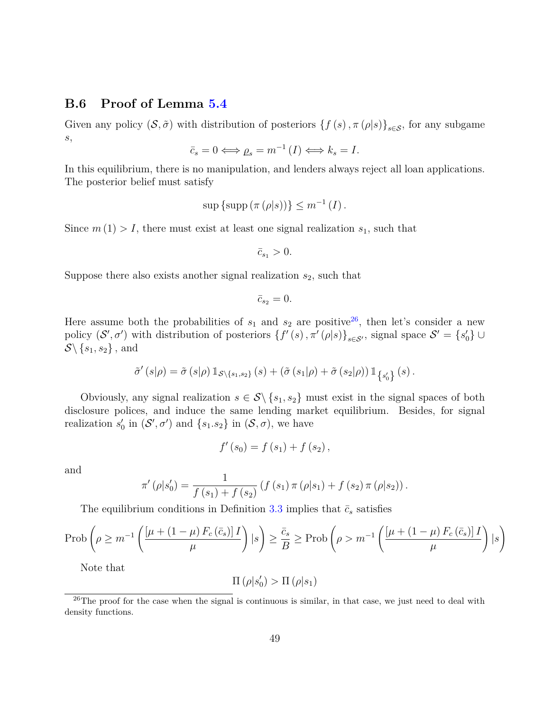# **B.6 Proof of Lemma [5.4](#page-27-0)**

Given any policy  $(S, \tilde{\sigma})$  with distribution of posteriors  $\{f(s), \pi(\rho|s)\}_{s\in S}$ , for any subgame *s*,

$$
\bar{c}_s = 0 \Longleftrightarrow \rho_s = m^{-1}(I) \Longleftrightarrow k_s = I.
$$

In this equilibrium, there is no manipulation, and lenders always reject all loan applications. The posterior belief must satisfy

$$
\sup \{\sup \left(\pi\left(\rho|s\right)\right)\}\leq m^{-1}\left(I\right).
$$

Since  $m(1) > I$ , there must exist at least one signal realization  $s_1$ , such that

$$
\bar{c}_{s_1} > 0.
$$

Suppose there also exists another signal realization *s*2, such that

$$
\bar{c}_{s_2}=0.
$$

Here assume both the probabilities of  $s_1$  and  $s_2$  are positive<sup>[26](#page-48-0)</sup>, then let's consider a new policy  $(S', \sigma')$  with distribution of posteriors  $\{f'(s), \pi'(\rho|s)\}_{s \in S'}$ , signal space  $S' = \{s'_0\} \cup$  $\mathcal{S}\backslash \{s_1, s_2\}$ , and

$$
\tilde{\sigma}'\left(s|\rho\right) = \tilde{\sigma}\left(s|\rho\right) \mathbbm{1}_{\mathcal{S}\backslash\{s_1,s_2\}}\left(s\right) + \left(\tilde{\sigma}\left(s_1|\rho\right) + \tilde{\sigma}\left(s_2|\rho\right)\right) \mathbbm{1}_{\{s_0'\}}\left(s\right).
$$

Obviously, any signal realization  $s \in \mathcal{S} \backslash \{s_1, s_2\}$  must exist in the signal spaces of both disclosure polices, and induce the same lending market equilibrium. Besides, for signal realization  $s'_0$  in  $(S', \sigma')$  and  $\{s_1 \cdot s_2\}$  in  $(S, \sigma)$ , we have

$$
f'(s_0) = f(s_1) + f(s_2),
$$

and

$$
\pi'(\rho|s'_0) = \frac{1}{f(s_1) + f(s_2)} (f(s_1)\pi(\rho|s_1) + f(s_2)\pi(\rho|s_2)).
$$

The equilibrium conditions in Definition [3.3](#page-19-4) implies that  $\bar{c}_s$  satisfies

$$
\operatorname{Prob}\left(\rho \ge m^{-1}\left(\frac{\left[\mu + \left(1 - \mu\right)F_c\left(\bar{c}_s\right)\right]I}{\mu}\right) \mid s\right) \ge \frac{\bar{c}_s}{B} \ge \operatorname{Prob}\left(\rho > m^{-1}\left(\frac{\left[\mu + \left(1 - \mu\right)F_c\left(\bar{c}_s\right)\right]I}{\mu}\right) \mid s\right)
$$

Note that

$$
\Pi\left(\rho|s_0'\right) > \Pi\left(\rho|s_1\right)
$$

<span id="page-48-0"></span> $^{26}$ The proof for the case when the signal is continuous is similar, in that case, we just need to deal with density functions.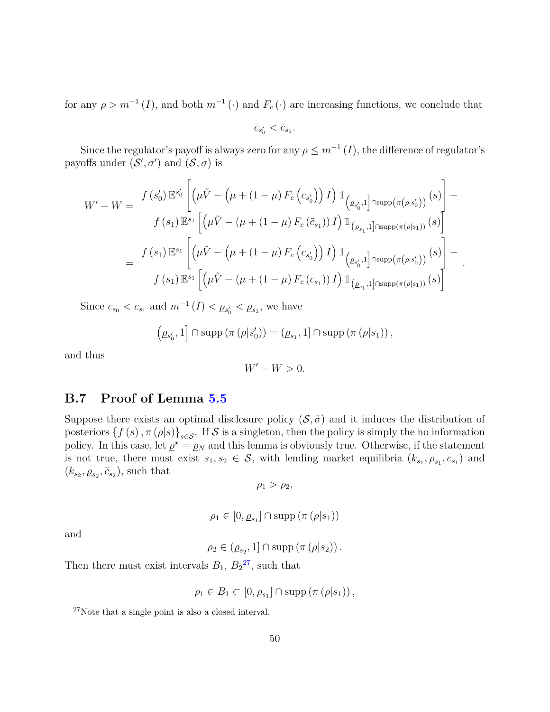for any  $\rho > m^{-1}(I)$ , and both  $m^{-1}(\cdot)$  and  $F_c(\cdot)$  are increasing functions, we conclude that

$$
\bar{c}_{s_0'}<\bar{c}_{s_1}.
$$

Since the regulator's payoff is always zero for any  $\rho \leq m^{-1}(I)$ , the difference of regulator's payoffs under  $(S', \sigma')$  and  $(S, \sigma)$  is

$$
W' - W = \frac{f(s'_0) \mathbb{E}^{s'_0} \left[ \left( \mu \tilde{V} - (\mu + (1 - \mu) F_c \left( \bar{c}_{s'_0} \right) \right) I \right] \mathbb{1}_{\left( \rho_{s'_0}, 1 \right] \cap \text{supp}(\pi(\rho|s'_0))} (s) \right]}{f(s_1) \mathbb{E}^{s_1} \left[ \left( \mu \tilde{V} - (\mu + (1 - \mu) F_c \left( \bar{c}_{s_1} \right)) I \right) \mathbb{1}_{\left( \rho_{s_1}, 1 \right] \cap \text{supp}(\pi(\rho|s_1))} (s) \right]} = \frac{f(s_1) \mathbb{E}^{s_1} \left[ \left( \mu \tilde{V} - (\mu + (1 - \mu) F_c \left( \bar{c}_{s'_0} \right)) I \right) \mathbb{1}_{\left( \rho_{s'_0}, 1 \right] \cap \text{supp}(\pi(\rho|s'_0))} (s) \right]}{f(s_1) \mathbb{E}^{s_1} \left[ \left( \mu \tilde{V} - (\mu + (1 - \mu) F_c \left( \bar{c}_{s_1} \right)) I \right) \mathbb{1}_{\left( \rho_{s_1}, 1 \right] \cap \text{supp}(\pi(\rho|s_1))} (s) \right]}.
$$

Since  $\bar{c}_{s_0} < \bar{c}_{s_1}$  and  $m^{-1}(I) < \rho_{s'_0} < \rho_{s_1}$ , we have

$$
(\rho_{s'_0}, 1] \cap \mathrm{supp} (\pi (\rho | s'_0)) = (\rho_{s_1}, 1] \cap \mathrm{supp} (\pi (\rho | s_1)),
$$

and thus

$$
W'-W>0.
$$

# **B.7 Proof of Lemma [5.5](#page-28-1)**

Suppose there exists an optimal disclosure policy  $(S, \tilde{\sigma})$  and it induces the distribution of posteriors  $\{f(s), \pi(\rho|s)\}_{s\in\mathcal{S}}$ . If S is a singleton, then the policy is simply the no information policy. In this case, let  $\rho^* = \rho_N$  and this lemma is obviously true. Otherwise, if the statement is not true, there must exist  $s_1, s_2 \in \mathcal{S}$ , with lending market equilibria  $(k_{s_1}, \rho_{s_1}, \bar{c}_{s_1})$  and  $(k_{s_2}, \rho_{s_2}, \bar{c}_{s_2})$ , such that

$$
\rho_1 > \rho_2,
$$

$$
\rho_1 \in [0, \rho_{s_1}] \cap \mathrm{supp} (\pi (\rho | s_1))
$$

and

$$
\rho_2 \in (\underline{\rho}_{s_2}, 1] \cap \mathrm{supp} (\pi (\rho | s_2)).
$$

Then there must exist intervals  $B_1$ ,  $B_2^2$ , such that

$$
\rho_1 \in B_1 \subset [0, \rho_{s_1}] \cap \mathrm{supp} (\pi (\rho | s_1)),
$$

<span id="page-49-0"></span><sup>27</sup>Note that a single point is also a closed interval.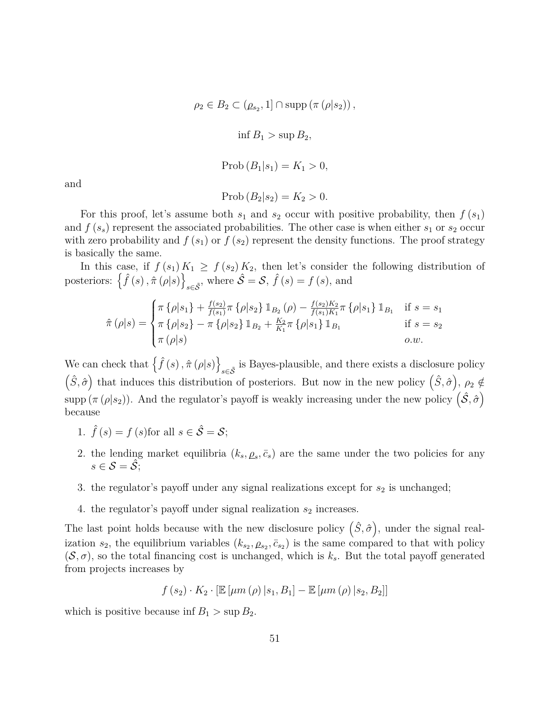$\rho_2 \in B_2 \subset (\underline{\rho}_{s_2}, 1] \cap \text{supp} (\pi (\rho | s_2))$ ,

 $\inf B_1 > \sup B_2$ 

$$
\mathrm{Prob}\left(B_1|s_1\right)=K_1>0,
$$

and

$$
Prob (B_2|s_2) = K_2 > 0.
$$

For this proof, let's assume both  $s_1$  and  $s_2$  occur with positive probability, then  $f(s_1)$ and  $f(s_s)$  represent the associated probabilities. The other case is when either  $s_1$  or  $s_2$  occur with zero probability and  $f(s_1)$  or  $f(s_2)$  represent the density functions. The proof strategy is basically the same.

In this case, if  $f(s_1) K_1 \geq f(s_2) K_2$ , then let's consider the following distribution of posteriors:  $\{\hat{f}(s), \hat{\pi}(\rho|s)\}\$  $\hat{\mathcal{S}} = \mathcal{S}, \hat{f}(s) = f(s)$ , and

$$
\hat{\pi}(\rho|s) = \begin{cases}\n\pi \left\{ \rho|s_1 \right\} + \frac{f(s_2)}{f(s_1)} \pi \left\{ \rho|s_2 \right\} \mathbb{1}_{B_2}(\rho) - \frac{f(s_2)K_2}{f(s_1)K_1} \pi \left\{ \rho|s_1 \right\} \mathbb{1}_{B_1} & \text{if } s = s_1 \\
\pi \left\{ \rho|s_2 \right\} - \pi \left\{ \rho|s_2 \right\} \mathbb{1}_{B_2} + \frac{K_2}{K_1} \pi \left\{ \rho|s_1 \right\} \mathbb{1}_{B_1} & \text{if } s = s_2 \\
\pi \left( \rho|s \right) & \text{o.w.}\n\end{cases}
$$

We can check that  $\{\hat{f}(s), \hat{\pi}(\rho|s)\}\$  $s∈S$ <sup>is Bayes-plausible, and there exists a disclosure policy</sup>  $(\hat{S}, \hat{\sigma})$  that induces this distribution of posteriors. But now in the new policy  $(\hat{S}, \hat{\sigma})$ ,  $\rho_2 \notin$ supp ( $\pi$  ( $\rho$ | $s_2$ )). And the regulator's payoff is weakly increasing under the new policy  $(\hat{S}, \hat{\sigma})$ because

- 1.  $\hat{f}(s) = f(s)$  for all  $s \in \hat{\mathcal{S}} = \mathcal{S}$ ;
- 2. the lending market equilibria  $(k_s, \rho_s, \bar{c}_s)$  are the same under the two policies for any  $s \in \mathcal{S} = \overline{\mathcal{S}}$
- 3. the regulator's payoff under any signal realizations except for  $s_2$  is unchanged;
- 4. the regulator's payoff under signal realization  $s_2$  increases.

The last point holds because with the new disclosure policy  $(\hat{S}, \hat{\sigma})$ , under the signal realization  $s_2$ , the equilibrium variables  $(k_{s_2}, \rho_{s_2}, \bar{c}_{s_2})$  is the same compared to that with policy  $(\mathcal{S}, \sigma)$ , so the total financing cost is unchanged, which is  $k_s$ . But the total payoff generated from projects increases by

$$
f(s_2) \cdot K_2 \cdot \left[ \mathbb{E} \left[ \mu m \left( \rho \right) \vert s_1, B_1 \right] - \mathbb{E} \left[ \mu m \left( \rho \right) \vert s_2, B_2 \right] \right]
$$

which is positive because inf  $B_1 > \sup B_2$ .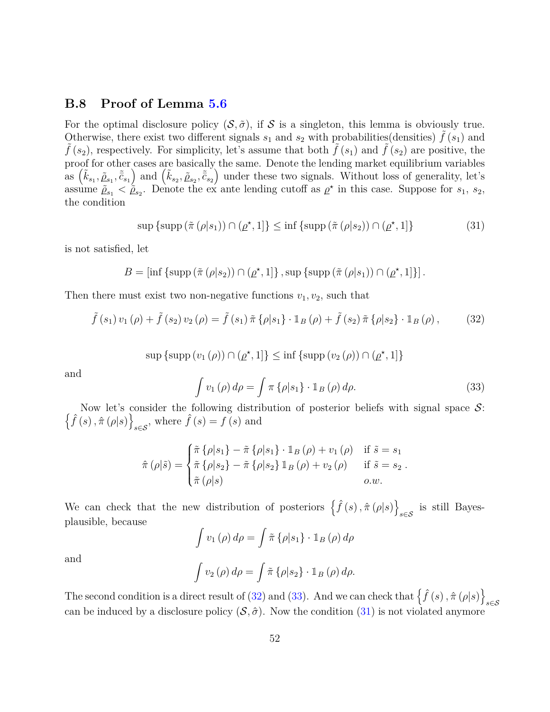# **B.8 Proof of Lemma [5.6](#page-29-0)**

For the optimal disclosure policy  $(S, \tilde{\sigma})$ , if S is a singleton, this lemma is obviously true. Otherwise, there exist two different signals  $s_1$  and  $s_2$  with probabilities(densities)  $f(s_1)$  and  $f(s_2)$ , respectively. For simplicity, let's assume that both  $f(s_1)$  and  $f(s_2)$  are positive, the proof for other cases are basically the same. Denote the lending market equilibrium variables  $\left(\tilde{k}_{s_1}, \tilde{\rho}_{s_1}, \tilde{\bar{c}}_{s_1}\right)$  and  $\left(\tilde{k}_{s_2}, \tilde{\rho}_{s_2}, \tilde{\bar{c}}_{s_2}\right)$  under these two signals. Without loss of generality, let's assume  $\tilde{\rho}_{s_1} < \tilde{\rho}_{s_2}$ . Denote the ex ante lending cutoff as  $\rho^*$  in this case. Suppose for  $s_1, s_2$ , the condition

<span id="page-51-2"></span>
$$
\sup \left\{ \sup \left( \tilde{\pi} \left( \rho | s_1 \right) \right) \cap \left( \underline{\rho}^\star, 1 \right] \right\} \le \inf \left\{ \sup \left( \tilde{\pi} \left( \rho | s_2 \right) \right) \cap \left( \underline{\rho}^\star, 1 \right] \right\} \tag{31}
$$

is not satisfied, let

$$
B = \left[ \inf \left\{ \mathrm{supp} \left( \tilde{\pi} \left( \rho | s_2 \right) \right) \cap \left( \underline{\rho}^{\star}, 1 \right] \right\}, \mathrm{sup} \left\{ \mathrm{supp} \left( \tilde{\pi} \left( \rho | s_1 \right) \right) \cap \left( \underline{\rho}^{\star}, 1 \right] \right\} \right].
$$

Then there must exist two non-negative functions  $v_1, v_2$ , such that

<span id="page-51-0"></span>
$$
\tilde{f}(s_1) v_1(\rho) + \tilde{f}(s_2) v_2(\rho) = \tilde{f}(s_1) \tilde{\pi} \{ \rho | s_1 \} \cdot \mathbb{1}_B(\rho) + \tilde{f}(s_2) \tilde{\pi} \{ \rho | s_2 \} \cdot \mathbb{1}_B(\rho) , \tag{32}
$$

$$
\sup \{\sup (v_1(\rho)) \cap (\rho^*, 1]\} \le \inf \{\sup (v_2(\rho)) \cap (\rho^*, 1]\}
$$

and

<span id="page-51-1"></span>
$$
\int v_1(\rho) d\rho = \int \pi \left\{ \rho | s_1 \right\} \cdot \mathbb{1}_B(\rho) d\rho. \tag{33}
$$

 $\left\{\hat{f}(s), \hat{\pi}(\rho|s)\right\}$ Now let's consider the following distribution of posterior beliefs with signal space  $S$ :  $\sum_{s \in \mathcal{S}}$ , where  $\hat{f}(s) = f(s)$  and

$$
\hat{\pi}(\rho|\tilde{s}) = \begin{cases}\n\tilde{\pi}\left\{\rho|s_1\right\} - \tilde{\pi}\left\{\rho|s_1\right\} \cdot \mathbb{1}_B(\rho) + v_1(\rho) & \text{if } \tilde{s} = s_1 \\
\tilde{\pi}\left\{\rho|s_2\right\} - \tilde{\pi}\left\{\rho|s_2\right\} \mathbb{1}_B(\rho) + v_2(\rho) & \text{if } \tilde{s} = s_2 \\
\tilde{\pi}(\rho|s) & o.w.\n\end{cases}
$$

We can check that the new distribution of posteriors  $\{\hat{f}(s), \hat{\pi}(\rho|s)\}\$  $s \in S$  is still Bayesplausible, because

$$
\int v_1(\rho) d\rho = \int \tilde{\pi} {\rho |s_1} \cdot \mathbb{1}_B(\rho) d\rho
$$

and

$$
\int v_2(\rho) d\rho = \int \tilde{\pi} {\rho |s_2} \cdot \mathbb{1}_B(\rho) d\rho.
$$

The second condition is a direct result of [\(32\)](#page-51-0) and [\(33\)](#page-51-1). And we can check that  $\{\hat{f}(s), \hat{\pi}(\rho|s)\}$ *s*∈S can be induced by a disclosure policy  $(S, \hat{\sigma})$ . Now the condition [\(31\)](#page-51-2) is not violated anymore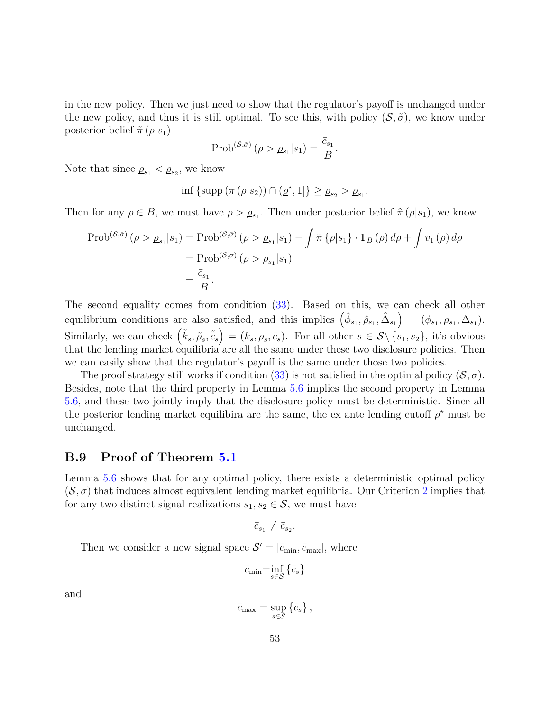in the new policy. Then we just need to show that the regulator's payoff is unchanged under the new policy, and thus it is still optimal. To see this, with policy  $(S, \tilde{\sigma})$ , we know under posterior belief  $\tilde{\pi}(\rho|s_1)$ 

$$
\mathrm{Prob}^{(\mathcal{S}, \tilde{\sigma})} \left( \rho > \rho_{s_1} | s_1 \right) = \frac{\bar{c}_{s_1}}{B}.
$$

Note that since  $\rho_{s_1} < \rho_{s_2}$ , we know

$$
\inf \{\supp (\pi (\rho | s_2)) \cap (\rho^*, 1]\} \geq \rho_{s_2} > \rho_{s_1}.
$$

Then for any  $\rho \in B$ , we must have  $\rho > \rho_{s_1}$ . Then under posterior belief  $\hat{\pi}(\rho|s_1)$ , we know

$$
\text{Prob}^{(\mathcal{S},\hat{\sigma})}(\rho > \rho_{s_1}|s_1) = \text{Prob}^{(\mathcal{S},\tilde{\sigma})}(\rho > \rho_{s_1}|s_1) - \int \tilde{\pi} \left\{ \rho |s_1 \right\} \cdot \mathbb{1}_B(\rho) d\rho + \int v_1(\rho) d\rho
$$

$$
= \text{Prob}^{(\mathcal{S},\tilde{\sigma})}(\rho > \rho_{s_1}|s_1)
$$

$$
= \frac{\bar{c}_{s_1}}{B}.
$$

The second equality comes from condition [\(33\)](#page-51-1). Based on this, we can check all other equilibrium conditions are also satisfied, and this implies  $(\hat{\phi}_{s_1}, \hat{\rho}_{s_1}, \hat{\Delta}_{s_1}) = (\phi_{s_1}, \rho_{s_1}, \Delta_{s_1}).$ Similarly, we can check  $(\tilde{k}_s, \tilde{\rho}_s, \tilde{\bar{c}}_s) = (k_s, \rho_s, \bar{c}_s)$ . For all other  $s \in \mathcal{S} \setminus \{s_1, s_2\}$ , it's obvious that the lending market equilibria are all the same under these two disclosure policies. Then we can easily show that the regulator's payoff is the same under those two policies.

The proof strategy still works if condition [\(33\)](#page-51-1) is not satisfied in the optimal policy  $(S, \sigma)$ . Besides, note that the third property in Lemma [5.6](#page-29-0) implies the second property in Lemma [5.6,](#page-29-0) and these two jointly imply that the disclosure policy must be deterministic. Since all the posterior lending market equilibira are the same, the ex ante lending cutoff  $\rho^*$  must be unchanged.

### **B.9 Proof of Theorem [5.1](#page-30-0)**

Lemma [5.6](#page-29-0) shows that for any optimal policy, there exists a deterministic optimal policy  $(\mathcal{S}, \sigma)$  that induces almost equivalent lending market equilibria. Our Criterion [2](#page-27-1) implies that for any two distinct signal realizations  $s_1, s_2 \in \mathcal{S}$ , we must have

$$
\bar{c}_{s_1} \neq \bar{c}_{s_2}.
$$

Then we consider a new signal space  $S' = [\bar{c}_{\min}, \bar{c}_{\max}]$ , where

$$
\bar{c}_{\min}\text{=}\!\inf_{s\in\mathcal{S}}\left\{ \bar{c}_{s}\right\}
$$

and

$$
\bar{c}_{\max} = \sup_{s \in \mathcal{S}} \left\{ \bar{c}_s \right\},\,
$$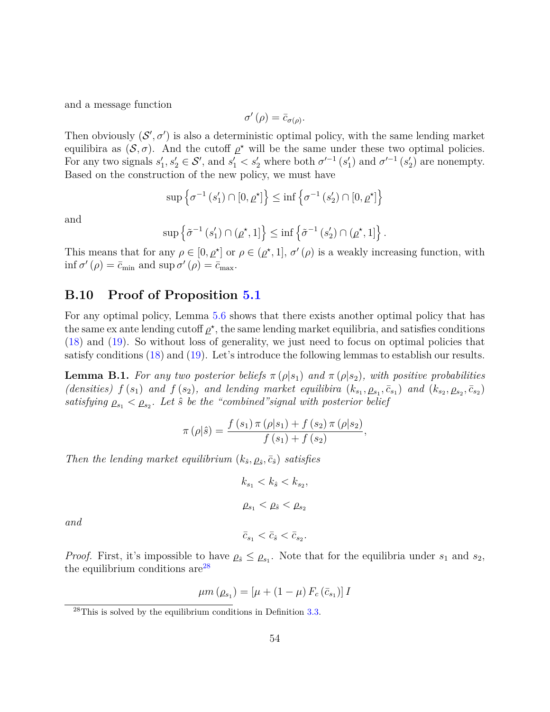and a message function

$$
\sigma'(\rho) = \bar{c}_{\sigma(\rho)}.
$$

Then obviously  $(S', \sigma')$  is also a deterministic optimal policy, with the same lending market equilibira as  $(S, \sigma)$ . And the cutoff  $\rho^*$  will be the same under these two optimal policies. For any two signals  $s'_1, s'_2 \in \mathcal{S}'$ , and  $s'_1 < s'_2$  where both  $\sigma'^{-1}(s'_1)$  and  $\sigma'^{-1}(s'_2)$  are nonempty. Based on the construction of the new policy, we must have

$$
\sup \left\{ \sigma^{-1}\left(s_1'\right) \cap \left[0, \underline{\rho}^\star\right] \right\} \le \inf \left\{ \sigma^{-1}\left(s_2'\right) \cap \left[0, \underline{\rho}^\star\right] \right\}
$$

and

$$
\sup \left\{ \tilde{\sigma}^{-1} \left( s_1' \right) \cap \left( \underline{\rho}^{\star}, 1 \right] \right\} \le \inf \left\{ \tilde{\sigma}^{-1} \left( s_2' \right) \cap \left( \underline{\rho}^{\star}, 1 \right] \right\}.
$$

This means that for any  $\rho \in [0, \rho^*]$  or  $\rho \in (\rho^*, 1], \sigma'(\rho)$  is a weakly increasing function, with  $\inf \sigma'(\rho) = \bar{c}_{\min}$  and  $\sup \sigma'(\rho) = \bar{c}_{\max}$ .

# **B.10 Proof of Proposition [5.1](#page-32-0)**

For any optimal policy, Lemma [5.6](#page-29-0) shows that there exists another optimal policy that has the same ex ante lending cutoff  $\rho^*$ , the same lending market equilibria, and satisfies conditions [\(18\)](#page-29-1) and [\(19\)](#page-29-2). So without loss of generality, we just need to focus on optimal policies that satisfy conditions [\(18\)](#page-29-1) and [\(19\)](#page-29-2). Let's introduce the following lemmas to establish our results.

<span id="page-53-1"></span>**Lemma B.1.** *For any two posterior beliefs*  $\pi(\rho|s_1)$  *and*  $\pi(\rho|s_2)$ *, with positive probabilities* (densities)  $f(s_1)$  and  $f(s_2)$ , and lending market equilibira  $(k_{s_1}, \rho_{s_1}, \bar{c}_{s_1})$  and  $(k_{s_2}, \rho_{s_2}, \bar{c}_{s_2})$  $satisfying \rho_{s_1} < \rho_{s_2}.$  Let  $\hat{s}$  be the "combined" signal with posterior belief

$$
\pi(\rho|\hat{s}) = \frac{f(s_1)\,\pi(\rho|s_1) + f(s_2)\,\pi(\rho|s_2)}{f(s_1) + f(s_2)},
$$

*Then the lending market equilibrium*  $(k_{\hat{s}}, \rho_{\hat{s}}, \bar{c}_{\hat{s}})$  *satisfies* 

$$
k_{s_1} < k_{\hat{s}} < k_{s_2},
$$
\n
$$
\rho_{s_1} < \rho_{\hat{s}} < \rho_{s_2}
$$

*and*

*Proof.* First, it's impossible to have  $\rho_s \leq \rho_{s_1}$ . Note that for the equilibria under  $s_1$  and  $s_2$ , the equilibrium conditions  $are^{28}$  $are^{28}$  $are^{28}$ 

 $\bar{c}_{s_1} < \bar{c}_{\hat{s}} < \bar{c}_{s_2}$ .

$$
\mu m\left(\rho_{s_1}\right) = \left[\mu + (1 - \mu) F_c\left(\bar{c}_{s_1}\right)\right] I
$$

<span id="page-53-0"></span> $^{28}$ This is solved by the equilibrium conditions in Definition [3.3.](#page-19-4)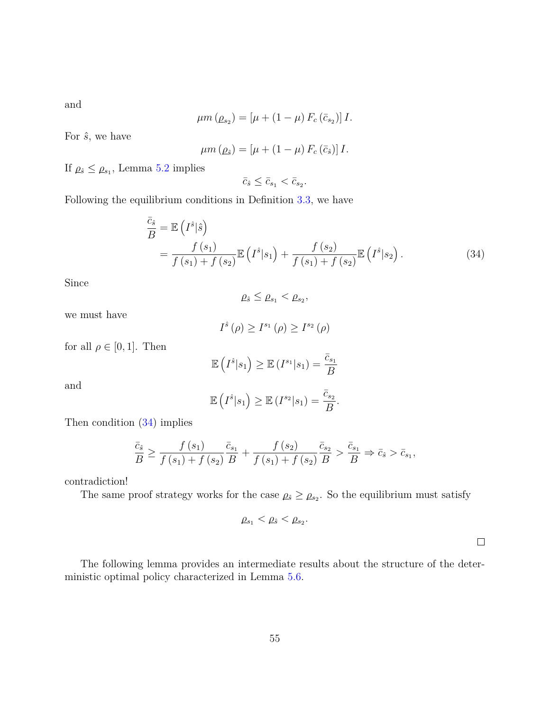and

$$
\mu m\left(\rho_{s_2}\right) = \left[\mu + (1 - \mu) F_c\left(\bar{c}_{s_2}\right)\right] I.
$$

For  $\hat{s}$ , we have

$$
\mu m\left(\rho_{\hat{s}}\right) = \left[\mu + \left(1 - \mu\right) F_c\left(\bar{c}_{\hat{s}}\right)\right] I.
$$

If  $\rho_s \leq \rho_{s_1}$ , Lemma [5.2](#page-26-1) implies

<span id="page-54-0"></span>
$$
\bar{c}_{\hat{s}} \leq \bar{c}_{s_1} < \bar{c}_{s_2}.
$$

Following the equilibrium conditions in Definition [3.3,](#page-19-4) we have

$$
\frac{\bar{c}_{\hat{s}}}{B} = \mathbb{E}\left(I^{\hat{s}}|\hat{s}\right)
$$
\n
$$
= \frac{f(s_1)}{f(s_1) + f(s_2)} \mathbb{E}\left(I^{\hat{s}}|s_1\right) + \frac{f(s_2)}{f(s_1) + f(s_2)} \mathbb{E}\left(I^{\hat{s}}|s_2\right). \tag{34}
$$

Since

$$
\varrho_{\hat{s}}\leq \varrho_{s_1}<\varrho_{s_2},
$$

we must have

$$
I^{\hat{s}}(\rho) \ge I^{s_1}(\rho) \ge I^{s_2}(\rho)
$$

for all  $\rho \in [0, 1]$ . Then

$$
\mathbb{E}\left(I^{\hat{s}}|s_1\right) \geq \mathbb{E}\left(I^{s_1}|s_1\right) = \frac{\bar{c}_{s_1}}{B}
$$

and

$$
\mathbb{E}\left(I^{\hat{s}}|s_1\right) \geq \mathbb{E}\left(I^{s_2}|s_1\right) = \frac{\bar{c}_{s_2}}{B}.
$$

Then condition [\(34\)](#page-54-0) implies

$$
\frac{\bar{c}_{\hat{s}}}{B} \ge \frac{f(s_1)}{f(s_1) + f(s_2)} \frac{\bar{c}_{s_1}}{B} + \frac{f(s_2)}{f(s_1) + f(s_2)} \frac{\bar{c}_{s_2}}{B} > \frac{\bar{c}_{s_1}}{B} \Rightarrow \bar{c}_{\hat{s}} > \bar{c}_{s_1},
$$

contradiction!

The same proof strategy works for the case  $\rho_{\hat{s}} \geq \rho_{s_2}$ . So the equilibrium must satisfy

$$
\varrho_{s_1} < \varrho_{\hat{s}} < \varrho_{s_2}.
$$

 $\Box$ 

<span id="page-54-1"></span>The following lemma provides an intermediate results about the structure of the deterministic optimal policy characterized in Lemma [5.6.](#page-29-0)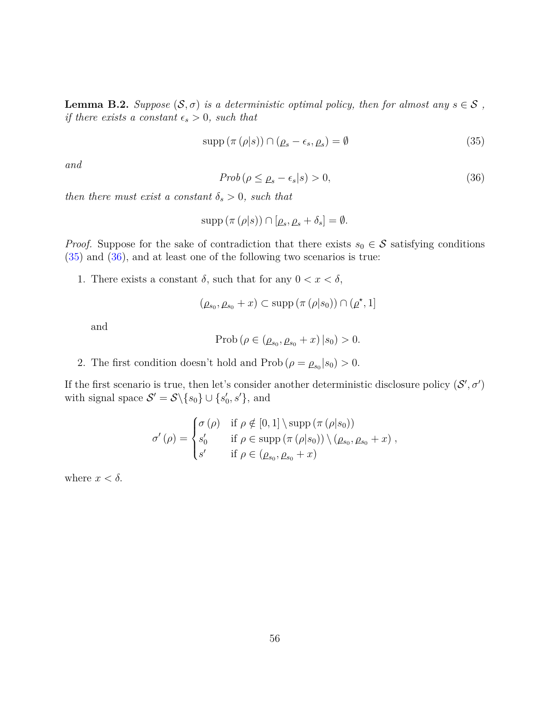**Lemma B.2.** *Suppose*  $(S, \sigma)$  *is a deterministic optimal policy, then for almost any*  $s \in S$ , *if there exists a constant*  $\epsilon_s > 0$ *, such that* 

<span id="page-55-0"></span>
$$
supp (\pi (\rho | s)) \cap (\rho_s - \epsilon_s, \rho_s) = \emptyset \tag{35}
$$

*and*

<span id="page-55-1"></span>
$$
Prob\left(\rho \leq \rho_s - \epsilon_s | s\right) > 0,\tag{36}
$$

*then there must exist a constant*  $\delta_s > 0$ *, such that* 

$$
supp (\pi (\rho | s)) \cap [\rho_s, \rho_s + \delta_s] = \emptyset.
$$

*Proof.* Suppose for the sake of contradiction that there exists  $s_0 \in S$  satisfying conditions [\(35\)](#page-55-0) and [\(36\)](#page-55-1), and at least one of the following two scenarios is true:

1. There exists a constant  $\delta$ , such that for any  $0 < x < \delta$ ,

$$
(\rho_{s_0}, \rho_{s_0} + x) \subset \text{supp} (\pi (\rho | s_0)) \cap (\underline{\rho}^\star, 1]
$$

and

$$
Prob ( \rho \in (\rho_{s_0}, \rho_{s_0} + x) | s_0) > 0.
$$

2. The first condition doesn't hold and  $\text{Prob}(\rho = \rho_{s_0} | s_0) > 0.$ 

If the first scenario is true, then let's consider another deterministic disclosure policy  $(S', \sigma')$ with signal space  $S' = S \setminus \{s_0\} \cup \{s'_0, s'\}$ , and

$$
\sigma'(\rho) = \begin{cases}\n\sigma(\rho) & \text{if } \rho \notin [0,1] \setminus \text{supp } (\pi(\rho|s_0)) \\
s'_0 & \text{if } \rho \in \text{supp } (\pi(\rho|s_0)) \setminus (\rho_{s_0}, \rho_{s_0} + x) \\
s' & \text{if } \rho \in (\rho_{s_0}, \rho_{s_0} + x)\n\end{cases}
$$

where  $x < \delta$ .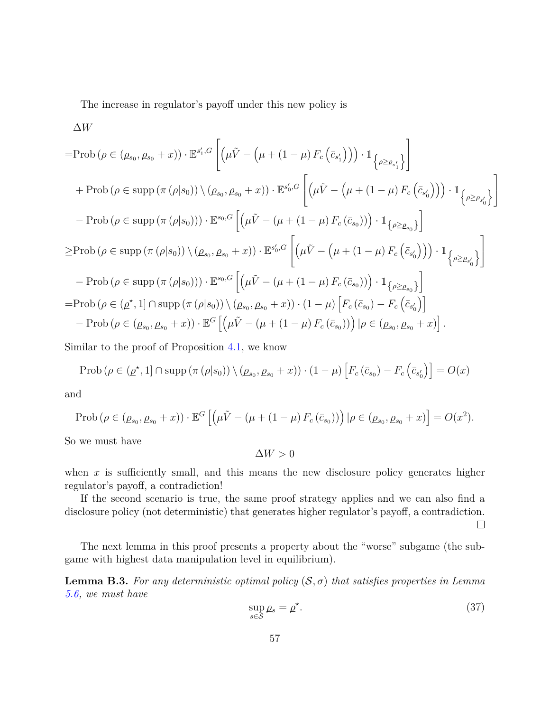The increase in regulator's payoff under this new policy is

$$
\Delta W
$$
\n=Prob  $(\rho \in (\rho_{s_0}, \rho_{s_0} + x)) \cdot \mathbb{E}^{s'_1, G} \left[ (\mu \tilde{V} - (\mu + (1 - \mu) F_c (\bar{c}_{s'_1})) ) \cdot \mathbb{1}_{\{\rho \geq \rho_{s'_1}\}} \right]$ \n+ Prob  $(\rho \in \text{supp} (\pi (\rho | s_0)) \setminus (\rho_{s_0}, \rho_{s_0} + x)) \cdot \mathbb{E}^{s'_0, G} \left[ (\mu \tilde{V} - (\mu + (1 - \mu) F_c (\bar{c}_{s'_0}))) ) \cdot \mathbb{1}_{\{\rho \geq \rho_{s'_0}\}} \right]$ \n- Prob  $(\rho \in \text{supp} (\pi (\rho | s_0))) \cdot \mathbb{E}^{s_0, G} \left[ (\mu \tilde{V} - (\mu + (1 - \mu) F_c (\bar{c}_{s_0}))) ) \cdot \mathbb{1}_{\{\rho \geq \rho_{s_0}\}} \right]$ \n
$$
\geq \text{Prob} (\rho \in \text{supp} (\pi (\rho | s_0)) ) \setminus (\rho_{s_0}, \rho_{s_0} + x) ) \cdot \mathbb{E}^{s'_0, G} \left[ (\mu \tilde{V} - (\mu + (1 - \mu) F_c (\bar{c}_{s'_0}))) ) \cdot \mathbb{1}_{\{\rho \geq \rho_{s'_0}\}} \right]
$$
\n- Prob  $(\rho \in \text{supp} (\pi (\rho | s_0)) ) \cdot \mathbb{E}^{s_0, G} \left[ (\mu \tilde{V} - (\mu + (1 - \mu) F_c (\bar{c}_{s_0}))) ) \cdot \mathbb{1}_{\{\rho \geq \rho_{s_0}\}} \right]$ \n= Prob  $(\rho \in (\rho^*, 1] \cap \text{supp} (\pi (\rho | s_0)) ) \setminus (\rho_{s_0}, \rho_{s_0} + x) ) \cdot (1 - \mu) \left[ F_c (\bar{c}_{s_0}) - F_c (\bar{c}_{s'_0}) \right]$ \n- Prob  $(\rho \in (\rho_{s_0}, \rho_{s_0} + x)) \cdot \mathbb{E}^{G} \left[ (\mu \tilde{V} - (\mu + (1 - \mu) F_c (\bar{c}_{s_0}))) \mid \rho \in (\rho_{s_0}, \rho_{s_0} + x) \right].$ 

Similar to the proof of Proposition [4.1,](#page-24-0) we know

$$
\text{Prob}\left(\rho \in (\rho^*, 1] \cap \text{supp}\left(\pi\left(\rho|s_0\right)\right) \setminus (\rho_{s_0}, \rho_{s_0} + x)\right) \cdot (1 - \mu) \left[F_c\left(\bar{c}_{s_0}\right) - F_c\left(\bar{c}_{s_0'}\right)\right] = O(x)
$$

and

$$
\text{Prob}\left(\rho \in (\rho_{s_0}, \rho_{s_0} + x)\right) \cdot \mathbb{E}^G \left[ \left(\mu \tilde{V} - (\mu + (1 - \mu) F_c(\bar{c}_{s_0}))\right) | \rho \in (\rho_{s_0}, \rho_{s_0} + x) \right] = O(x^2).
$$

So we must have

 $\Delta$ *W* > 0

when  $x$  is sufficiently small, and this means the new disclosure policy generates higher regulator's payoff, a contradiction!

If the second scenario is true, the same proof strategy applies and we can also find a disclosure policy (not deterministic) that generates higher regulator's payoff, a contradiction.

 $\Box$ 

The next lemma in this proof presents a property about the "worse" subgame (the subgame with highest data manipulation level in equilibrium).

<span id="page-56-0"></span>**Lemma B.3.** For any deterministic optimal policy  $(S, \sigma)$  that satisfies properties in Lemma *[5.6,](#page-29-0) we must have*

$$
\sup_{s \in \mathcal{S}} \rho_s = \rho^\star. \tag{37}
$$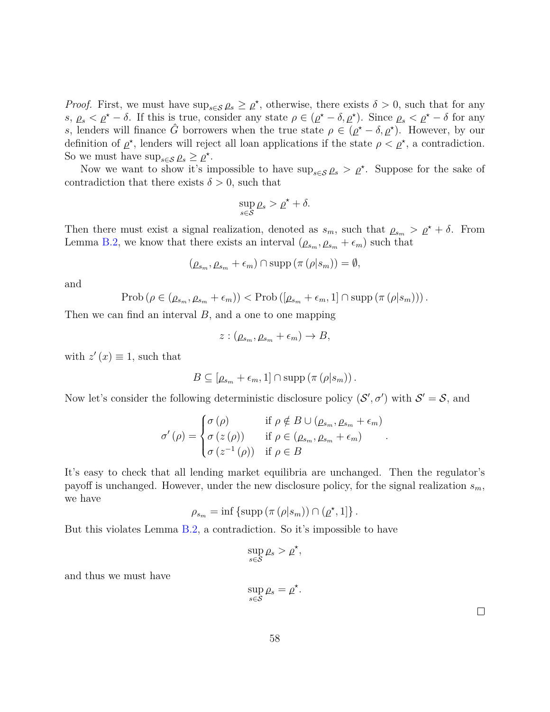*Proof.* First, we must have  $\sup_{s \in \mathcal{S}} \rho_s \geq \rho^*$ , otherwise, there exists  $\delta > 0$ , such that for any  $s, \rho_s < \rho^{\star} - \delta$ . If this is true, consider any state  $\rho \in (\rho^{\star} - \delta, \rho^{\star})$ . Since  $\rho_s < \rho^{\star} - \delta$  for any *s*, lenders will finance  $\hat{G}$  borrowers when the true state  $\rho \in (\rho^* - \delta, \rho^*)$ . However, by our definition of  $\rho^*$ , lenders will reject all loan applications if the state  $\rho < \rho^*$ , a contradiction. So we must have  $\sup_{s \in \mathcal{S}} \rho_s \geq \rho^*$ .

Now we want to show it's impossible to have  $\sup_{s \in \mathcal{S}} \rho_s > \rho^*$ . Suppose for the sake of contradiction that there exists  $\delta > 0$ , such that

$$
\sup_{s\in\mathcal{S}}\rho_s > \rho^\star + \delta.
$$

Then there must exist a signal realization, denoted as  $s_m$ , such that  $\rho_{s_m} > \rho^* + \delta$ . From Lemma [B.2,](#page-54-1) we know that there exists an interval  $(\rho_{s_m}, \rho_{s_m} + \epsilon_m)$  such that

$$
(\rho_{s_m}, \rho_{s_m} + \epsilon_m) \cap \text{supp} (\pi (\rho | s_m)) = \emptyset,
$$

and

$$
\mathrm{Prob}\left(\rho \in (\underline{\rho}_{s_m}, \underline{\rho}_{s_m} + \epsilon_m)\right) < \mathrm{Prob}\left([\underline{\rho}_{s_m} + \epsilon_m, 1] \cap \mathrm{supp}\left(\pi\left(\rho | s_m\right)\right)\right).
$$

Then we can find an interval *B*, and a one to one mapping

$$
z : (\underline{\rho}_{s_m}, \underline{\rho}_{s_m} + \epsilon_m) \to B,
$$

with  $z'(x) \equiv 1$ , such that

$$
B \subseteq [\rho_{s_m} + \epsilon_m, 1] \cap \mathrm{supp} (\pi (\rho | s_m)).
$$

Now let's consider the following deterministic disclosure policy  $(S', \sigma')$  with  $S' = S$ , and

$$
\sigma'(\rho) = \begin{cases} \sigma(\rho) & \text{if } \rho \notin B \cup (\rho_{s_m}, \rho_{s_m} + \epsilon_m) \\ \sigma(z(\rho)) & \text{if } \rho \in (\rho_{s_m}, \rho_{s_m} + \epsilon_m) \\ \sigma(z^{-1}(\rho)) & \text{if } \rho \in B \end{cases}
$$

*.*

It's easy to check that all lending market equilibria are unchanged. Then the regulator's payoff is unchanged. However, under the new disclosure policy, for the signal realization *sm*, we have

$$
\rho_{s_m} = \inf \left\{ \mathrm{supp} \left( \pi \left( \rho | s_m \right) \right) \cap \left( \underline{\rho}^\star, 1 \right] \right\}.
$$

But this violates Lemma [B.2,](#page-54-1) a contradiction. So it's impossible to have

$$
\sup_{s\in\mathcal{S}}\rho_s > \rho^\star,
$$

and thus we must have

$$
\sup_{s\in\mathcal{S}}\rho_s=\rho^\star
$$

*.*

 $\Box$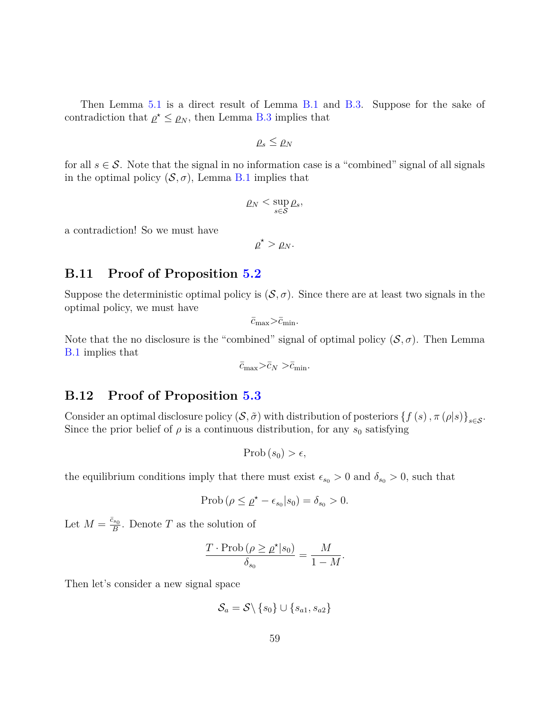Then Lemma [5.1](#page-32-0) is a direct result of Lemma [B.1](#page-53-1) and [B.3.](#page-56-0) Suppose for the sake of contradiction that  $\rho^* \leq \rho_N$ , then Lemma [B.3](#page-56-0) implies that

$$
\rho_s \leq \rho_N
$$

for all  $s \in \mathcal{S}$ . Note that the signal in no information case is a "combined" signal of all signals in the optimal policy  $(S, \sigma)$ , Lemma [B.1](#page-53-1) implies that

$$
\varrho_N < \sup_{s \in \mathcal{S}} \varrho_s,
$$

a contradiction! So we must have

$$
\underline{\rho}^\star > \underline{\rho}_N.
$$

# **B.11 Proof of Proposition [5.2](#page-32-1)**

Suppose the deterministic optimal policy is  $(S, \sigma)$ . Since there are at least two signals in the optimal policy, we must have

 $\bar{c}_{\text{max}} > \bar{c}_{\text{min}}$ .

Note that the no disclosure is the "combined" signal of optimal policy  $(S, \sigma)$ . Then Lemma [B.1](#page-53-1) implies that

 $\bar{c}_{\text{max}} > \bar{c}_N > \bar{c}_{\text{min}}$ .

# **B.12 Proof of Proposition [5.3](#page-32-2)**

Consider an optimal disclosure policy  $(S, \tilde{\sigma})$  with distribution of posteriors  $\{f(s), \pi(\rho|s)\}_{s\in\mathcal{S}}$ . Since the prior belief of  $\rho$  is a continuous distribution, for any  $s_0$  satisfying

$$
\mathrm{Prob}\left(s_{0}\right)>\epsilon,
$$

the equilibrium conditions imply that there must exist  $\epsilon_{s_0} > 0$  and  $\delta_{s_0} > 0$ , such that

$$
\text{Prob}\left(\rho \leq \rho^* - \epsilon_{s_0} | s_0\right) = \delta_{s_0} > 0.
$$

Let  $M = \frac{\bar{c}_{s_0}}{B}$  $\frac{G_{s_0}}{B}$ . Denote *T* as the solution of

$$
\frac{T \cdot \text{Prob} \left( \rho \ge \rho^{\star} | s_0 \right)}{\delta_{s_0}} = \frac{M}{1 - M}.
$$

Then let's consider a new signal space

$$
\mathcal{S}_a = \mathcal{S} \backslash \left\{ s_0 \right\} \cup \left\{ s_{a1}, s_{a2} \right\}
$$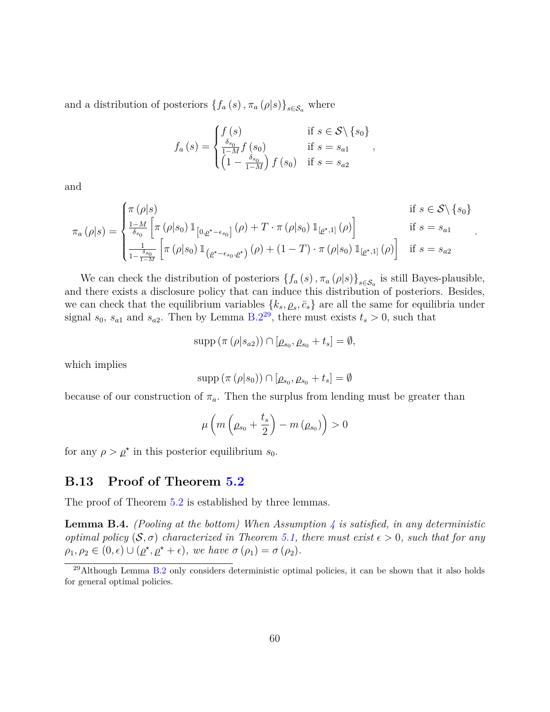and a distribution of posteriors  $\{f_a(s), \pi_a(\rho|s)\}_{s \in \mathcal{S}_a}$  where

$$
f_a(s) = \begin{cases} f(s) & \text{if } s \in S \setminus \{s_0\} \\ \frac{\delta_{s_0}}{1 - M} f(s_0) & \text{if } s = s_{a1} \\ \left(1 - \frac{\delta_{s_0}}{1 - M}\right) f(s_0) & \text{if } s = s_{a2} \end{cases}
$$

and

$$
\pi_a(\rho|s) = \begin{cases}\n\pi(\rho|s) & \text{if } s \in \mathcal{S} \setminus \{s_0\} \\
\frac{1-M}{\delta_{s_0}} \left[ \pi(\rho|s_0) \mathbb{1}_{[0,\rho^*-\epsilon_{s_0}]}(\rho) + T \cdot \pi(\rho|s_0) \mathbb{1}_{[\rho^*,1]}(\rho) \right] & \text{if } s = s_{a1} \\
\frac{1}{1-\frac{\delta_{s_0}}{1-M}} \left[ \pi(\rho|s_0) \mathbb{1}_{(\rho^*-\epsilon_{s_0},\rho^*)}(\rho) + (1-T) \cdot \pi(\rho|s_0) \mathbb{1}_{[\rho^*,1]}(\rho) \right] & \text{if } s = s_{a2}\n\end{cases}
$$

*.*

We can check the distribution of posteriors  $\{f_a(s), \pi_a(\rho|s)\}_{s \in S_a}$  is still Bayes-plausible, and there exists a disclosure policy that can induce this distribution of posteriors. Besides, we can check that the equilibrium variables  $\{k_s, \rho_s, \bar{c}_s\}$  are all the same for equilibria under signal  $s_0$ ,  $s_{a1}$  and  $s_{a2}$ . Then by Lemma [B.2](#page-54-1)<sup>[29](#page-59-0)</sup>, there must exists  $t_s > 0$ , such that

$$
supp (\pi (\rho | s_{a2})) \cap [\rho_{s_0}, \rho_{s_0} + t_s] = \emptyset,
$$

which implies

$$
\mathrm{supp}\left(\pi\left(\rho|s_0\right)\right)\cap\left[\rho_{s_0},\rho_{s_0}+t_s\right]=\emptyset
$$

because of our construction of  $\pi_a$ . Then the surplus from lending must be greater than

$$
\mu\left(m\left(\rho_{s_0} + \frac{t_s}{2}\right) - m\left(\rho_{s_0}\right)\right) > 0
$$

for any  $\rho > \rho^*$  in this posterior equilibrium  $s_0$ .

# **B.13 Proof of Theorem [5.2](#page-33-2)**

The proof of Theorem [5.2](#page-33-2) is established by three lemmas.

**Lemma B.4.** *(Pooling at the bottom) When Assumption [4](#page-33-1) is satisfied, in any deterministic optimal policy*  $(S, \sigma)$  *characterized in Theorem [5.1,](#page-30-0) there must exist*  $\epsilon > 0$ *, such that for any*  $\rho_1, \rho_2 \in (0, \epsilon) \cup (\rho^*, \rho^* + \epsilon),$  we have  $\sigma(\rho_1) = \sigma(\rho_2)$ .

<span id="page-59-0"></span> $^{29}$ Although Lemma [B.2](#page-54-1) only considers deterministic optimal policies, it can be shown that it also holds for general optimal policies.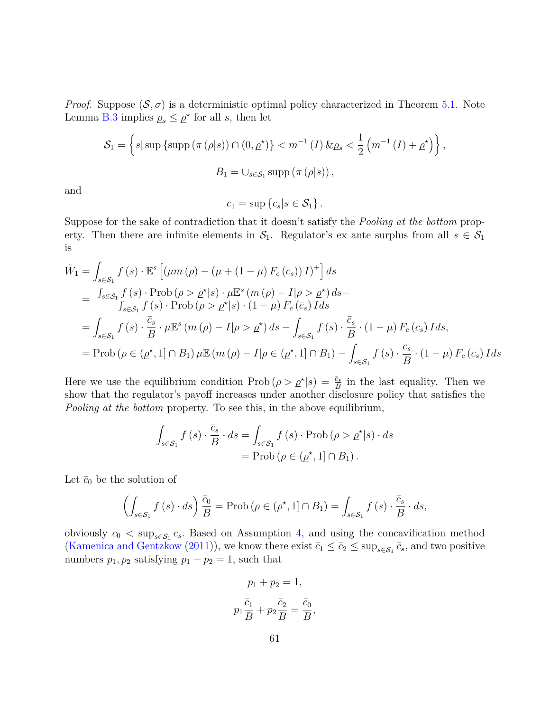*Proof.* Suppose  $(S, \sigma)$  is a deterministic optimal policy characterized in Theorem [5.1.](#page-30-0) Note Lemma [B.3](#page-56-0) implies  $\rho_s \leq \rho^*$  for all *s*, then let

$$
S_1 = \left\{ s \mid \text{sup} \left\{ \text{supp} \left( \pi \left( \rho | s \right) \right) \cap \left( 0, \rho^* \right) \right\} < m^{-1} \left( I \right) \& \rho_s < \frac{1}{2} \left( m^{-1} \left( I \right) + \rho^* \right) \right\},\
$$
\n
$$
B_1 = \cup_{s \in S_1} \text{supp} \left( \pi \left( \rho | s \right) \right),
$$

and

 $\bar{c}_1 = \sup \{\bar{c}_s | s \in \mathcal{S}_1\}.$ 

Suppose for the sake of contradiction that it doesn't satisfy the *Pooling at the bottom* property. Then there are infinite elements in  $S_1$ . Regulator's ex ante surplus from all  $s \in S_1$ is

$$
\tilde{W}_1 = \int_{s \in \mathcal{S}_1} f(s) \cdot \mathbb{E}^s \left[ (\mu m \left( \rho \right) - (\mu + (1 - \mu) F_c \left( \bar{c}_s \right)) I)^+ \right] ds
$$
\n
$$
= \int_{s \in \mathcal{S}_1} f(s) \cdot \text{Prob} \left( \rho > \rho^* | s \right) \cdot \mu \mathbb{E}^s \left( m \left( \rho \right) - I | \rho > \rho^* \right) ds -
$$
\n
$$
\int_{s \in \mathcal{S}_1} f(s) \cdot \text{Prob} \left( \rho > \rho^* | s \right) \cdot (1 - \mu) F_c \left( \bar{c}_s \right) I ds
$$
\n
$$
= \int_{s \in \mathcal{S}_1} f(s) \cdot \frac{\bar{c}_s}{B} \cdot \mu \mathbb{E}^s \left( m \left( \rho \right) - I | \rho > \rho^* \right) ds - \int_{s \in \mathcal{S}_1} f(s) \cdot \frac{\bar{c}_s}{B} \cdot (1 - \mu) F_c \left( \bar{c}_s \right) I ds,
$$
\n
$$
= \text{Prob} \left( \rho \in (\rho^*, 1] \cap B_1 \right) \mu \mathbb{E} \left( m \left( \rho \right) - I | \rho \in (\rho^*, 1] \cap B_1 \right) - \int_{s \in \mathcal{S}_1} f(s) \cdot \frac{\bar{c}_s}{B} \cdot (1 - \mu) F_c \left( \bar{c}_s \right) I ds
$$

Here we use the equilibrium condition  $\text{Prob}(\rho > \rho^*|s) = \frac{\bar{c}_s}{B}$  in the last equality. Then we show that the regulator's payoff increases under another disclosure policy that satisfies the *Pooling at the bottom* property. To see this, in the above equilibrium,

$$
\int_{s \in \mathcal{S}_1} f(s) \cdot \frac{\bar{c}_s}{B} \cdot ds = \int_{s \in \mathcal{S}_1} f(s) \cdot \text{Prob}(\rho > \rho^*|s) \cdot ds
$$

$$
= \text{Prob}(\rho \in (\rho^*, 1] \cap B_1).
$$

Let  $\bar{c}_0$  be the solution of

$$
\left(\int_{s \in \mathcal{S}_1} f(s) \cdot ds\right) \frac{\bar{c}_0}{B} = \text{Prob}\left(\rho \in (\rho^\star, 1] \cap B_1\right) = \int_{s \in \mathcal{S}_1} f(s) \cdot \frac{\bar{c}_s}{B} \cdot ds,
$$

obviously  $\bar{c}_0 < \sup_{s \in \mathcal{S}_1} \bar{c}_s$ . Based on Assumption [4,](#page-33-1) and using the concavification method [\(Kamenica and Gentzkow](#page-40-1) [\(2011\)](#page-40-1)), we know there exist  $\bar{c}_1 \leq \bar{c}_2 \leq \sup_{s \in S_1} \bar{c}_s$ , and two positive numbers  $p_1, p_2$  satisfying  $p_1 + p_2 = 1$ , such that

$$
p_1 + p_2 = 1,
$$
  

$$
p_1 \frac{\bar{c}_1}{B} + p_2 \frac{\bar{c}_2}{B} = \frac{\bar{c}_0}{B},
$$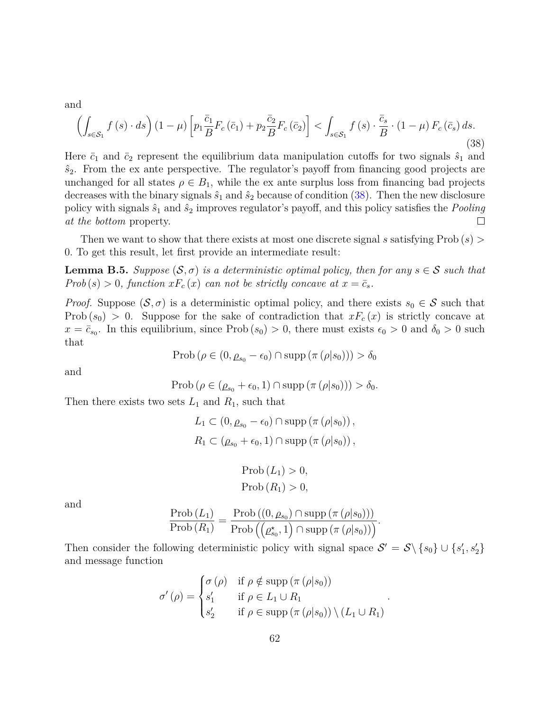and

<span id="page-61-0"></span>
$$
\left(\int_{s\in\mathcal{S}_1} f(s) \cdot ds\right) (1-\mu) \left[ p_1 \frac{\bar{c}_1}{B} F_c\left(\bar{c}_1\right) + p_2 \frac{\bar{c}_2}{B} F_c\left(\bar{c}_2\right) \right] < \int_{s\in\mathcal{S}_1} f\left(s\right) \cdot \frac{\bar{c}_s}{B} \cdot \left(1-\mu\right) F_c\left(\bar{c}_s\right) ds. \tag{38}
$$

Here  $\bar{c}_1$  and  $\bar{c}_2$  represent the equilibrium data manipulation cutoffs for two signals  $\hat{s}_1$  and  $\hat{s}_2$ . From the ex ante perspective. The regulator's payoff from financing good projects are unchanged for all states  $\rho \in B_1$ , while the ex ante surplus loss from financing bad projects decreases with the binary signals  $\hat{s}_1$  and  $\hat{s}_2$  because of condition [\(38\)](#page-61-0). Then the new disclosure policy with signals  $\hat{s}_1$  and  $\hat{s}_2$  improves regulator's payoff, and this policy satisfies the *Pooling at the bottom* property.  $\Box$ 

Then we want to show that there exists at most one discrete signal *s* satisfying Prob (*s*) *>* 0*.* To get this result, let first provide an intermediate result:

<span id="page-61-1"></span>**Lemma B.5.** *Suppose*  $(\mathcal{S}, \sigma)$  *is a deterministic optimal policy, then for any*  $s \in \mathcal{S}$  *such that Prob*(*s*) > 0*, function*  $xF_c(x)$  *can not be strictly concave at*  $x = \bar{c}_s$ *.* 

*Proof.* Suppose  $(S, \sigma)$  is a deterministic optimal policy, and there exists  $s_0 \in S$  such that Prob  $(s_0) > 0$ . Suppose for the sake of contradiction that  $xF_c(x)$  is strictly concave at  $x = \bar{c}_{s_0}$ . In this equilibrium, since Prob  $(s_0) > 0$ , there must exists  $\epsilon_0 > 0$  and  $\delta_0 > 0$  such that

$$
\text{Prob}\left(\rho \in (0, \rho_{s_0} - \epsilon_0) \cap \text{supp}\left(\pi\left(\rho|s_0\right)\right)\right) > \delta_0
$$

and

$$
\text{Prob}\left(\rho \in (\rho_{s_0} + \epsilon_0, 1) \cap \text{supp}\left(\pi\left(\rho|s_0\right)\right)\right) > \delta_0.
$$

Then there exists two sets  $L_1$  and  $R_1$ , such that

$$
L_1 \subset (0, \rho_{s_0} - \epsilon_0) \cap \text{supp} (\pi (\rho | s_0)),
$$
  

$$
R_1 \subset (\rho_{s_0} + \epsilon_0, 1) \cap \text{supp} (\pi (\rho | s_0)),
$$

$$
\text{Prob}\left(L_1\right) > 0,
$$
\n
$$
\text{Prob}\left(R_1\right) > 0,
$$

and

$$
\frac{\text{Prob}(L_1)}{\text{Prob}(R_1)} = \frac{\text{Prob}((0, \rho_{s_0}) \cap \text{supp} (\pi (\rho | s_0)))}{\text{Prob} ((\rho_{s_0}^*, 1) \cap \text{supp} (\pi (\rho | s_0)))}.
$$

Then consider the following deterministic policy with signal space  $S' = S \setminus \{s_0\} \cup \{s'_1, s'_2\}$ and message function

$$
\sigma'(\rho) = \begin{cases} \sigma(\rho) & \text{if } \rho \notin \text{supp} (\pi(\rho|s_0)) \\ s'_1 & \text{if } \rho \in L_1 \cup R_1 \\ s'_2 & \text{if } \rho \in \text{supp} (\pi(\rho|s_0)) \setminus (L_1 \cup R_1) \end{cases}
$$

*.*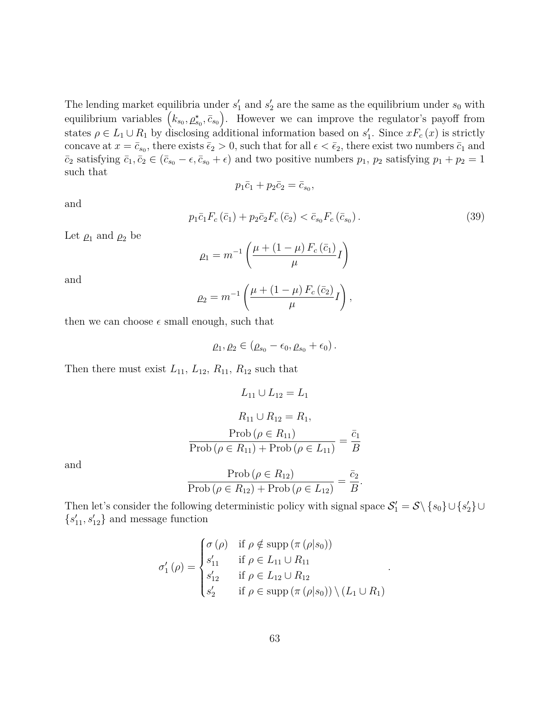The lending market equilibria under  $s'_1$  and  $s'_2$  are the same as the equilibrium under  $s_0$  with equilibrium variables  $(k_{s_0}, \rho_{s_0}^*, \bar{c}_{s_0})$ . However we can improve the regulator's payoff from states  $\rho \in L_1 \cup R_1$  by disclosing additional information based on  $s'_1$ . Since  $xF_c(x)$  is strictly concave at  $x = \bar{c}_{s_0}$ , there exists  $\bar{c}_2 > 0$ , such that for all  $\epsilon < \bar{c}_2$ , there exist two numbers  $\bar{c}_1$  and  $\bar{c}_2$  satisfying  $\bar{c}_1, \bar{c}_2 \in (\bar{c}_{s_0} - \epsilon, \bar{c}_{s_0} + \epsilon)$  and two positive numbers  $p_1, p_2$  satisfying  $p_1 + p_2 = 1$ such that

$$
p_1\bar{c}_1 + p_2\bar{c}_2 = \bar{c}_{s_0},
$$

and

<span id="page-62-0"></span>
$$
p_1 \bar{c}_1 F_c \left( \bar{c}_1 \right) + p_2 \bar{c}_2 F_c \left( \bar{c}_2 \right) < \bar{c}_{s_0} F_c \left( \bar{c}_{s_0} \right). \tag{39}
$$

Let  $\rho_1$  and  $\rho_2$  be

$$
\rho_1 = m^{-1} \left( \frac{\mu + (1 - \mu) F_c (\bar{c}_1)}{\mu} I \right)
$$

and

$$
\rho_2 = m^{-1} \left( \frac{\mu + (1 - \mu) F_c (\bar{c}_2)}{\mu} I \right),
$$

then we can choose  $\epsilon$  small enough, such that

$$
\rho_1, \rho_2 \in (\rho_{s_0}-\epsilon_0, \rho_{s_0}+\epsilon_0).
$$

Then there must exist  $L_{11}$ ,  $L_{12}$ ,  $R_{11}$ ,  $R_{12}$  such that

$$
L_{11} \cup L_{12} = L_1
$$
  
\n
$$
R_{11} \cup R_{12} = R_1,
$$
  
\n
$$
\underline{\text{Prob} \ (\rho \in R_{11})}
$$
  
\n
$$
\underline{\text{Prob} \ (\rho \in R_{11}) + \text{Prob} \ (\rho \in L_{11})} = \frac{\bar{c}_1}{B}
$$
  
\n
$$
\text{Prob} \ (\rho \in R_{12})
$$
  
\n
$$
\bar{c}_2
$$

and

$$
\frac{\text{Prob}\left(\rho \in R_{12}\right)}{\text{Prob}\left(\rho \in R_{12}\right) + \text{Prob}\left(\rho \in L_{12}\right)} = \frac{\overline{c_2}}{B}.
$$

Then let's consider the following deterministic policy with signal space  $S'_1 = S \setminus \{s_0\} \cup \{s'_2\} \cup$  $\{s'_{11}, s'_{12}\}$  and message function

$$
\sigma'_1(\rho) = \begin{cases}\n\sigma(\rho) & \text{if } \rho \notin \text{supp} (\pi(\rho|s_0)) \\
s'_{11} & \text{if } \rho \in L_{11} \cup R_{11} \\
s'_{12} & \text{if } \rho \in L_{12} \cup R_{12} \\
s'_{2} & \text{if } \rho \in \text{supp} (\pi(\rho|s_0)) \setminus (L_1 \cup R_1)\n\end{cases}
$$

*.*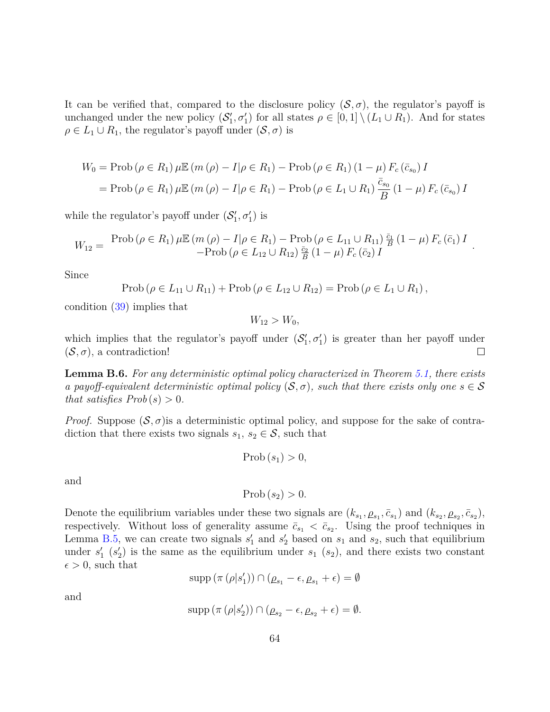It can be verified that, compared to the disclosure policy  $(S, \sigma)$ , the regulator's payoff is unchanged under the new policy  $(S'_1, \sigma'_1)$  for all states  $\rho \in [0,1] \setminus (L_1 \cup R_1)$ . And for states  $\rho \in L_1 \cup R_1$ , the regulator's payoff under  $(S, \sigma)$  is

$$
W_0 = \text{Prob}(\rho \in R_1) \,\mu \mathbb{E} (m (\rho) - I | \rho \in R_1) - \text{Prob} (\rho \in R_1) (1 - \mu) \, F_c (\bar{c}_{s_0}) \, I
$$
  
=  $\text{Prob} (\rho \in R_1) \,\mu \mathbb{E} (m (\rho) - I | \rho \in R_1) - \text{Prob} (\rho \in L_1 \cup R_1) \, \frac{\bar{c}_{s_0}}{B} (1 - \mu) \, F_c (\bar{c}_{s_0}) \, I$ 

while the regulator's payoff under  $(S'_1, \sigma'_1)$  is

$$
W_{12} = \frac{\text{Prob}(\rho \in R_1) \,\mu \mathbb{E} (m (\rho) - I | \rho \in R_1) - \text{Prob} (\rho \in L_{11} \cup R_{11}) \frac{\bar{c}_1}{B} (1 - \mu) \, F_c (\bar{c}_1) \, I}{-\text{Prob} (\rho \in L_{12} \cup R_{12}) \frac{\bar{c}_2}{B} (1 - \mu) \, F_c (\bar{c}_2) \, I}.
$$

Since

$$
Prob(\rho \in L_{11} \cup R_{11}) + Prob(\rho \in L_{12} \cup R_{12}) = Prob(\rho \in L_{1} \cup R_{1}),
$$

condition [\(39\)](#page-62-0) implies that

 $W_{12} > W_0$ 

which implies that the regulator's payoff under  $(S'_1, \sigma'_1)$  is greater than her payoff under  $(\mathcal{S}, \sigma)$ , a contradiction!  $\Box$ 

<span id="page-63-0"></span>**Lemma B.6.** *For any deterministic optimal policy characterized in Theorem [5.1,](#page-30-0) there exists a payoff-equivalent deterministic optimal policy* ( $S, \sigma$ ), such that there exists only one  $s \in S$ *that satisfies*  $Prob(s) > 0$ *.* 

*Proof.* Suppose  $(S, \sigma)$  is a deterministic optimal policy, and suppose for the sake of contradiction that there exists two signals  $s_1, s_2 \in \mathcal{S}$ , such that

$$
Prob(s_1) > 0,
$$

and

$$
Prob(s_2) > 0.
$$

Denote the equilibrium variables under these two signals are  $(k_{s_1}, \rho_{s_1}, \bar{c}_{s_1})$  and  $(k_{s_2}, \rho_{s_2}, \bar{c}_{s_2})$ , respectively. Without loss of generality assume  $\bar{c}_{s_1} < \bar{c}_{s_2}$ . Using the proof techniques in Lemma [B.5,](#page-61-1) we can create two signals  $s'_1$  and  $s'_2$  based on  $s_1$  and  $s_2$ , such that equilibrium under  $s'_{1}$  ( $s'_{2}$ ) is the same as the equilibrium under  $s_{1}$  ( $s_{2}$ ), and there exists two constant  $\epsilon > 0$ , such that

$$
\operatorname{supp} (\pi (\rho | s_1')) \cap (\rho_{s_1} - \epsilon, \rho_{s_1} + \epsilon) = \emptyset
$$

and

$$
supp (\pi (\rho | s'_2)) \cap (\rho_{s_2} - \epsilon, \rho_{s_2} + \epsilon) = \emptyset.
$$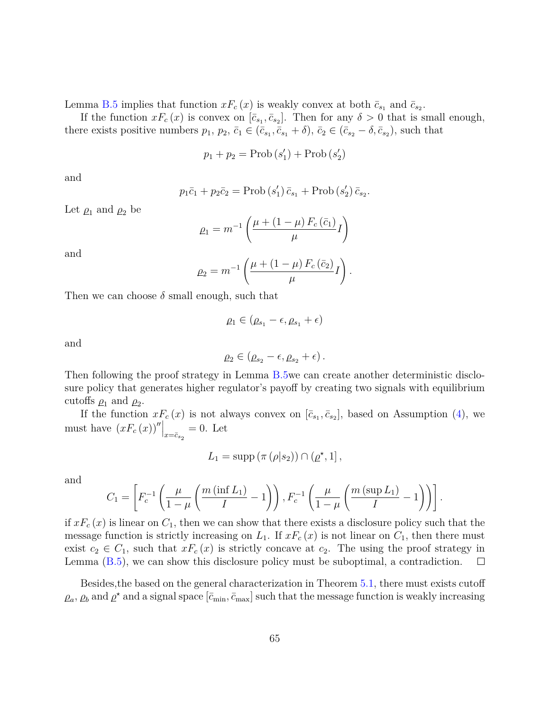Lemma [B.5](#page-61-1) implies that function  $xF_c(x)$  is weakly convex at both  $\bar{c}_{s_1}$  and  $\bar{c}_{s_2}$ .

If the function  $xF_c(x)$  is convex on  $[\bar{c}_{s_1}, \bar{c}_{s_2}]$ . Then for any  $\delta > 0$  that is small enough, there exists positive numbers  $p_1, p_2, \bar{c}_1 \in (\bar{c}_{s_1}, \bar{c}_{s_1} + \delta), \bar{c}_2 \in (\bar{c}_{s_2} - \delta, \bar{c}_{s_2}),$  such that

$$
p_1 + p_2 = \text{Prob}\left(s_1'\right) + \text{Prob}\left(s_2'\right)
$$

and

$$
p_1\bar{c}_1 + p_2\bar{c}_2 = \text{Prob}\left(s'_1\right)\bar{c}_{s_1} + \text{Prob}\left(s'_2\right)\bar{c}_{s_2}
$$

*.*

Let  $\rho_1$  and  $\rho_2$  be

$$
\rho_1 = m^{-1} \left( \frac{\mu + (1 - \mu) F_c(\bar{c}_1)}{\mu} I \right)
$$

and

$$
\rho_2 = m^{-1} \left( \frac{\mu + (1 - \mu) F_c (\bar{c}_2)}{\mu} I \right).
$$

Then we can choose  $\delta$  small enough, such that

$$
\rho_1\in(\rho_{s_1}-\epsilon,\rho_{s_1}+\epsilon)
$$

and

$$
\rho_2\in (\rho_{s_2}-\epsilon,\rho_{s_2}+\epsilon)\,.
$$

Then following the proof strategy in Lemma [B.5w](#page-61-1)e can create another deterministic disclosure policy that generates higher regulator's payoff by creating two signals with equilibrium cutoffs  $\rho_1$  and  $\rho_2$ .

If the function  $xF_c(x)$  is not always convex on  $[\bar{c}_{s_1}, \bar{c}_{s_2}]$ , based on Assumption [\(4\)](#page-33-1), we must have  $(xF_c(x))''|_{x=\bar{c}_{s_2}}=0$ . Let

$$
L_1 = \mathrm{supp} \left( \pi \left( \rho | s_2 \right) \right) \cap \left( \underline{\rho}^\star, 1 \right],
$$

and

$$
C_1 = \left[ F_c^{-1} \left( \frac{\mu}{1-\mu} \left( \frac{m \left( \inf L_1 \right)}{I} - 1 \right) \right), F_c^{-1} \left( \frac{\mu}{1-\mu} \left( \frac{m \left( \sup L_1 \right)}{I} - 1 \right) \right) \right].
$$

if  $xF_c(x)$  is linear on  $C_1$ , then we can show that there exists a disclosure policy such that the message function is strictly increasing on  $L_1$ . If  $xF_c(x)$  is not linear on  $C_1$ , then there must exist  $c_2 \in C_1$ , such that  $xF_c(x)$  is strictly concave at  $c_2$ . The using the proof strategy in Lemma [\(B.5\)](#page-61-1), we can show this disclosure policy must be suboptimal, a contradiction.  $\Box$ 

Besides,the based on the general characterization in Theorem [5.1,](#page-30-0) there must exists cutoff  $\rho_a$ ,  $\rho_b$  and  $\rho^*$  and a signal space  $[\bar{c}_{\min}, \bar{c}_{\max}]$  such that the message function is weakly increasing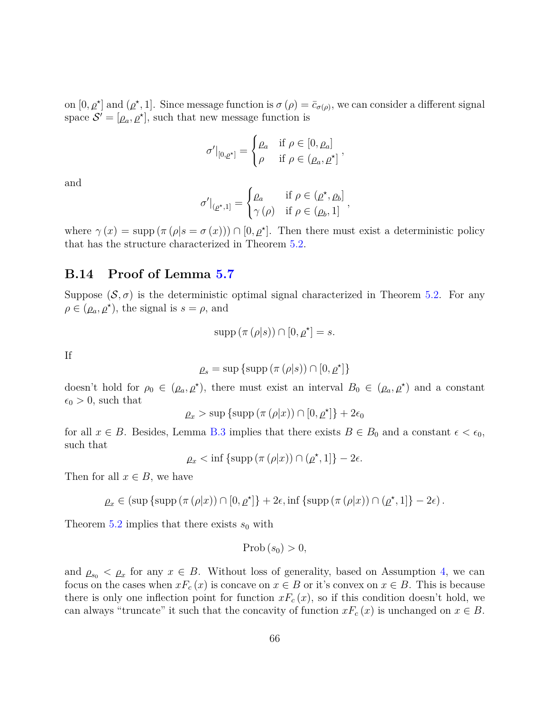on  $[0, \rho^*]$  and  $(\rho^*, 1]$ . Since message function is  $\sigma(\rho) = \bar{c}_{\sigma(\rho)}$ , we can consider a different signal space  $\mathcal{S}' = [\rho_a, \rho^{\star}],$  such that new message function is

$$
\sigma'|_{[0,\rho^\star]} = \begin{cases} \rho_a & \text{if } \rho \in [0,\rho_a] \\ \rho & \text{if } \rho \in (\rho_a, \rho^\star] \end{cases}
$$

*,*

and

$$
\sigma'|_{(\rho^\star,1]} = \begin{cases} \rho_a & \text{if } \rho \in (\rho^\star, \rho_b] \\ \gamma(\rho) & \text{if } \rho \in (\rho_b,1] \end{cases}
$$

where  $\gamma(x) = \text{supp} (\pi (\rho | s = \sigma(x))) \cap [0, \rho^*].$  Then there must exist a deterministic policy that has the structure characterized in Theorem [5.2.](#page-33-2)

# **B.14 Proof of Lemma [5.7](#page-34-1)**

Suppose  $(S, \sigma)$  is the deterministic optimal signal characterized in Theorem [5.2.](#page-33-2) For any  $\rho \in (\rho_a, \rho^*)$ , the signal is  $s = \rho$ , and

$$
supp (\pi (\rho |s)) \cap [0, \rho^*] = s.
$$

If

$$
\rho_s = \sup \{ \text{supp} \left( \pi \left( \rho | s \right) \right) \cap [0, \rho^{\star}] \}
$$

doesn't hold for  $\rho_0 \in (\rho_a, \rho^*)$ , there must exist an interval  $B_0 \in (\rho_a, \rho^*)$  and a constant  $\epsilon_0 > 0$ , such that

$$
\rho_x > \sup \{ \sup \left( \pi \left( \rho |x \right) \right) \cap [0, \rho^*] \} + 2\epsilon_0
$$

for all  $x \in B$ . Besides, Lemma [B.3](#page-56-0) implies that there exists  $B \in B_0$  and a constant  $\epsilon < \epsilon_0$ , such that

$$
\rho_x < \inf \{ \operatorname{supp} \left( \pi \left( \rho |x \right) \right) \cap \left( \rho^*, 1 \right] \} - 2\epsilon.
$$

Then for all  $x \in B$ , we have

$$
\rho_x \in (\sup \{ \text{supp} \, (\pi(\rho|x)) \cap [0,\rho^{\star}] \} + 2\epsilon, \inf \{ \text{supp} \, (\pi(\rho|x)) \cap (\rho^{\star},1] \} - 2\epsilon).
$$

Theorem [5.2](#page-33-2) implies that there exists  $s_0$  with

$$
\mathrm{Prob}\left(s_{0}\right) > 0,
$$

and  $\rho_{s_0} < \rho_x$  for any  $x \in B$ . Without loss of generality, based on Assumption [4,](#page-33-1) we can focus on the cases when  $xF_c(x)$  is concave on  $x \in B$  or it's convex on  $x \in B$ . This is because there is only one inflection point for function  $xF_c(x)$ , so if this condition doesn't hold, we can always "truncate" it such that the concavity of function  $xF_c(x)$  is unchanged on  $x \in B$ .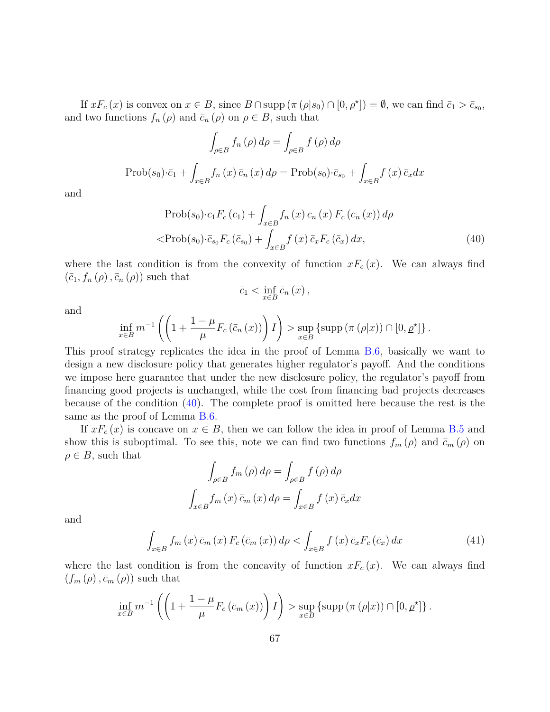If  $xF_c(x)$  is convex on  $x \in B$ , since  $B \cap \text{supp } (\pi (\rho | s_0) \cap [0, \rho^*]) = \emptyset$ , we can find  $\bar{c}_1 > \bar{c}_{s_0}$ , and two functions  $f_n(\rho)$  and  $\bar{c}_n(\rho)$  on  $\rho \in B$ , such that

$$
\int_{\rho \in B} f_n(\rho) d\rho = \int_{\rho \in B} f(\rho) d\rho
$$
  
Prob(s<sub>0</sub>) $\cdot \bar{c}_1 + \int_{x \in B} f_n(x) \bar{c}_n(x) d\rho = \text{Prob}(s_0) \cdot \bar{c}_{s_0} + \int_{x \in B} f(x) \bar{c}_x dx$ 

and

$$
\text{Prob}(s_0) \cdot \bar{c}_1 F_c \left( \bar{c}_1 \right) + \int_{x \in B} f_n \left( x \right) \bar{c}_n \left( x \right) F_c \left( \bar{c}_n \left( x \right) \right) d\rho
$$
\n
$$
\langle \text{Prob}(s_0) \cdot \bar{c}_{s_0} F_c \left( \bar{c}_{s_0} \right) + \int_{x \in B} f \left( x \right) \bar{c}_x F_c \left( \bar{c}_x \right) dx,\tag{40}
$$

where the last condition is from the convexity of function  $xF_c(x)$ . We can always find  $(\bar{c}_1, f_n(\rho), \bar{c}_n(\rho))$  such that

<span id="page-66-0"></span>
$$
\bar{c}_1 < \inf_{x \in B} \bar{c}_n(x) \,,
$$

and

$$
\inf_{x \in B} m^{-1} \left( \left( 1 + \frac{1 - \mu}{\mu} F_c \left( \bar{c}_n \left( x \right) \right) \right) I \right) > \sup_{x \in B} \left\{ \sup \left( \pi \left( \rho |x \right) \right) \cap \left[ 0, \rho^{\star} \right] \right\}.
$$

This proof strategy replicates the idea in the proof of Lemma [B.6,](#page-63-0) basically we want to design a new disclosure policy that generates higher regulator's payoff. And the conditions we impose here guarantee that under the new disclosure policy, the regulator's payoff from financing good projects is unchanged, while the cost from financing bad projects decreases because of the condition [\(40\)](#page-66-0). The complete proof is omitted here because the rest is the same as the proof of Lemma [B.6.](#page-63-0)

If  $xF_c(x)$  is concave on  $x \in B$ , then we can follow the idea in proof of Lemma [B.5](#page-61-1) and show this is suboptimal. To see this, note we can find two functions  $f_m(\rho)$  and  $\bar{c}_m(\rho)$  on  $\rho \in B$ , such that

<span id="page-66-1"></span>
$$
\int_{\rho \in B} f_m(\rho) d\rho = \int_{\rho \in B} f(\rho) d\rho
$$

$$
\int_{x \in B} f_m(x) \bar{c}_m(x) d\rho = \int_{x \in B} f(x) \bar{c}_x dx
$$

and

$$
\int_{x \in B} f_m(x) \,\bar{c}_m(x) \, F_c\left(\bar{c}_m(x)\right) d\rho < \int_{x \in B} f(x) \,\bar{c}_x F_c\left(\bar{c}_x\right) dx \tag{41}
$$

where the last condition is from the concavity of function  $xF_c(x)$ . We can always find  $(f_m(\rho), \bar{c}_m(\rho))$  such that

$$
\inf_{x \in B} m^{-1} \left( \left( 1 + \frac{1 - \mu}{\mu} F_c \left( \bar{c}_m \left( x \right) \right) \right) I \right) > \sup_{x \in B} \left\{ \sup \left( \pi \left( \rho |x \right) \right) \cap [0, \rho^{\star}] \right\}.
$$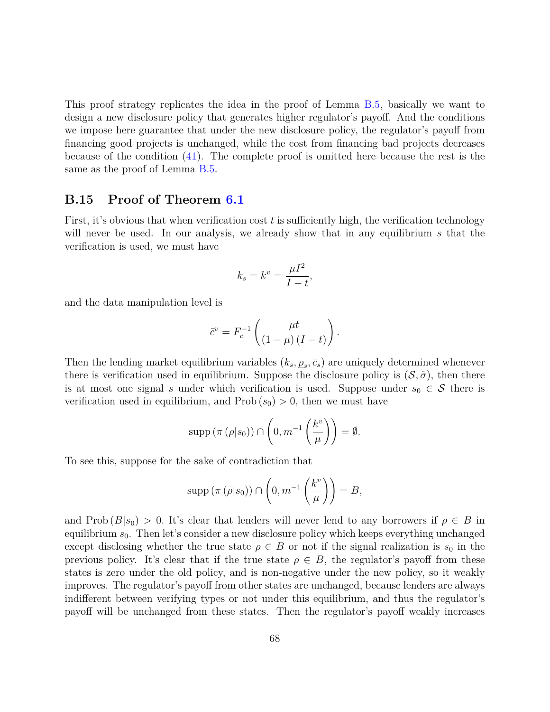This proof strategy replicates the idea in the proof of Lemma [B.5,](#page-61-1) basically we want to design a new disclosure policy that generates higher regulator's payoff. And the conditions we impose here guarantee that under the new disclosure policy, the regulator's payoff from financing good projects is unchanged, while the cost from financing bad projects decreases because of the condition [\(41\)](#page-66-1). The complete proof is omitted here because the rest is the same as the proof of Lemma [B.5.](#page-61-1)

### **B.15 Proof of Theorem [6.1](#page-37-1)**

First, it's obvious that when verification cost *t* is sufficiently high, the verification technology will never be used. In our analysis, we already show that in any equilibrium *s* that the verification is used, we must have

$$
k_s = k^v = \frac{\mu I^2}{I - t},
$$

and the data manipulation level is

$$
\bar{c}^v = F_c^{-1} \left( \frac{\mu t}{(1-\mu) (I-t)} \right).
$$

Then the lending market equilibrium variables  $(k_s, \rho_s, \bar{c}_s)$  are uniquely determined whenever there is verification used in equilibrium. Suppose the disclosure policy is  $(S, \tilde{\sigma})$ , then there is at most one signal *s* under which verification is used. Suppose under  $s_0 \in \mathcal{S}$  there is verification used in equilibrium, and  $\text{Prob}(s_0) > 0$ , then we must have

$$
\operatorname{supp} (\pi (\rho |s_0)) \cap \left(0, m^{-1} \left(\frac{k^v}{\mu}\right)\right) = \emptyset.
$$

To see this, suppose for the sake of contradiction that

$$
\operatorname{supp} (\pi (\rho |s_0)) \cap \left(0, m^{-1} \left(\frac{k^v}{\mu}\right)\right) = B,
$$

and Prob  $(B|s_0) > 0$ . It's clear that lenders will never lend to any borrowers if  $\rho \in B$  in equilibrium *s*0. Then let's consider a new disclosure policy which keeps everything unchanged except disclosing whether the true state  $\rho \in B$  or not if the signal realization is  $s_0$  in the previous policy. It's clear that if the true state  $\rho \in B$ , the regulator's payoff from these states is zero under the old policy, and is non-negative under the new policy, so it weakly improves. The regulator's payoff from other states are unchanged, because lenders are always indifferent between verifying types or not under this equilibrium, and thus the regulator's payoff will be unchanged from these states. Then the regulator's payoff weakly increases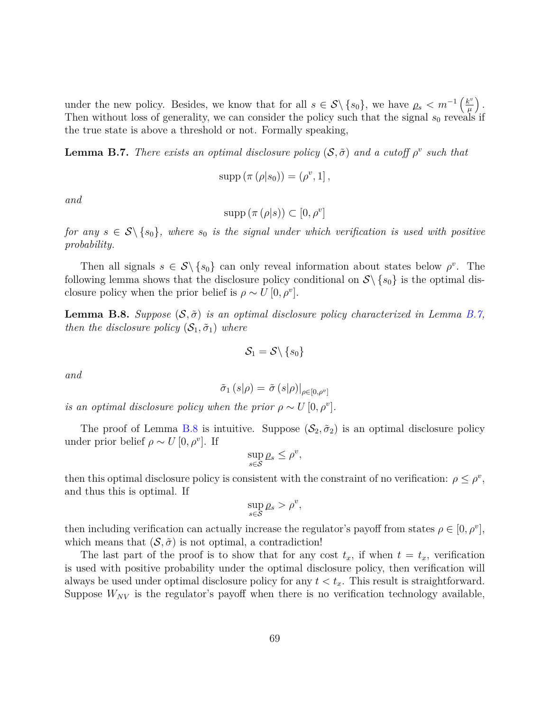under the new policy. Besides, we know that for all  $s \in S \setminus \{s_0\}$ , we have  $\rho_s < m^{-1} \left(\frac{k^v}{\mu}\right)$ *µ .* Then without loss of generality, we can consider the policy such that the signal  $s_0$  reveals if the true state is above a threshold or not. Formally speaking,

<span id="page-68-0"></span>**Lemma B.7.** *There exists an optimal disclosure policy*  $(S, \tilde{\sigma})$  *and a cutoff*  $\rho^v$  *such that* 

$$
supp (\pi (\rho |s_0)) = (\rho^v, 1],
$$

*and*

$$
supp (\pi (\rho |s)) \subset [0, \rho^v]
$$

*for any*  $s \in S \setminus \{s_0\}$ , where  $s_0$  *is the signal under which verification is used with positive probability.*

Then all signals  $s \in S \setminus \{s_0\}$  can only reveal information about states below  $\rho^v$ . The following lemma shows that the disclosure policy conditional on  $S \setminus \{s_0\}$  is the optimal disclosure policy when the prior belief is  $\rho \sim U[0, \rho^v]$ .

<span id="page-68-1"></span>**Lemma B.8.** *Suppose*  $(S, \tilde{\sigma})$  *is an optimal disclosure policy characterized in Lemma [B.7,](#page-68-0) then the disclosure policy*  $(\mathcal{S}_1, \tilde{\sigma}_1)$  *where* 

$$
\mathcal{S}_1 = \mathcal{S} \backslash \left\{s_0\right\}
$$

*and*

$$
\tilde{\sigma}_1\left(s|\rho\right) = \tilde{\sigma}\left(s|\rho\right)|_{\rho \in [0,\rho^v]}
$$

*is an optimal disclosure policy when the prior*  $\rho \sim U[0, \rho^v]$ *.* 

The proof of Lemma [B.8](#page-68-1) is intuitive. Suppose  $(S_2, \tilde{\sigma}_2)$  is an optimal disclosure policy under prior belief  $\rho \sim U[0, \rho^v]$ . If

$$
\sup_{s\in\mathcal{S}}\rho_s\leq\rho^v,
$$

then this optimal disclosure policy is consistent with the constraint of no verification:  $\rho \leq \rho^v$ , and thus this is optimal. If

$$
\sup_{s\in\mathcal{S}}\rho_s > \rho^v,
$$

then including verification can actually increase the regulator's payoff from states  $\rho \in [0, \rho^v]$ , which means that  $(S, \tilde{\sigma})$  is not optimal, a contradiction!

The last part of the proof is to show that for any cost  $t_x$ , if when  $t = t_x$ , verification is used with positive probability under the optimal disclosure policy, then verification will always be used under optimal disclosure policy for any  $t < t_x$ . This result is straightforward. Suppose  $W_{NV}$  is the regulator's payoff when there is no verification technology available,